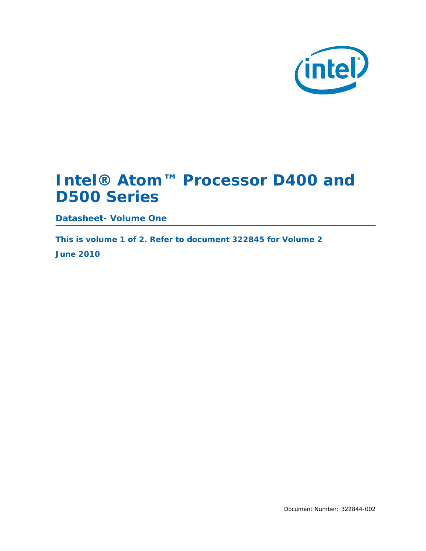

# **Intel® Atom™ Processor D400 and D500 Series**

**Datasheet- Volume One**

*This is volume 1 of 2. Refer to document 322845 for Volume 2 June 2010*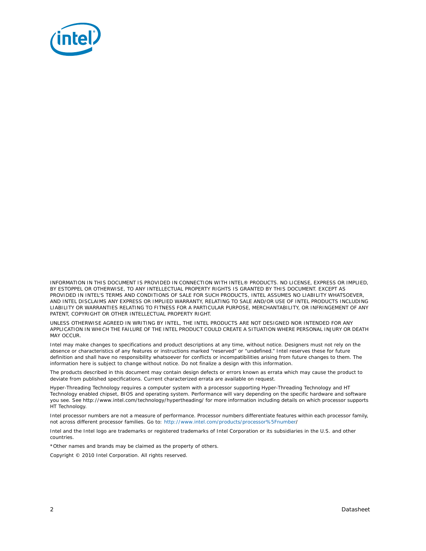

INFORMATION IN THIS DOCUMENT IS PROVIDED IN CONNECTION WITH INTEL® PRODUCTS. NO LICENSE, EXPRESS OR IMPLIED, BY ESTOPPEL OR OTHERWISE, TO ANY INTELLECTUAL PROPERTY RIGHTS IS GRANTED BY THIS DOCUMENT. EXCEPT AS PROVIDED IN INTEL'S TERMS AND CONDITIONS OF SALE FOR SUCH PRODUCTS, INTEL ASSUMES NO LIABILITY WHATSOEVER, AND INTEL DISCLAIMS ANY EXPRESS OR IMPLIED WARRANTY, RELATING TO SALE AND/OR USE OF INTEL PRODUCTS INCLUDING LIABILITY OR WARRANTIES RELATING TO FITNESS FOR A PARTICULAR PURPOSE, MERCHANTABILITY, OR INFRINGEMENT OF ANY PATENT, COPYRIGHT OR OTHER INTELLECTUAL PROPERTY RIGHT.

UNLESS OTHERWISE AGREED IN WRITING BY INTEL, THE INTEL PRODUCTS ARE NOT DESIGNED NOR INTENDED FOR ANY APPLICATION IN WHICH THE FAILURE OF THE INTEL PRODUCT COULD CREATE A SITUATION WHERE PERSONAL INJURY OR DEATH MAY OCCUR.

Intel may make changes to specifications and product descriptions at any time, without notice. Designers must not rely on the absence or characteristics of any features or instructions marked "reserved" or "undefined." Intel reserves these for future definition and shall have no responsibility whatsoever for conflicts or incompatibilities arising from future changes to them. The information here is subject to change without notice. Do not finalize a design with this information.

The products described in this document may contain design defects or errors known as errata which may cause the product to deviate from published specifications. Current characterized errata are available on request.

Hyper-Threading Technology requires a computer system with a processor supporting Hyper-Threading Technology and HT Technology enabled chipset, BIOS and operating system. Performance will vary depending on the specific hardware and software you see. See http://www.intel.com/technology/hypertheading/ for more information including details on which processor supports HT Technology.

Intel processor numbers are not a measure of performance. Processor numbers differentiate features within each processor family, not across different processor families. Go to: [http://www.intel.com/products/processor%5Fnumber](http://www.intel.com/products/processor%5Fnumber/)/

Intel and the Intel logo are trademarks or registered trademarks of Intel Corporation or its subsidiaries in the U.S. and other countries.

\*Other names and brands may be claimed as the property of others.

Copyright © 2010 Intel Corporation. All rights reserved.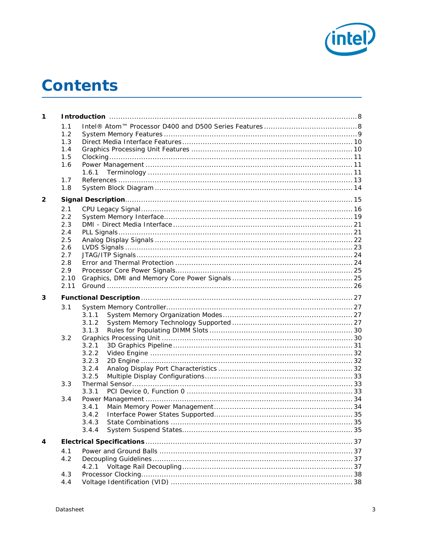

# **Contents**

| 1.1<br>1.2<br>1.3<br>1.4<br>1.5<br>1.6<br>1.6.1<br>1.7<br>1.8<br>2<br>2.1<br>2.2<br>2.3<br>2.4<br>2.5<br>2.6<br>2.7<br>2.8<br>2.9<br>2.10<br>2.11<br>3<br>3.1<br>3.1.1<br>3.1.2<br>3.1.3<br>3.2<br>3.2.1<br>3.2.2<br>3.2.3<br>3.2.4<br>3.2.5<br>3.3<br>3.3.1<br>3.4<br>3.4.1<br>3.4.2<br>35<br>3.4.3<br>State Combinations<br>3.4.4<br>4<br>4.1<br>4.2<br>4.2.1<br>4.3 | 1 |     |  |
|------------------------------------------------------------------------------------------------------------------------------------------------------------------------------------------------------------------------------------------------------------------------------------------------------------------------------------------------------------------------|---|-----|--|
|                                                                                                                                                                                                                                                                                                                                                                        |   |     |  |
|                                                                                                                                                                                                                                                                                                                                                                        |   |     |  |
|                                                                                                                                                                                                                                                                                                                                                                        |   |     |  |
|                                                                                                                                                                                                                                                                                                                                                                        |   |     |  |
|                                                                                                                                                                                                                                                                                                                                                                        |   |     |  |
|                                                                                                                                                                                                                                                                                                                                                                        |   |     |  |
|                                                                                                                                                                                                                                                                                                                                                                        |   |     |  |
|                                                                                                                                                                                                                                                                                                                                                                        |   |     |  |
|                                                                                                                                                                                                                                                                                                                                                                        |   |     |  |
|                                                                                                                                                                                                                                                                                                                                                                        |   |     |  |
|                                                                                                                                                                                                                                                                                                                                                                        |   |     |  |
|                                                                                                                                                                                                                                                                                                                                                                        |   |     |  |
|                                                                                                                                                                                                                                                                                                                                                                        |   |     |  |
|                                                                                                                                                                                                                                                                                                                                                                        |   |     |  |
|                                                                                                                                                                                                                                                                                                                                                                        |   |     |  |
|                                                                                                                                                                                                                                                                                                                                                                        |   |     |  |
|                                                                                                                                                                                                                                                                                                                                                                        |   |     |  |
|                                                                                                                                                                                                                                                                                                                                                                        |   |     |  |
|                                                                                                                                                                                                                                                                                                                                                                        |   |     |  |
|                                                                                                                                                                                                                                                                                                                                                                        |   |     |  |
|                                                                                                                                                                                                                                                                                                                                                                        |   |     |  |
|                                                                                                                                                                                                                                                                                                                                                                        |   |     |  |
|                                                                                                                                                                                                                                                                                                                                                                        |   |     |  |
|                                                                                                                                                                                                                                                                                                                                                                        |   |     |  |
|                                                                                                                                                                                                                                                                                                                                                                        |   |     |  |
|                                                                                                                                                                                                                                                                                                                                                                        |   |     |  |
|                                                                                                                                                                                                                                                                                                                                                                        |   |     |  |
|                                                                                                                                                                                                                                                                                                                                                                        |   |     |  |
|                                                                                                                                                                                                                                                                                                                                                                        |   |     |  |
|                                                                                                                                                                                                                                                                                                                                                                        |   |     |  |
|                                                                                                                                                                                                                                                                                                                                                                        |   |     |  |
|                                                                                                                                                                                                                                                                                                                                                                        |   |     |  |
|                                                                                                                                                                                                                                                                                                                                                                        |   |     |  |
|                                                                                                                                                                                                                                                                                                                                                                        |   |     |  |
|                                                                                                                                                                                                                                                                                                                                                                        |   |     |  |
|                                                                                                                                                                                                                                                                                                                                                                        |   |     |  |
|                                                                                                                                                                                                                                                                                                                                                                        |   |     |  |
|                                                                                                                                                                                                                                                                                                                                                                        |   |     |  |
|                                                                                                                                                                                                                                                                                                                                                                        |   |     |  |
|                                                                                                                                                                                                                                                                                                                                                                        |   |     |  |
|                                                                                                                                                                                                                                                                                                                                                                        |   |     |  |
|                                                                                                                                                                                                                                                                                                                                                                        |   |     |  |
|                                                                                                                                                                                                                                                                                                                                                                        |   |     |  |
|                                                                                                                                                                                                                                                                                                                                                                        |   | 4.4 |  |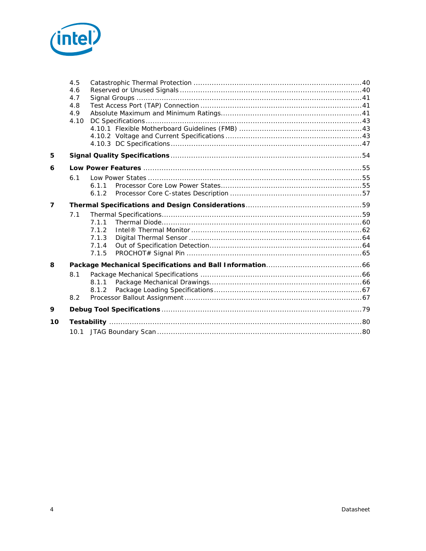

|                | 4.5  |       |  |
|----------------|------|-------|--|
|                | 4.6  |       |  |
|                | 4.7  |       |  |
|                | 4.8  |       |  |
|                | 4.9  |       |  |
|                | 4.10 |       |  |
|                |      |       |  |
|                |      |       |  |
|                |      |       |  |
| 5              |      |       |  |
| 6              |      |       |  |
|                | 6.1  |       |  |
|                |      | 6.1.1 |  |
|                |      | 6.1.2 |  |
| $\overline{7}$ |      |       |  |
|                | 7.1  |       |  |
|                |      | 7.1.1 |  |
|                |      | 7.1.2 |  |
|                |      | 7.1.3 |  |
|                |      | 7.1.4 |  |
|                |      | 7.1.5 |  |
| 8              |      |       |  |
|                | 8.1  |       |  |
|                |      | 8.1.1 |  |
|                |      | 8.1.2 |  |
|                | 8.2  |       |  |
| 9              |      |       |  |
| 10             |      |       |  |
|                |      |       |  |
|                |      |       |  |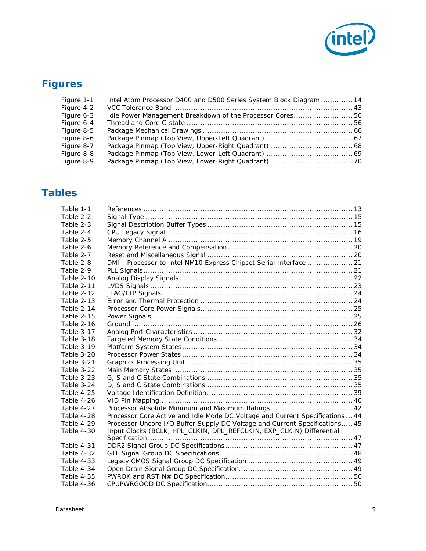

# **Figures**

| Figure 1-1 | Intel Atom Processor D400 and D500 Series System Block Diagram  14 |  |
|------------|--------------------------------------------------------------------|--|
| Figure 4-2 |                                                                    |  |
| Figure 6-3 | Idle Power Management Breakdown of the Processor Cores56           |  |
| Figure 6-4 |                                                                    |  |
| Figure 8-5 |                                                                    |  |
| Figure 8-6 |                                                                    |  |
| Figure 8-7 |                                                                    |  |
| Figure 8-8 |                                                                    |  |
| Figure 8-9 |                                                                    |  |

# **Tables**

| Table 1-1         |                                                                               |  |
|-------------------|-------------------------------------------------------------------------------|--|
| Table 2-2         |                                                                               |  |
| Table 2-3         |                                                                               |  |
| Table 2-4         |                                                                               |  |
| Table 2-5         |                                                                               |  |
| Table 2-6         |                                                                               |  |
| Table 2-7         |                                                                               |  |
| Table 2-8         | DMI - Processor to Intel NM10 Express Chipset Serial Interface  21            |  |
| Table 2-9         |                                                                               |  |
| Table 2-10        |                                                                               |  |
| Table 2-11        |                                                                               |  |
| Table 2-12        |                                                                               |  |
| Table 2-13        |                                                                               |  |
| Table 2-14        |                                                                               |  |
| <b>Table 2-15</b> |                                                                               |  |
| Table 2-16        |                                                                               |  |
| Table 3-17        |                                                                               |  |
| Table 3-18        |                                                                               |  |
| Table 3-19        |                                                                               |  |
| Table 3-20        |                                                                               |  |
| Table 3-21        |                                                                               |  |
| Table 3-22        |                                                                               |  |
| Table 3-23        |                                                                               |  |
| Table 3-24        |                                                                               |  |
| Table 4-25        |                                                                               |  |
| Table 4-26        |                                                                               |  |
| Table 4-27        | Processor Absolute Minimum and Maximum Ratings 42                             |  |
| Table 4-28        | Processor Core Active and Idle Mode DC Voltage and Current Specifications  44 |  |
| Table 4-29        | Processor Uncore I/O Buffer Supply DC Voltage and Current Specifications 45   |  |
| Table 4-30        | Input Clocks (BCLK, HPL_CLKIN, DPL_REFCLKIN, EXP_CLKIN) Differential          |  |
|                   |                                                                               |  |
| Table 4-31        |                                                                               |  |
| Table 4-32        |                                                                               |  |
| Table 4-33        |                                                                               |  |
| Table 4-34        |                                                                               |  |
| Table 4-35        |                                                                               |  |
| Table 4-36        |                                                                               |  |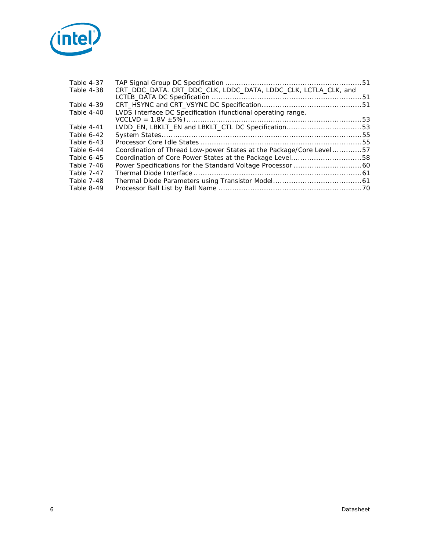

| Table 4-37 |                                                                      |  |
|------------|----------------------------------------------------------------------|--|
| Table 4-38 | CRT_DDC_DATA. CRT_DDC_CLK, LDDC_DATA, LDDC_CLK, LCTLA_CLK, and       |  |
| Table 4-39 |                                                                      |  |
| Table 4-40 | LVDS Interface DC Specification (functional operating range,         |  |
|            |                                                                      |  |
| Table 4-41 | LVDD_EN, LBKLT_EN and LBKLT_CTL DC Specification53                   |  |
| Table 6-42 |                                                                      |  |
| Table 6-43 |                                                                      |  |
| Table 6-44 | Coordination of Thread Low-power States at the Package/Core Level 57 |  |
| Table 6-45 | Coordination of Core Power States at the Package Level58             |  |
| Table 7-46 |                                                                      |  |
| Table 7-47 |                                                                      |  |
| Table 7-48 |                                                                      |  |
| Table 8-49 |                                                                      |  |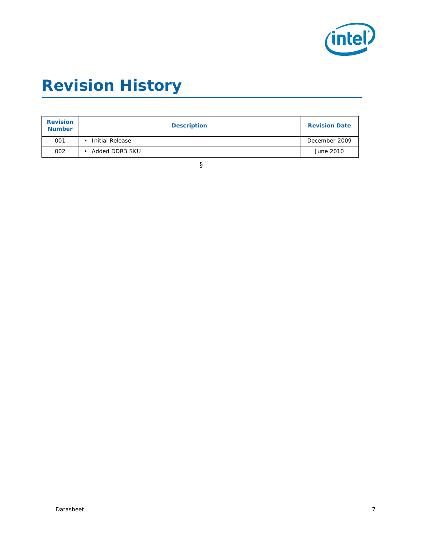

# *Revision History*

| <b>Revision</b><br><b>Number</b> | <b>Description</b> | <b>Revision Date</b> |
|----------------------------------|--------------------|----------------------|
| 001                              | Initial Release    | December 2009        |
| 002                              | Added DDR3 SKU     | June 2010            |

§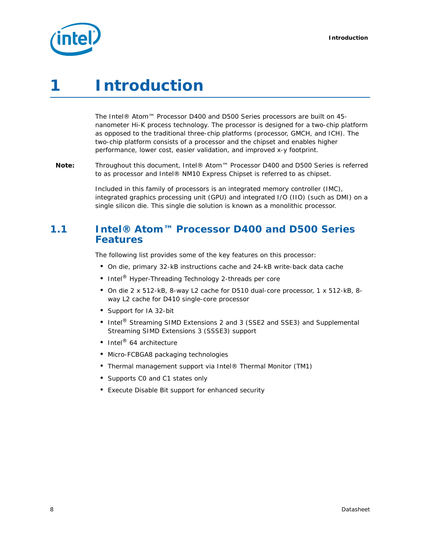

# <span id="page-7-0"></span>*1 Introduction*

The Intel® Atom™ Processor D400 and D500 Series processors are built on 45 nanometer Hi-K process technology. The processor is designed for a two-chip platform as opposed to the traditional three-chip platforms (processor, GMCH, and ICH). The two-chip platform consists of a processor and the chipset and enables higher performance, lower cost, easier validation, and improved x-y footprint.

*Note:* Throughout this document, Intel® Atom™ Processor D400 and D500 Series is referred to as processor and Intel® NM10 Express Chipset is referred to as chipset.

> Included in this family of processors is an integrated memory controller (IMC), integrated graphics processing unit (GPU) and integrated I/O (IIO) (such as DMI) on a single silicon die. This single die solution is known as a monolithic processor.

## <span id="page-7-1"></span>**1.1 Intel® Atom™ Processor D400 and D500 Series Features**

The following list provides some of the key features on this processor:

- On die, primary 32-kB instructions cache and 24-kB write-back data cache
- Intel<sup>®</sup> Hyper-Threading Technology 2-threads per core
- On die 2 x 512-kB, 8-way L2 cache for D510 dual-core processor, 1 x 512-kB, 8 way L2 cache for D410 single-core processor
- Support for IA 32-bit
- Intel<sup>®</sup> Streaming SIMD Extensions 2 and 3 (SSE2 and SSE3) and Supplemental Streaming SIMD Extensions 3 (SSSE3) support
- Intel<sup>®</sup> 64 architecture
- Micro-FCBGA8 packaging technologies
- Thermal management support via Intel® Thermal Monitor (TM1)
- Supports C0 and C1 states only
- Execute Disable Bit support for enhanced security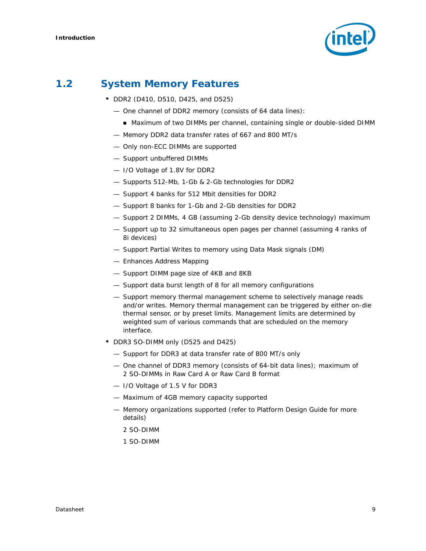

# <span id="page-8-0"></span>**1.2 System Memory Features**

- DDR2 (D410, D510, D425, and D525)
	- One channel of DDR2 memory (consists of 64 data lines):
		- Maximum of two DIMMs per channel, containing single or double-sided DIMM
	- Memory DDR2 data transfer rates of 667 and 800 MT/s
	- Only non-ECC DIMMs are supported
	- Support unbuffered DIMMs
	- I/O Voltage of 1.8V for DDR2
	- Supports 512-Mb, 1-Gb & 2-Gb technologies for DDR2
	- Support 4 banks for 512 Mbit densities for DDR2
	- Support 8 banks for 1-Gb and 2-Gb densities for DDR2
	- Support 2 DIMMs, 4 GB (assuming 2-Gb density device technology) maximum
	- Support up to 32 simultaneous open pages per channel (assuming 4 ranks of 8i devices)
	- Support Partial Writes to memory using Data Mask signals (DM)
	- Enhances Address Mapping
	- Support DIMM page size of 4KB and 8KB
	- Support data burst length of 8 for all memory configurations
	- Support memory thermal management scheme to selectively manage reads and/or writes. Memory thermal management can be triggered by either on-die thermal sensor, or by preset limits. Management limits are determined by weighted sum of various commands that are scheduled on the memory interface.
- DDR3 SO-DIMM only (D525 and D425)
	- Support for DDR3 at data transfer rate of 800 MT/s only
	- One channel of DDR3 memory (consists of 64-bit data lines); maximum of 2 SO-DIMMs in Raw Card A or Raw Card B format
	- I/O Voltage of 1.5 V for DDR3
	- Maximum of 4GB memory capacity supported
	- Memory organizations supported (refer to Platform Design Guide for more details)
		- 2 SO-DIMM
		- 1 SO-DIMM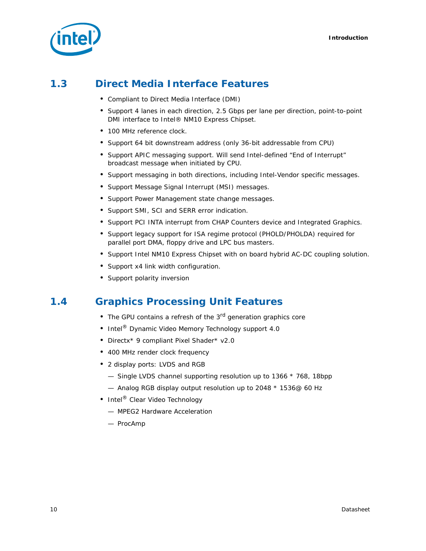

# <span id="page-9-0"></span>**1.3 Direct Media Interface Features**

- Compliant to Direct Media Interface (DMI)
- Support 4 lanes in each direction, 2.5 Gbps per lane per direction, point-to-point DMI interface to Intel® NM10 Express Chipset.
- 100 MHz reference clock.
- Support 64 bit downstream address (only 36-bit addressable from CPU)
- Support APIC messaging support. Will send Intel-defined "End of Interrupt" broadcast message when initiated by CPU.
- Support messaging in both directions, including Intel-Vendor specific messages.
- Support Message Signal Interrupt (MSI) messages.
- Support Power Management state change messages.
- Support SMI, SCI and SERR error indication.
- Support PCI INTA interrupt from CHAP Counters device and Integrated Graphics.
- Support legacy support for ISA regime protocol (PHOLD/PHOLDA) required for parallel port DMA, floppy drive and LPC bus masters.
- Support Intel NM10 Express Chipset with on board hybrid AC-DC coupling solution.
- Support x4 link width configuration.
- Support polarity inversion

# <span id="page-9-1"></span>**1.4 Graphics Processing Unit Features**

- The GPU contains a refresh of the 3<sup>rd</sup> generation graphics core
- Intel<sup>®</sup> Dynamic Video Memory Technology support 4.0
- Directx\* 9 compliant Pixel Shader\* v2.0
- 400 MHz render clock frequency
- 2 display ports: LVDS and RGB
	- $-$  Single LVDS channel supporting resolution up to 1366  $*$  768, 18bpp
	- $-$  Analog RGB display output resolution up to 2048  $*$  1536 $@$  60 Hz
- Intel<sup>®</sup> Clear Video Technology
	- MPEG2 Hardware Acceleration
	- ProcAmp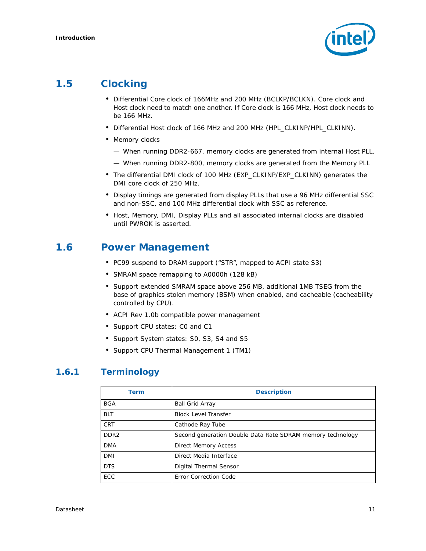

# <span id="page-10-0"></span>**1.5 Clocking**

- Differential Core clock of 166MHz and 200 MHz (BCLKP/BCLKN). Core clock and Host clock need to match one another. If Core clock is 166 MHz, Host clock needs to be 166 MHz.
- Differential Host clock of 166 MHz and 200 MHz (HPL\_CLKINP/HPL\_CLKINN).
- Memory clocks
	- When running DDR2-667, memory clocks are generated from internal Host PLL.
	- When running DDR2-800, memory clocks are generated from the Memory PLL
- The differential DMI clock of 100 MHz (EXP\_CLKINP/EXP\_CLKINN) generates the DMI core clock of 250 MHz.
- Display timings are generated from display PLLs that use a 96 MHz differential SSC and non-SSC, and 100 MHz differential clock with SSC as reference.
- Host, Memory, DMI, Display PLLs and all associated internal clocks are disabled until PWROK is asserted.

## <span id="page-10-1"></span>**1.6 Power Management**

- PC99 suspend to DRAM support ("STR", mapped to ACPI state S3)
- SMRAM space remapping to A0000h (128 kB)
- Support extended SMRAM space above 256 MB, additional 1MB TSEG from the base of graphics stolen memory (BSM) when enabled, and cacheable (cacheability controlled by CPU).
- ACPI Rev 1.0b compatible power management
- Support CPU states: C0 and C1
- Support System states: S0, S3, S4 and S5
- Support CPU Thermal Management 1 (TM1)

### <span id="page-10-2"></span>**1.6.1 Terminology**

| Term             | <b>Description</b>                                         |
|------------------|------------------------------------------------------------|
| <b>BGA</b>       | <b>Ball Grid Array</b>                                     |
| <b>BLT</b>       | <b>Block Level Transfer</b>                                |
| <b>CRT</b>       | Cathode Ray Tube                                           |
| DDR <sub>2</sub> | Second generation Double Data Rate SDRAM memory technology |
| <b>DMA</b>       | <b>Direct Memory Access</b>                                |
| DMI              | Direct Media Interface                                     |
| <b>DTS</b>       | Digital Thermal Sensor                                     |
| ECC              | Error Correction Code                                      |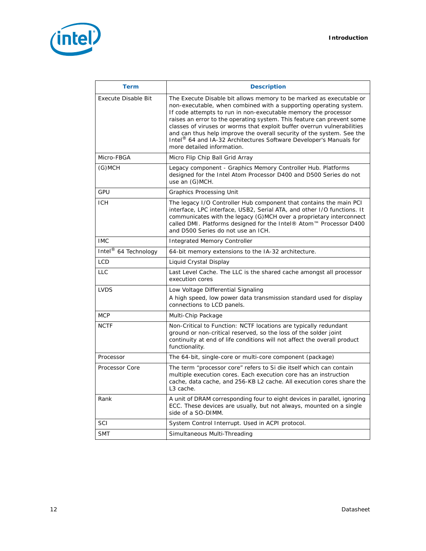

| <b>Term</b>                      | <b>Description</b>                                                                                                                                                                                                                                                                                                                                                                                                                                                                                                                           |
|----------------------------------|----------------------------------------------------------------------------------------------------------------------------------------------------------------------------------------------------------------------------------------------------------------------------------------------------------------------------------------------------------------------------------------------------------------------------------------------------------------------------------------------------------------------------------------------|
| <b>Execute Disable Bit</b>       | The Execute Disable bit allows memory to be marked as executable or<br>non-executable, when combined with a supporting operating system.<br>If code attempts to run in non-executable memory the processor<br>raises an error to the operating system. This feature can prevent some<br>classes of viruses or worms that exploit buffer overrun vulnerabilities<br>and can thus help improve the overall security of the system. See the<br>Intel® 64 and IA-32 Architectures Software Developer's Manuals for<br>more detailed information. |
| Micro-FBGA                       | Micro Flip Chip Ball Grid Array                                                                                                                                                                                                                                                                                                                                                                                                                                                                                                              |
| (G)MCH                           | Legacy component - Graphics Memory Controller Hub. Platforms<br>designed for the Intel Atom Processor D400 and D500 Series do not<br>use an (G)MCH.                                                                                                                                                                                                                                                                                                                                                                                          |
| GPU                              | <b>Graphics Processing Unit</b>                                                                                                                                                                                                                                                                                                                                                                                                                                                                                                              |
| <b>ICH</b>                       | The legacy I/O Controller Hub component that contains the main PCI<br>interface, LPC interface, USB2, Serial ATA, and other I/O functions. It<br>communicates with the legacy (G)MCH over a proprietary interconnect<br>called DMI. Platforms designed for the Intel® Atom™ Processor D400<br>and D500 Series do not use an ICH.                                                                                                                                                                                                             |
| <b>IMC</b>                       | Integrated Memory Controller                                                                                                                                                                                                                                                                                                                                                                                                                                                                                                                 |
| Intel <sup>®</sup> 64 Technology | 64-bit memory extensions to the IA-32 architecture.                                                                                                                                                                                                                                                                                                                                                                                                                                                                                          |
| <b>LCD</b>                       | Liquid Crystal Display                                                                                                                                                                                                                                                                                                                                                                                                                                                                                                                       |
| <b>LLC</b>                       | Last Level Cache. The LLC is the shared cache amongst all processor<br>execution cores                                                                                                                                                                                                                                                                                                                                                                                                                                                       |
| <b>LVDS</b>                      | Low Voltage Differential Signaling<br>A high speed, low power data transmission standard used for display<br>connections to LCD panels.                                                                                                                                                                                                                                                                                                                                                                                                      |
| <b>MCP</b>                       | Multi-Chip Package                                                                                                                                                                                                                                                                                                                                                                                                                                                                                                                           |
| <b>NCTF</b>                      | Non-Critical to Function: NCTF locations are typically redundant<br>ground or non-critical reserved, so the loss of the solder joint<br>continuity at end of life conditions will not affect the overall product<br>functionality.                                                                                                                                                                                                                                                                                                           |
| Processor                        | The 64-bit, single-core or multi-core component (package)                                                                                                                                                                                                                                                                                                                                                                                                                                                                                    |
| <b>Processor Core</b>            | The term "processor core" refers to Si die itself which can contain<br>multiple execution cores. Each execution core has an instruction<br>cache, data cache, and 256-KB L2 cache. All execution cores share the<br>L <sub>3</sub> cache.                                                                                                                                                                                                                                                                                                    |
| Rank                             | A unit of DRAM corresponding four to eight devices in parallel, ignoring<br>ECC. These devices are usually, but not always, mounted on a single<br>side of a SO-DIMM.                                                                                                                                                                                                                                                                                                                                                                        |
| SCI                              | System Control Interrupt. Used in ACPI protocol.                                                                                                                                                                                                                                                                                                                                                                                                                                                                                             |
| <b>SMT</b>                       | Simultaneous Multi-Threading                                                                                                                                                                                                                                                                                                                                                                                                                                                                                                                 |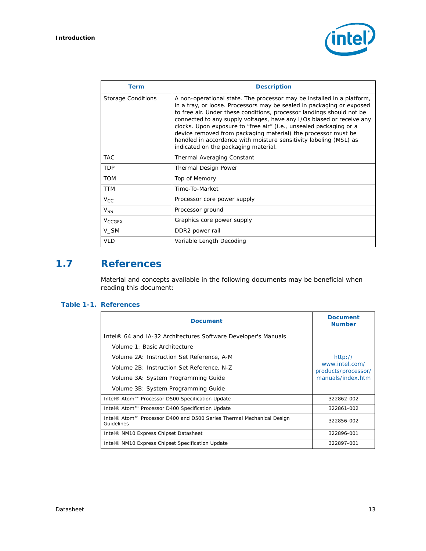

| Term                      | <b>Description</b>                                                                                                                                                                                                                                                                                                                                                                                                                                                                                                                                    |
|---------------------------|-------------------------------------------------------------------------------------------------------------------------------------------------------------------------------------------------------------------------------------------------------------------------------------------------------------------------------------------------------------------------------------------------------------------------------------------------------------------------------------------------------------------------------------------------------|
| <b>Storage Conditions</b> | A non-operational state. The processor may be installed in a platform,<br>in a tray, or loose. Processors may be sealed in packaging or exposed<br>to free air. Under these conditions, processor landings should not be<br>connected to any supply voltages, have any I/Os biased or receive any<br>clocks. Upon exposure to "free air" (i.e., unsealed packaging or a<br>device removed from packaging material) the processor must be<br>handled in accordance with moisture sensitivity labeling (MSL) as<br>indicated on the packaging material. |
| <b>TAC</b>                | Thermal Averaging Constant                                                                                                                                                                                                                                                                                                                                                                                                                                                                                                                            |
| <b>TDP</b>                | <b>Thermal Design Power</b>                                                                                                                                                                                                                                                                                                                                                                                                                                                                                                                           |
| <b>TOM</b>                | Top of Memory                                                                                                                                                                                                                                                                                                                                                                                                                                                                                                                                         |
| <b>TTM</b>                | Time-To-Market                                                                                                                                                                                                                                                                                                                                                                                                                                                                                                                                        |
| $V_{\rm CC}$              | Processor core power supply                                                                                                                                                                                                                                                                                                                                                                                                                                                                                                                           |
| $V_{SS}$                  | Processor ground                                                                                                                                                                                                                                                                                                                                                                                                                                                                                                                                      |
| <b>V<sub>CCGFX</sub></b>  | Graphics core power supply                                                                                                                                                                                                                                                                                                                                                                                                                                                                                                                            |
| V SM                      | DDR2 power rail                                                                                                                                                                                                                                                                                                                                                                                                                                                                                                                                       |
| <b>VLD</b>                | Variable Length Decoding                                                                                                                                                                                                                                                                                                                                                                                                                                                                                                                              |

# <span id="page-12-0"></span>**1.7 References**

Material and concepts available in the following documents may be beneficial when reading this document:

#### <span id="page-12-1"></span>**Table 1-1. References**

| <b>Document</b>                                                                     | <b>Document</b><br><b>Number</b>      |
|-------------------------------------------------------------------------------------|---------------------------------------|
| Intel® 64 and IA-32 Architectures Software Developer's Manuals                      |                                       |
| Volume 1: Basic Architecture                                                        |                                       |
| Volume 2A: Instruction Set Reference, A-M                                           | http://                               |
| Volume 2B: Instruction Set Reference, N-Z                                           | www.intel.com/<br>products/processor/ |
| Volume 3A: System Programming Guide                                                 | manuals/index.htm                     |
| Volume 3B: System Programming Guide                                                 |                                       |
| Intel® Atom™ Processor D500 Specification Update<br>322862-002                      |                                       |
| Intel® Atom™ Processor D400 Specification Update                                    | 322861-002                            |
| Intel® Atom™ Processor D400 and D500 Series Thermal Mechanical Design<br>Guidelines | 322856-002                            |
| Intel® NM10 Express Chipset Datasheet                                               | 322896-001                            |
| Intel® NM10 Express Chipset Specification Update                                    | 322897-001                            |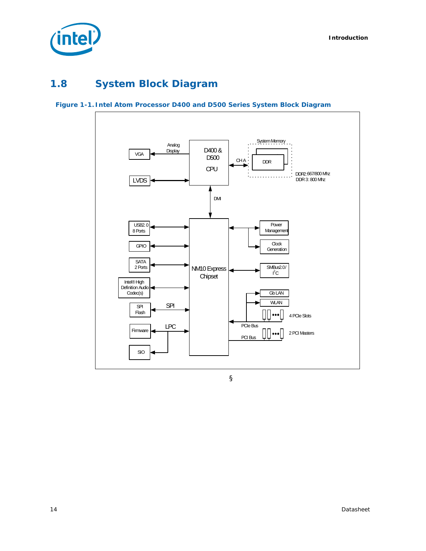

# <span id="page-13-0"></span>**1.8 System Block Diagram**

#### <span id="page-13-1"></span>**Figure 1-1. Intel Atom Processor D400 and D500 Series System Block Diagram**



§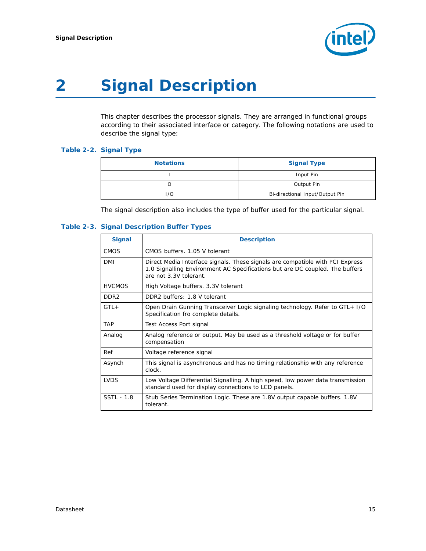

# <span id="page-14-0"></span>*2 Signal Description*

This chapter describes the processor signals. They are arranged in functional groups according to their associated interface or category. The following notations are used to describe the signal type:

#### <span id="page-14-1"></span>**Table 2-2. Signal Type**

| <b>Notations</b> | <b>Signal Type</b>              |
|------------------|---------------------------------|
|                  | Input Pin                       |
|                  | Output Pin                      |
| 1/O              | Bi-directional Input/Output Pin |

The signal description also includes the type of buffer used for the particular signal.

#### <span id="page-14-2"></span>**Table 2-3. Signal Description Buffer Types**

| <b>Signal</b>    | <b>Description</b>                                                                                                                                                                      |
|------------------|-----------------------------------------------------------------------------------------------------------------------------------------------------------------------------------------|
| <b>CMOS</b>      | CMOS buffers, 1.05 V tolerant                                                                                                                                                           |
| DMI              | Direct Media Interface signals. These signals are compatible with PCI Express<br>1.0 Signalling Environment AC Specifications but are DC coupled. The buffers<br>are not 3.3V tolerant. |
| <b>HVCMOS</b>    | High Voltage buffers. 3.3V tolerant                                                                                                                                                     |
| DDR <sub>2</sub> | DDR2 buffers: 1.8 V tolerant                                                                                                                                                            |
| $GTL+$           | Open Drain Gunning Transceiver Logic signaling technology. Refer to GTL+ I/O<br>Specification fro complete details.                                                                     |
| <b>TAP</b>       | Test Access Port signal                                                                                                                                                                 |
| Analog           | Analog reference or output. May be used as a threshold voltage or for buffer<br>compensation                                                                                            |
| Ref              | Voltage reference signal                                                                                                                                                                |
| Asynch           | This signal is asynchronous and has no timing relationship with any reference<br>clock.                                                                                                 |
| <b>LVDS</b>      | Low Voltage Differential Signalling. A high speed, low power data transmission<br>standard used for display connections to LCD panels.                                                  |
| SSTL - 1.8       | Stub Series Termination Logic. These are 1.8V output capable buffers. 1.8V<br>tolerant.                                                                                                 |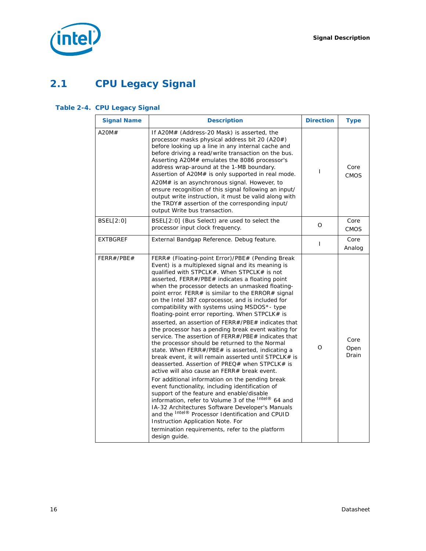

# <span id="page-15-0"></span>**2.1 CPU Legacy Signal**

### <span id="page-15-1"></span>**Table 2-4. CPU Legacy Signal**

| <b>Signal Name</b> | <b>Description</b>                                                                                                                                                                                                                                                                                                                                                                                                                                                                                                                                                                                                                                                                                                                                                                                                                                                                                                                                                                                                                                                                                                                                                                                                                                                                                                                            | <b>Direction</b> | <b>Type</b>           |
|--------------------|-----------------------------------------------------------------------------------------------------------------------------------------------------------------------------------------------------------------------------------------------------------------------------------------------------------------------------------------------------------------------------------------------------------------------------------------------------------------------------------------------------------------------------------------------------------------------------------------------------------------------------------------------------------------------------------------------------------------------------------------------------------------------------------------------------------------------------------------------------------------------------------------------------------------------------------------------------------------------------------------------------------------------------------------------------------------------------------------------------------------------------------------------------------------------------------------------------------------------------------------------------------------------------------------------------------------------------------------------|------------------|-----------------------|
| A20M#              | If A20M# (Address-20 Mask) is asserted, the<br>processor masks physical address bit 20 (A20#)<br>before looking up a line in any internal cache and<br>before driving a read/write transaction on the bus.<br>Asserting A20M# emulates the 8086 processor's<br>address wrap-around at the 1-MB boundary.<br>Assertion of A20M# is only supported in real mode.<br>A20M# is an asynchronous signal. However, to<br>ensure recognition of this signal following an input/<br>output write instruction, it must be valid along with<br>the TRDY# assertion of the corresponding input/<br>output Write bus transaction.                                                                                                                                                                                                                                                                                                                                                                                                                                                                                                                                                                                                                                                                                                                          | T                | Core<br><b>CMOS</b>   |
| BSEL[2:0]          | BSEL[2:0] (Bus Select) are used to select the<br>processor input clock frequency.                                                                                                                                                                                                                                                                                                                                                                                                                                                                                                                                                                                                                                                                                                                                                                                                                                                                                                                                                                                                                                                                                                                                                                                                                                                             | $\Omega$         | Core<br><b>CMOS</b>   |
| <b>EXTBGREF</b>    | External Bandgap Reference. Debug feature.                                                                                                                                                                                                                                                                                                                                                                                                                                                                                                                                                                                                                                                                                                                                                                                                                                                                                                                                                                                                                                                                                                                                                                                                                                                                                                    | $\mathbf{I}$     | Core<br>Analog        |
| FERR#/PBE#         | FERR# (Floating-point Error)/PBE# (Pending Break<br>Event) is a multiplexed signal and its meaning is<br>qualified with STPCLK#. When STPCLK# is not<br>asserted, FERR#/PBE# indicates a floating point<br>when the processor detects an unmasked floating-<br>point error. FERR# is similar to the ERROR# signal<br>on the Intel 387 coprocessor, and is included for<br>compatibility with systems using MSDOS*- type<br>floating-point error reporting. When STPCLK# is<br>asserted, an assertion of FERR#/PBE# indicates that<br>the processor has a pending break event waiting for<br>service. The assertion of FERR#/PBE# indicates that<br>the processor should be returned to the Normal<br>state. When FERR#/PBE# is asserted, indicating a<br>break event, it will remain asserted until STPCLK# is<br>deasserted. Assertion of PREQ# when STPCLK# is<br>active will also cause an FERR# break event.<br>For additional information on the pending break<br>event functionality, including identification of<br>support of the feature and enable/disable<br>information, refer to Volume 3 of the Intel® 64 and<br>IA-32 Architectures Software Developer's Manuals<br>and the Intel® Processor Identification and CPUID<br>Instruction Application Note. For<br>termination requirements, refer to the platform<br>design guide. | O                | Core<br>Open<br>Drain |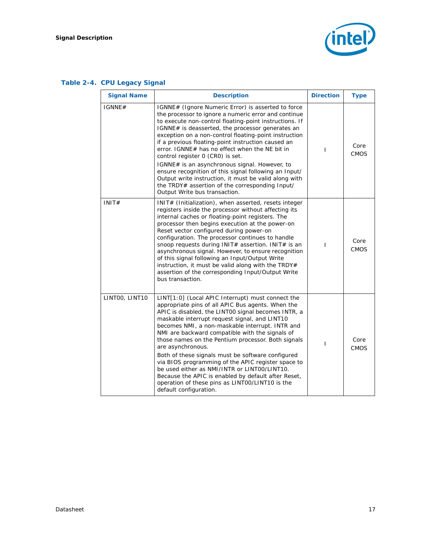### **Table 2-4. CPU Legacy Signal**

| <b>Signal Name</b> | <b>Description</b>                                                                                                                                                                                                                                                                                                                                                                                                                                                                                                                                                                                                                                                                             | <b>Direction</b> | <b>Type</b>         |
|--------------------|------------------------------------------------------------------------------------------------------------------------------------------------------------------------------------------------------------------------------------------------------------------------------------------------------------------------------------------------------------------------------------------------------------------------------------------------------------------------------------------------------------------------------------------------------------------------------------------------------------------------------------------------------------------------------------------------|------------------|---------------------|
| IGNNE#             | IGNNE# (Ignore Numeric Error) is asserted to force<br>the processor to ignore a numeric error and continue<br>to execute non-control floating-point instructions. If<br>IGNNE# is deasserted, the processor generates an<br>exception on a non-control floating-point instruction<br>if a previous floating-point instruction caused an<br>error. IGNNE# has no effect when the NE bit in<br>control register 0 (CRO) is set.<br>IGNNE# is an asynchronous signal. However, to<br>ensure recognition of this signal following an Input/<br>Output write instruction, it must be valid along with<br>the TRDY# assertion of the corresponding Input/<br>Output Write bus transaction.           | L                | Core<br><b>CMOS</b> |
| INIT#              | INIT# (Initialization), when asserted, resets integer<br>registers inside the processor without affecting its<br>internal caches or floating-point registers. The<br>processor then begins execution at the power-on<br>Reset vector configured during power-on<br>configuration. The processor continues to handle<br>snoop requests during INIT# assertion. INIT# is an<br>asynchronous signal. However, to ensure recognition<br>of this signal following an Input/Output Write<br>instruction, it must be valid along with the TRDY#<br>assertion of the corresponding Input/Output Write<br>bus transaction.                                                                              | T                | Core<br>CMOS        |
| LINTOO, LINT10     | LINT[1:0] (Local APIC Interrupt) must connect the<br>appropriate pins of all APIC Bus agents. When the<br>APIC is disabled, the LINT00 signal becomes INTR, a<br>maskable interrupt request signal, and LINT10<br>becomes NMI, a non-maskable interrupt. INTR and<br>NMI are backward compatible with the signals of<br>those names on the Pentium processor. Both signals<br>are asynchronous.<br>Both of these signals must be software configured<br>via BIOS programming of the APIC register space to<br>be used either as NMI/INTR or LINT00/LINT10.<br>Because the APIC is enabled by default after Reset,<br>operation of these pins as LINT00/LINT10 is the<br>default configuration. | T                | Core<br><b>CMOS</b> |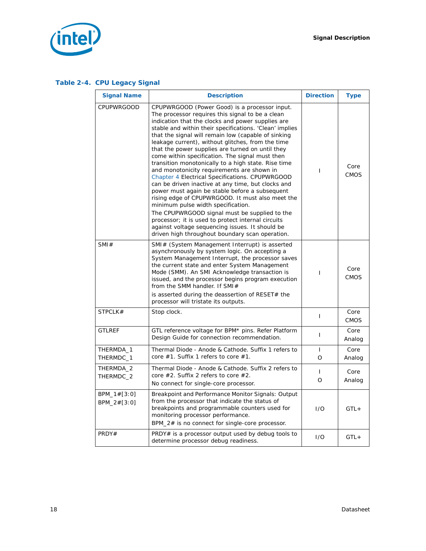*Signal Description*



### **Table 2-4. CPU Legacy Signal**

| <b>Signal Name</b>           | <b>Description</b>                                                                                                                                                                                                                                                                                                                                                                                                                                                                                                                                                                                                                                                                                                                                                                                                                                                                                                                                                                                          | <b>Direction</b>        | <b>Type</b>         |
|------------------------------|-------------------------------------------------------------------------------------------------------------------------------------------------------------------------------------------------------------------------------------------------------------------------------------------------------------------------------------------------------------------------------------------------------------------------------------------------------------------------------------------------------------------------------------------------------------------------------------------------------------------------------------------------------------------------------------------------------------------------------------------------------------------------------------------------------------------------------------------------------------------------------------------------------------------------------------------------------------------------------------------------------------|-------------------------|---------------------|
| <b>CPUPWRGOOD</b>            | CPUPWRGOOD (Power Good) is a processor input.<br>The processor requires this signal to be a clean<br>indication that the clocks and power supplies are<br>stable and within their specifications. 'Clean' implies<br>that the signal will remain low (capable of sinking<br>leakage current), without glitches, from the time<br>that the power supplies are turned on until they<br>come within specification. The signal must then<br>transition monotonically to a high state. Rise time<br>and monotonicity requirements are shown in<br>Chapter 4 Electrical Specifications. CPUPWRGOOD<br>can be driven inactive at any time, but clocks and<br>power must again be stable before a subsequent<br>rising edge of CPUPWRGOOD. It must also meet the<br>minimum pulse width specification.<br>The CPUPWRGOOD signal must be supplied to the<br>processor; it is used to protect internal circuits<br>against voltage sequencing issues. It should be<br>driven high throughout boundary scan operation. | T                       | Core<br><b>CMOS</b> |
| SMI#                         | SMI# (System Management Interrupt) is asserted<br>asynchronously by system logic. On accepting a<br>System Management Interrupt, the processor saves<br>the current state and enter System Management<br>Mode (SMM). An SMI Acknowledge transaction is<br>issued, and the processor begins program execution<br>from the SMM handler. If SMI#<br>is asserted during the deassertion of RESET# the                                                                                                                                                                                                                                                                                                                                                                                                                                                                                                                                                                                                           | T                       | Core<br><b>CMOS</b> |
| STPCLK#                      | processor will tristate its outputs.<br>Stop clock.                                                                                                                                                                                                                                                                                                                                                                                                                                                                                                                                                                                                                                                                                                                                                                                                                                                                                                                                                         | L                       | Core<br><b>CMOS</b> |
| <b>GTLREF</b>                | GTL reference voltage for BPM* pins. Refer Platform<br>Design Guide for connection recommendation.                                                                                                                                                                                                                                                                                                                                                                                                                                                                                                                                                                                                                                                                                                                                                                                                                                                                                                          | L                       | Core<br>Analog      |
| THERMDA_1<br>THERMDC_1       | Thermal Diode - Anode & Cathode. Suffix 1 refers to<br>core #1. Suffix 1 refers to core #1.                                                                                                                                                                                                                                                                                                                                                                                                                                                                                                                                                                                                                                                                                                                                                                                                                                                                                                                 | $\mathbf{I}$<br>$\circ$ | Core<br>Analog      |
| THERMDA_2<br>THERMDC_2       | Thermal Diode - Anode & Cathode. Suffix 2 refers to<br>core #2. Suffix 2 refers to core #2.<br>No connect for single-core processor.                                                                                                                                                                                                                                                                                                                                                                                                                                                                                                                                                                                                                                                                                                                                                                                                                                                                        | T<br>$\Omega$           | Core<br>Analog      |
| BPM_1#[3:0]<br>$BPM_2#[3:0]$ | Breakpoint and Performance Monitor Signals: Output<br>from the processor that indicate the status of<br>breakpoints and programmable counters used for<br>monitoring processor performance.<br>BPM_2# is no connect for single-core processor.                                                                                                                                                                                                                                                                                                                                                                                                                                                                                                                                                                                                                                                                                                                                                              | 1/O                     | $GTL+$              |
| PRDY#                        | PRDY# is a processor output used by debug tools to<br>determine processor debug readiness.                                                                                                                                                                                                                                                                                                                                                                                                                                                                                                                                                                                                                                                                                                                                                                                                                                                                                                                  | 1/O                     | $GTL+$              |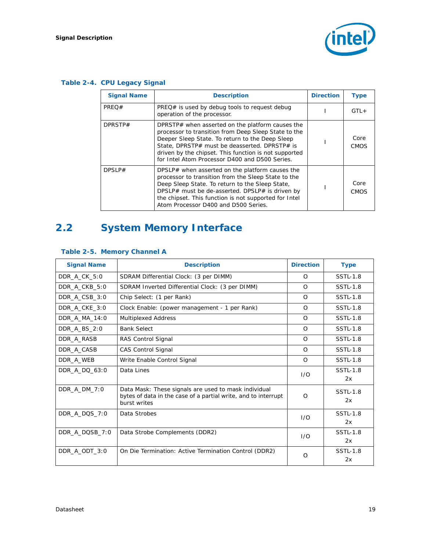

### **Table 2-4. CPU Legacy Signal**

| <b>Signal Name</b> | <b>Description</b>                                                                                                                                                                                                                                                                                                      | <b>Direction</b> | <b>Type</b>         |
|--------------------|-------------------------------------------------------------------------------------------------------------------------------------------------------------------------------------------------------------------------------------------------------------------------------------------------------------------------|------------------|---------------------|
| PREQ#              | $PREQ#$ is used by debug tools to request debug<br>operation of the processor.                                                                                                                                                                                                                                          |                  | $GTL +$             |
| DPRSTP#            | DPRSTP# when asserted on the platform causes the<br>processor to transition from Deep Sleep State to the<br>Deeper Sleep State. To return to the Deep Sleep<br>State, DPRSTP# must be deasserted. DPRSTP# is<br>driven by the chipset. This function is not supported<br>for Intel Atom Processor D400 and D500 Series. |                  | Core<br><b>CMOS</b> |
| DPSLP#             | DPSLP# when asserted on the platform causes the<br>processor to transition from the Sleep State to the<br>Deep Sleep State. To return to the Sleep State,<br>DPSLP# must be de-asserted. DPSLP# is driven by<br>the chipset. This function is not supported for Intel<br>Atom Processor D400 and D500 Series.           |                  | Core<br>CMOS        |

# <span id="page-18-0"></span>**2.2 System Memory Interface**

| <b>Signal Name</b> | <b>Description</b>                                                                                                                     | <b>Direction</b> | <b>Type</b>           |
|--------------------|----------------------------------------------------------------------------------------------------------------------------------------|------------------|-----------------------|
| DDR_A_CK_5:0       | SDRAM Differential Clock: (3 per DIMM)                                                                                                 | $\Omega$         | <b>SSTL-1.8</b>       |
| DDR A CKB 5:0      | SDRAM Inverted Differential Clock: (3 per DIMM)                                                                                        | $\Omega$         | <b>SSTL-1.8</b>       |
| DDR_A_CSB_3:0      | Chip Select: (1 per Rank)                                                                                                              | $\Omega$         | <b>SSTL-1.8</b>       |
| DDR A CKE 3:0      | Clock Enable: (power management - 1 per Rank)                                                                                          | $\Omega$         | <b>SSTL-1.8</b>       |
| DDR A MA 14:0      | Multiplexed Address                                                                                                                    | $\Omega$         | <b>SSTL-1.8</b>       |
| DDR A BS 2:0       | <b>Bank Select</b>                                                                                                                     | $\Omega$         | <b>SSTL-1.8</b>       |
| DDR A RASB         | RAS Control Signal                                                                                                                     | $\Omega$         | <b>SSTL-1.8</b>       |
| DDR A CASB         | <b>CAS Control Signal</b>                                                                                                              | $\Omega$         | <b>SSTL-1.8</b>       |
| DDR A WEB          | Write Enable Control Signal                                                                                                            | $\Omega$         | <b>SSTL-1.8</b>       |
| DDR A DQ 63:0      | Data Lines                                                                                                                             | 1/O              | <b>SSTL-1.8</b><br>2x |
| DDR A DM 7:0       | Data Mask: These signals are used to mask individual<br>bytes of data in the case of a partial write, and to interrupt<br>burst writes | $\Omega$         | <b>SSTL-1.8</b><br>2x |
| DDR_A_DQS_7:0      | Data Strobes                                                                                                                           | 1/O              | <b>SSTL-1.8</b><br>2x |
| DDR_A_DQSB_7:0     | Data Strobe Complements (DDR2)                                                                                                         | 1/O              | <b>SSTL-1.8</b><br>2x |
| DDR A ODT 3:0      | On Die Termination: Active Termination Control (DDR2)                                                                                  | $\Omega$         | <b>SSTL-1.8</b><br>2x |

### <span id="page-18-1"></span>**Table 2-5. Memory Channel A**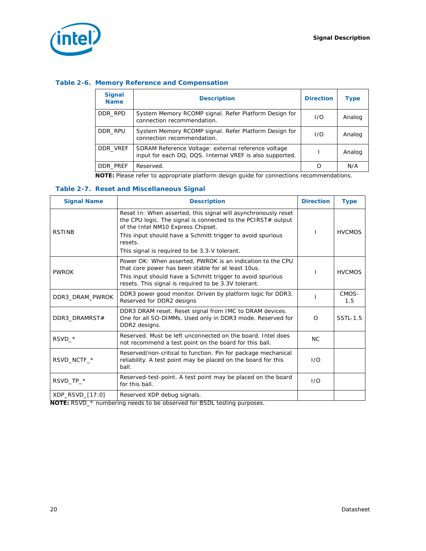

#### <span id="page-19-0"></span>**Table 2-6. Memory Reference and Compensation**

| <b>Signal</b><br><b>Name</b> | <b>Description</b>                                                                                              | <b>Direction</b> | Type   |
|------------------------------|-----------------------------------------------------------------------------------------------------------------|------------------|--------|
| DDR RPD                      | System Memory RCOMP signal. Refer Platform Design for<br>connection recommendation.                             | 1/O              | Analog |
| DDR RPU                      | System Memory RCOMP signal. Refer Platform Design for<br>connection recommendation.                             | 1/O              | Analog |
| DDR VREF                     | SDRAM Reference Voltage: external reference voltage<br>input for each DQ, DQS. Internal VREF is also supported. |                  | Analog |
| DDR PREF                     | Reserved.                                                                                                       | O                | N/A    |

**NOTE:** Please refer to appropriate platform design guide for connections recommendations.

#### <span id="page-19-1"></span>**Table 2-7. Reset and Miscellaneous Signal**

| <b>Signal Name</b> | <b>Description</b>                                                                                                                                                                                                                            | <b>Direction</b> | <b>Type</b>     |
|--------------------|-----------------------------------------------------------------------------------------------------------------------------------------------------------------------------------------------------------------------------------------------|------------------|-----------------|
| <b>RSTINB</b>      | Reset In: When asserted, this signal will asynchronously reset<br>the CPU logic. The signal is connected to the PCIRST# output<br>of the Intel NM10 Express Chipset.<br>This input should have a Schmitt trigger to avoid spurious<br>resets. |                  | <b>HVCMOS</b>   |
|                    | This signal is required to be 3.3-V tolerant.                                                                                                                                                                                                 |                  |                 |
| <b>PWROK</b>       | Power OK: When asserted, PWROK is an indication to the CPU<br>that core power has been stable for at least 10us.<br>This input should have a Schmitt trigger to avoid spurious<br>resets. This signal is required to be 3.3V tolerant.        |                  | <b>HVCMOS</b>   |
| DDR3 DRAM PWROK    | DDR3 power good monitor. Driven by platform logic for DDR3.<br>Reserved for DDR2 designs                                                                                                                                                      |                  | CMOS-<br>1.5    |
| DDR3 DRAMRST#      | DDR3 DRAM reset. Reset signal from IMC to DRAM devices.<br>One for all SO-DIMMs. Used only in DDR3 mode. Reserved for<br>DDR2 designs.                                                                                                        | $\Omega$         | <b>SSTL-1.5</b> |
| RSVD *             | Reserved. Must be left unconnected on the board. Intel does<br>not recommend a test point on the board for this ball.                                                                                                                         | <b>NC</b>        |                 |
| RSVD_NCTF_*        | Reserved/non-critical to function. Pin for package mechanical<br>reliability. A test point may be placed on the board for this<br>ball.                                                                                                       | 1/O              |                 |
| RSVD TP *          | Reserved-test-point. A test point may be placed on the board<br>for this ball.                                                                                                                                                                | 1/O              |                 |
| XDP RSVD [17:0]    | Reserved XDP debug signals.                                                                                                                                                                                                                   |                  |                 |

**NOTE:** RSVD\_\* numbering needs to be observed for BSDL testing purposes.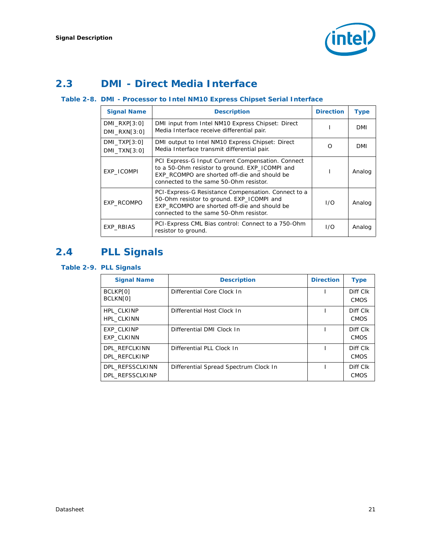

# <span id="page-20-0"></span>**2.3 DMI - Direct Media Interface**

#### <span id="page-20-2"></span>**Table 2-8. DMI - Processor to Intel NM10 Express Chipset Serial Interface**

| <b>Signal Name</b>                  | <b>Description</b>                                                                                                                                                                            | <b>Direction</b> | <b>Type</b> |
|-------------------------------------|-----------------------------------------------------------------------------------------------------------------------------------------------------------------------------------------------|------------------|-------------|
| $DMI_RXP[3:0]$<br>DMI RXN[3:0]      | DMI input from Intel NM10 Express Chipset: Direct<br>Media Interface receive differential pair.                                                                                               |                  | <b>DMI</b>  |
| $DMI$ TXP $[3:0]$<br>$DMI$ TXN[3:0] | DMI output to Intel NM10 Express Chipset: Direct<br>Media Interface transmit differential pair.                                                                                               | O                | DMI         |
| EXP_ICOMPI                          | PCI Express-G Input Current Compensation. Connect<br>to a 50-Ohm resistor to ground. EXP_ICOMPI and<br>EXP RCOMPO are shorted off-die and should be<br>connected to the same 50-Ohm resistor. |                  | Analog      |
| EXP RCOMPO                          | PCI-Express-G Resistance Compensation. Connect to a<br>50-Ohm resistor to ground. EXP_ICOMPI and<br>EXP RCOMPO are shorted off-die and should be<br>connected to the same 50-Ohm resistor.    | 1/O              | Analog      |
| EXP RBIAS                           | PCI-Express CML Bias control: Connect to a 750-Ohm<br>resistor to ground.                                                                                                                     | 1/O              | Analog      |

# <span id="page-20-1"></span>**2.4 PLL Signals**

#### <span id="page-20-3"></span>**Table 2-9. PLL Signals**

| <b>Signal Name</b>                     | <b>Description</b>                    | <b>Direction</b> | <b>Type</b>             |
|----------------------------------------|---------------------------------------|------------------|-------------------------|
| BCLKP[0]<br>BCLKN[0]                   | Differential Core Clock In            |                  | Diff Clk<br><b>CMOS</b> |
| HPL CLKINP<br>HPL CLKINN               | Differential Host Clock In            |                  | Diff Clk<br><b>CMOS</b> |
| <b>EXP CLKINP</b><br><b>EXP CLKINN</b> | Differential DMI Clock In             |                  | Diff Clk<br><b>CMOS</b> |
| DPL REFCLKINN<br>DPL REFCLKINP         | Differential PLL Clock In             |                  | Diff Clk<br><b>CMOS</b> |
| DPL REFSSCLKINN<br>DPL REFSSCLKINP     | Differential Spread Spectrum Clock In |                  | Diff Clk<br><b>CMOS</b> |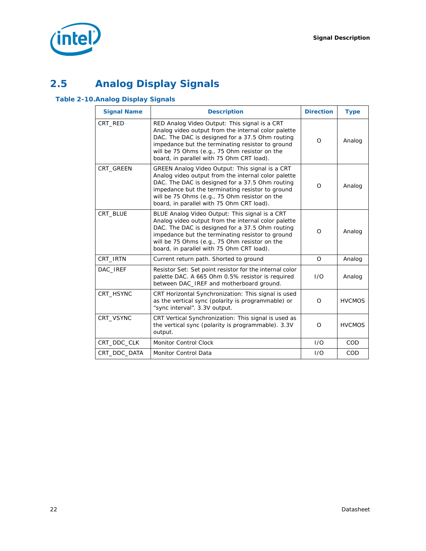

# <span id="page-21-0"></span>**2.5 Analog Display Signals**

### <span id="page-21-1"></span>**Table 2-10.Analog Display Signals**

| <b>Signal Name</b> | <b>Description</b>                                                                                                                                                                                                                                                                                          | <b>Direction</b> | <b>Type</b>   |
|--------------------|-------------------------------------------------------------------------------------------------------------------------------------------------------------------------------------------------------------------------------------------------------------------------------------------------------------|------------------|---------------|
| CRT_RED            | RED Analog Video Output: This signal is a CRT<br>Analog video output from the internal color palette<br>DAC. The DAC is designed for a 37.5 Ohm routing<br>impedance but the terminating resistor to ground<br>will be 75 Ohms (e.g., 75 Ohm resistor on the<br>board, in parallel with 75 Ohm CRT load).   | $\Omega$         | Analog        |
| CRT_GREEN          | GREEN Analog Video Output: This signal is a CRT<br>Analog video output from the internal color palette<br>DAC. The DAC is designed for a 37.5 Ohm routing<br>impedance but the terminating resistor to ground<br>will be 75 Ohms (e.g., 75 Ohm resistor on the<br>board, in parallel with 75 Ohm CRT load). | $\Omega$         | Analog        |
| CRT BLUE           | BLUE Analog Video Output: This signal is a CRT<br>Analog video output from the internal color palette<br>DAC. The DAC is designed for a 37.5 Ohm routing<br>impedance but the terminating resistor to ground<br>will be 75 Ohms (e.g., 75 Ohm resistor on the<br>board, in parallel with 75 Ohm CRT load).  | $\Omega$         | Analog        |
| CRT_IRTN           | Current return path. Shorted to ground                                                                                                                                                                                                                                                                      | O                | Analog        |
| DAC IREF           | Resistor Set: Set point resistor for the internal color<br>palette DAC. A 665 Ohm 0.5% resistor is required<br>between DAC_IREF and motherboard ground.                                                                                                                                                     | 1/O              | Analog        |
| CRT HSYNC          | CRT Horizontal Synchronization: This signal is used<br>as the vertical sync (polarity is programmable) or<br>"sync interval". 3.3V output.                                                                                                                                                                  | $\Omega$         | <b>HVCMOS</b> |
| CRT_VSYNC          | CRT Vertical Synchronization: This signal is used as<br>the vertical sync (polarity is programmable). 3.3V<br>output.                                                                                                                                                                                       | $\Omega$         | <b>HVCMOS</b> |
| CRT_DDC_CLK        | <b>Monitor Control Clock</b>                                                                                                                                                                                                                                                                                | 1/O              | <b>COD</b>    |
| CRT DDC DATA       | <b>Monitor Control Data</b>                                                                                                                                                                                                                                                                                 | 1/O              | COD           |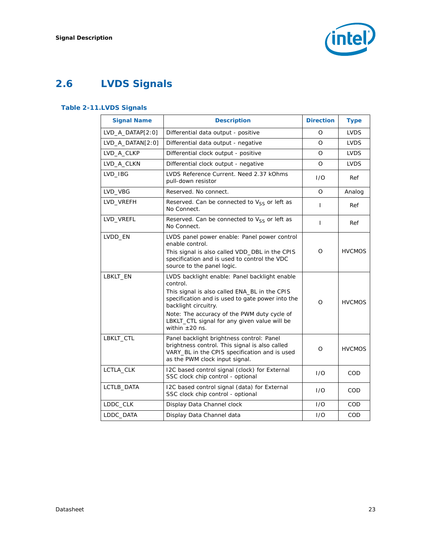

# <span id="page-22-0"></span>**2.6 LVDS Signals**

### <span id="page-22-1"></span>**Table 2-11.LVDS Signals**

| <b>Signal Name</b> | <b>Description</b>                                                                                                                                                                                                                                                                                           | <b>Direction</b> | <b>Type</b>   |
|--------------------|--------------------------------------------------------------------------------------------------------------------------------------------------------------------------------------------------------------------------------------------------------------------------------------------------------------|------------------|---------------|
| $LVD_A_DATAP[2:0]$ | Differential data output - positive                                                                                                                                                                                                                                                                          | O                | <b>LVDS</b>   |
| LVD_A_DATAN[2:0]   | Differential data output - negative                                                                                                                                                                                                                                                                          | $\Omega$         | <b>LVDS</b>   |
| LVD_A_CLKP         | Differential clock output - positive                                                                                                                                                                                                                                                                         | $\Omega$         | <b>LVDS</b>   |
| LVD A CLKN         | Differential clock output - negative                                                                                                                                                                                                                                                                         | O                | <b>LVDS</b>   |
| LVD_IBG            | LVDS Reference Current. Need 2.37 kOhms<br>pull-down resistor                                                                                                                                                                                                                                                | 1/O              | Ref           |
| LVD_VBG            | Reserved. No connect.                                                                                                                                                                                                                                                                                        | $\Omega$         | Analog        |
| LVD_VREFH          | Reserved. Can be connected to $V_{SS}$ or left as<br>No Connect.                                                                                                                                                                                                                                             | L                | Ref           |
| LVD_VREFL          | Reserved. Can be connected to $V_{SS}$ or left as<br>No Connect.                                                                                                                                                                                                                                             | L                | Ref           |
| LVDD_EN            | LVDS panel power enable: Panel power control<br>enable control.<br>This signal is also called VDD_DBL in the CPIS<br>specification and is used to control the VDC<br>source to the panel logic.                                                                                                              | O                | <b>HVCMOS</b> |
| LBKLT EN           | LVDS backlight enable: Panel backlight enable<br>control.<br>This signal is also called ENA_BL in the CPIS<br>specification and is used to gate power into the<br>backlight circuitry.<br>Note: The accuracy of the PWM duty cycle of<br>LBKLT_CTL signal for any given value will be<br>within $\pm 20$ ns. | $\Omega$         | <b>HVCMOS</b> |
| LBKLT_CTL          | Panel backlight brightness control: Panel<br>brightness control. This signal is also called<br>VARY_BL in the CPIS specification and is used<br>as the PWM clock input signal.                                                                                                                               | O                | <b>HVCMOS</b> |
| LCTLA_CLK          | I2C based control signal (clock) for External<br>SSC clock chip control - optional                                                                                                                                                                                                                           | 1/O              | COD.          |
| LCTLB_DATA         | I2C based control signal (data) for External<br>SSC clock chip control - optional                                                                                                                                                                                                                            | 1/O              | COD.          |
| LDDC_CLK           | Display Data Channel clock                                                                                                                                                                                                                                                                                   | 1/O              | <b>COD</b>    |
| LDDC_DATA          | Display Data Channel data                                                                                                                                                                                                                                                                                    | 1/O              | COD           |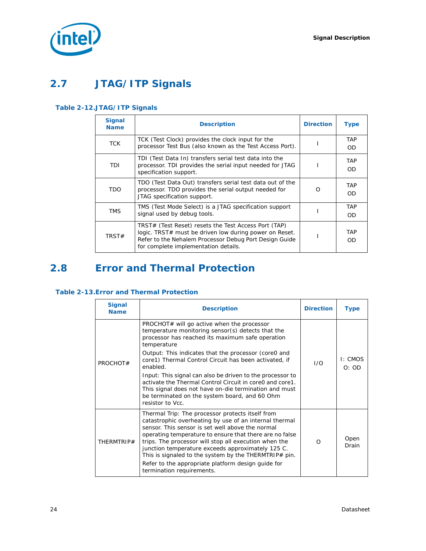

# <span id="page-23-0"></span>**2.7 JTAG/ITP Signals**

#### <span id="page-23-2"></span>**Table 2-12.JTAG/ITP Signals**

| <b>Signal</b><br><b>Name</b> | <b>Description</b>                                                                                                                                                                                               | <b>Direction</b> | <b>Type</b>      |
|------------------------------|------------------------------------------------------------------------------------------------------------------------------------------------------------------------------------------------------------------|------------------|------------------|
| <b>TCK</b>                   | TCK (Test Clock) provides the clock input for the<br>processor Test Bus (also known as the Test Access Port).                                                                                                    |                  | <b>TAP</b><br>OD |
| TDI                          | TDI (Test Data In) transfers serial test data into the<br>processor. TDI provides the serial input needed for JTAG<br>specification support.                                                                     |                  | <b>TAP</b><br>OD |
| <b>TDO</b>                   | TDO (Test Data Out) transfers serial test data out of the<br>processor. TDO provides the serial output needed for<br>JTAG specification support.                                                                 |                  | <b>TAP</b><br>OD |
| <b>TMS</b>                   | TMS (Test Mode Select) is a JTAG specification support<br>signal used by debug tools.                                                                                                                            |                  | <b>TAP</b><br>OD |
| TRST#                        | TRST# (Test Reset) resets the Test Access Port (TAP)<br>logic. TRST# must be driven low during power on Reset.<br>Refer to the Nehalem Processor Debug Port Design Guide<br>for complete implementation details. |                  | <b>TAP</b><br>OD |

# <span id="page-23-1"></span>**2.8 Error and Thermal Protection**

#### <span id="page-23-3"></span>**Table 2-13.Error and Thermal Protection**

| <b>Signal</b><br><b>Name</b> | <b>Description</b>                                                                                                                                                                                                                                                                                                                                                                                                                                                                  | <b>Direction</b> | Type             |
|------------------------------|-------------------------------------------------------------------------------------------------------------------------------------------------------------------------------------------------------------------------------------------------------------------------------------------------------------------------------------------------------------------------------------------------------------------------------------------------------------------------------------|------------------|------------------|
| PROCHOT#                     | PROCHOT# will go active when the processor<br>temperature monitoring sensor(s) detects that the<br>processor has reached its maximum safe operation<br>temperature<br>Output: This indicates that the processor (core0 and<br>core1) Thermal Control Circuit has been activated, if<br>enabled.                                                                                                                                                                                     | 1/O              | I: CMOS<br>O: OD |
| resistor to Vcc.             | Input: This signal can also be driven to the processor to<br>activate the Thermal Control Circuit in core0 and core1.<br>This signal does not have on-die termination and must<br>be terminated on the system board, and 60 Ohm                                                                                                                                                                                                                                                     |                  |                  |
| THERMTRIP#                   | Thermal Trip: The processor protects itself from<br>catastrophic overheating by use of an internal thermal<br>sensor. This sensor is set well above the normal<br>operating temperature to ensure that there are no false<br>trips. The processor will stop all execution when the<br>junction temperature exceeds approximately 125 C.<br>This is signaled to the system by the THERMTRIP# pin.<br>Refer to the appropriate platform design quide for<br>termination requirements. | $\Omega$         | Open<br>Drain    |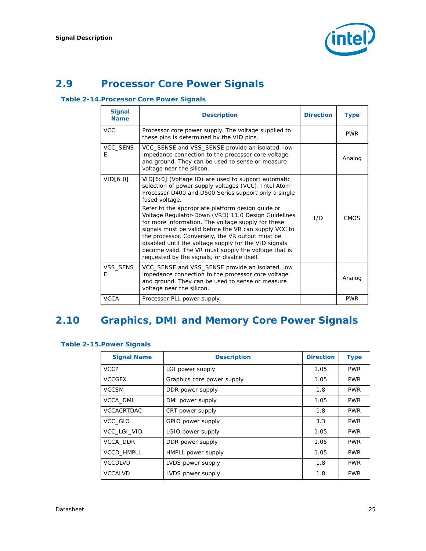

# <span id="page-24-0"></span>**2.9 Processor Core Power Signals**

#### <span id="page-24-2"></span>**Table 2-14.Processor Core Power Signals**

| <b>Signal</b><br><b>Name</b> | <b>Description</b>                                                                                                                                                                                                                                                                                                                                                                                                                                                                                                                                                                                                                    | <b>Direction</b> | Type        |
|------------------------------|---------------------------------------------------------------------------------------------------------------------------------------------------------------------------------------------------------------------------------------------------------------------------------------------------------------------------------------------------------------------------------------------------------------------------------------------------------------------------------------------------------------------------------------------------------------------------------------------------------------------------------------|------------------|-------------|
| <b>VCC</b>                   | Processor core power supply. The voltage supplied to<br>these pins is determined by the VID pins.                                                                                                                                                                                                                                                                                                                                                                                                                                                                                                                                     |                  | <b>PWR</b>  |
| VCC_SENS<br>E                | VCC_SENSE and VSS_SENSE provide an isolated, low<br>impedance connection to the processor core voltage<br>and ground. They can be used to sense or measure<br>voltage near the silicon.                                                                                                                                                                                                                                                                                                                                                                                                                                               |                  | Analog      |
| VID[6:0]                     | VID[6:0] (Voltage ID) are used to support automatic<br>selection of power supply voltages (VCC). Intel Atom<br>Processor D400 and D500 Series support only a single<br>fused voltage.<br>Refer to the appropriate platform design guide or<br>Voltage Regulator-Down (VRD) 11.0 Design Guidelines<br>for more information. The voltage supply for these<br>signals must be valid before the VR can supply VCC to<br>the processor. Conversely, the VR output must be<br>disabled until the voltage supply for the VID signals<br>become valid. The VR must supply the voltage that is<br>requested by the signals, or disable itself. | 1/O              | <b>CMOS</b> |
| VSS SENS<br>E                | VCC_SENSE and VSS_SENSE provide an isolated, low<br>impedance connection to the processor core voltage<br>and ground. They can be used to sense or measure<br>voltage near the silicon.                                                                                                                                                                                                                                                                                                                                                                                                                                               |                  | Analog      |
| <b>VCCA</b>                  | Processor PLL power supply.                                                                                                                                                                                                                                                                                                                                                                                                                                                                                                                                                                                                           |                  | <b>PWR</b>  |

# <span id="page-24-1"></span>**2.10 Graphics, DMI and Memory Core Power Signals**

#### <span id="page-24-3"></span>**Table 2-15.Power Signals**

| <b>Signal Name</b> | <b>Description</b>         | <b>Direction</b> | <b>Type</b> |
|--------------------|----------------------------|------------------|-------------|
| <b>VCCP</b>        | LGI power supply           | 1.05             | <b>PWR</b>  |
| <b>VCCGFX</b>      | Graphics core power supply | 1.05             | <b>PWR</b>  |
| <b>VCCSM</b>       | DDR power supply           | 1.8              | <b>PWR</b>  |
| <b>VCCA DMI</b>    | DMI power supply           | 1.05             | <b>PWR</b>  |
| <b>VCCACRTDAC</b>  | CRT power supply           | 1.8              | <b>PWR</b>  |
| VCC GIO            | GPIO power supply          | 3.3              | <b>PWR</b>  |
| VCC LGI VID        | LGIO power supply          | 1.05             | <b>PWR</b>  |
| VCCA DDR           | DDR power supply           | 1.05             | <b>PWR</b>  |
| <b>VCCD HMPLL</b>  | HMPLL power supply         | 1.05             | <b>PWR</b>  |
| <b>VCCDLVD</b>     | LVDS power supply          | 1.8              | <b>PWR</b>  |
| <b>VCCALVD</b>     | LVDS power supply          | 1.8              | <b>PWR</b>  |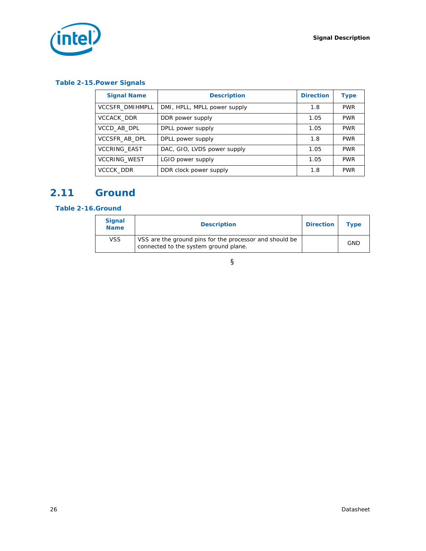



#### **Table 2-15.Power Signals**

| <b>Signal Name</b>     | <b>Description</b>           | <b>Direction</b> | <b>Type</b> |
|------------------------|------------------------------|------------------|-------------|
| <b>VCCSFR DMIHMPLL</b> | DMI, HPLL, MPLL power supply | 1.8              | <b>PWR</b>  |
| <b>VCCACK DDR</b>      | DDR power supply             | 1.05             | <b>PWR</b>  |
| VCCD AB DPL            | DPLL power supply            | 1.05             | <b>PWR</b>  |
| VCCSFR_AB_DPL          | DPLL power supply            | 1.8              | <b>PWR</b>  |
| <b>VCCRING EAST</b>    | DAC, GIO, LVDS power supply  | 1.05             | <b>PWR</b>  |
| <b>VCCRING WEST</b>    | LGIO power supply            | 1.05             | <b>PWR</b>  |
| <b>VCCCK DDR</b>       | DDR clock power supply       | 1.8              | <b>PWR</b>  |

# <span id="page-25-0"></span>**2.11 Ground**

#### <span id="page-25-1"></span>**Table 2-16.Ground**

| <b>Signal</b><br><b>Name</b> | <b>Description</b>                                                                               | <b>Direction</b> | <b>Type</b> |
|------------------------------|--------------------------------------------------------------------------------------------------|------------------|-------------|
| <b>VSS</b>                   | VSS are the ground pins for the processor and should be<br>connected to the system ground plane. |                  | <b>GND</b>  |

### §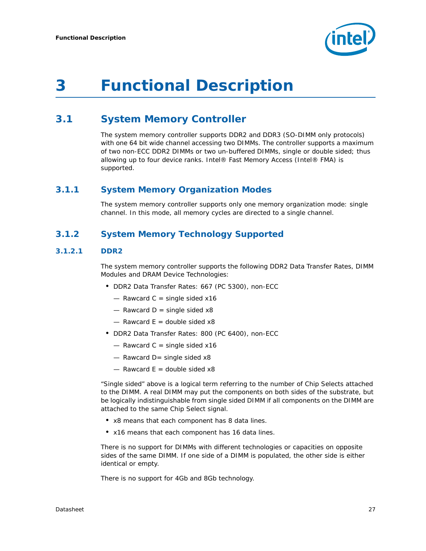

# <span id="page-26-0"></span>*3 Functional Description*

# <span id="page-26-1"></span>**3.1 System Memory Controller**

The system memory controller supports DDR2 and DDR3 (SO-DIMM only protocols) with one 64 bit wide channel accessing two DIMMs. The controller supports a maximum of two non-ECC DDR2 DIMMs or two un-buffered DIMMs, single or double sided; thus allowing up to four device ranks. Intel® Fast Memory Access (Intel® FMA) is supported.

### <span id="page-26-2"></span>**3.1.1 System Memory Organization Modes**

The system memory controller supports only one memory organization mode: single channel. In this mode, all memory cycles are directed to a single channel.

### <span id="page-26-3"></span>**3.1.2 System Memory Technology Supported**

#### **3.1.2.1 DDR2**

The system memory controller supports the following DDR2 Data Transfer Rates, DIMM Modules and DRAM Device Technologies:

- DDR2 Data Transfer Rates: 667 (PC 5300), non-ECC
	- $-$  Rawcard C = single sided x16
	- $-$  Rawcard D = single sided x8
	- $-$  Rawcard E = double sided  $x8$
- DDR2 Data Transfer Rates: 800 (PC 6400), non-ECC
	- $-$  Rawcard C = single sided x16
	- $-$  Rawcard D= single sided  $x8$
	- $-$  Rawcard E = double sided  $x8$

"Single sided" above is a logical term referring to the number of Chip Selects attached to the DIMM. A real DIMM may put the components on both sides of the substrate, but be logically indistinguishable from single sided DIMM if all components on the DIMM are attached to the same Chip Select signal.

- x8 means that each component has 8 data lines.
- x16 means that each component has 16 data lines.

There is no support for DIMMs with different technologies or capacities on opposite sides of the same DIMM. If one side of a DIMM is populated, the other side is either identical or empty.

There is no support for 4Gb and 8Gb technology.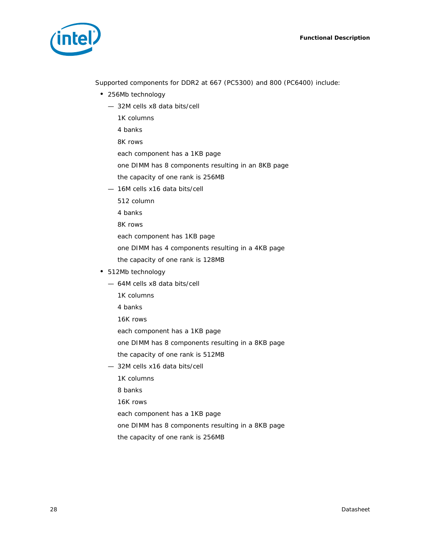

Supported components for DDR2 at 667 (PC5300) and 800 (PC6400) include:

- 256Mb technology
	- 32M cells x8 data bits/cell
		- 1K columns
		- 4 banks
		- 8K rows
		- each component has a 1KB page
		- one DIMM has 8 components resulting in an 8KB page
		- the capacity of one rank is 256MB
	- 16M cells x16 data bits/cell
		- 512 column
		- 4 banks
		- 8K rows
		- each component has 1KB page
		- one DIMM has 4 components resulting in a 4KB page
		- the capacity of one rank is 128MB
- 512Mb technology
	- 64M cells x8 data bits/cell
		- 1K columns
		- 4 banks
		- 16K rows
		- each component has a 1KB page
		- one DIMM has 8 components resulting in a 8KB page
		- the capacity of one rank is 512MB
	- 32M cells x16 data bits/cell
		- 1K columns
		- 8 banks
		- 16K rows
		- each component has a 1KB page
		- one DIMM has 8 components resulting in a 8KB page
		- the capacity of one rank is 256MB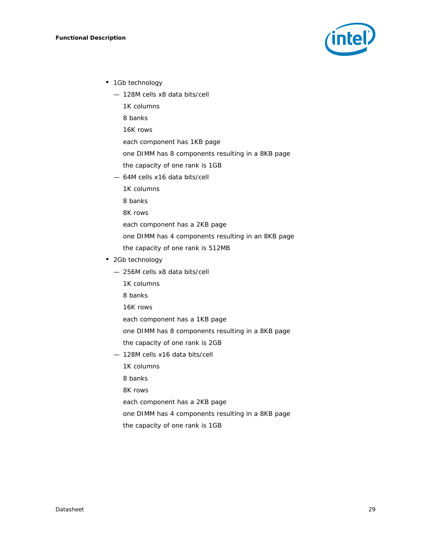

- 1Gb technology
	- 128M cells x8 data bits/cell
		- 1K columns
		- 8 banks
		- 16K rows
		- each component has 1KB page
		- one DIMM has 8 components resulting in a 8KB page
		- the capacity of one rank is 1GB
	- 64M cells x16 data bits/cell
		- 1K columns
		- 8 banks
		- 8K rows
		- each component has a 2KB page
		- one DIMM has 4 components resulting in an 8KB page
		- the capacity of one rank is 512MB
- 2Gb technology
	- 256M cells x8 data bits/cell
		- 1K columns
		- 8 banks
		- 16K rows
		- each component has a 1KB page
		- one DIMM has 8 components resulting in a 8KB page
		- the capacity of one rank is 2GB
	- 128M cells x16 data bits/cell
		- 1K columns
		- 8 banks
		- 8K rows
		- each component has a 2KB page
		- one DIMM has 4 components resulting in a 8KB page
		- the capacity of one rank is 1GB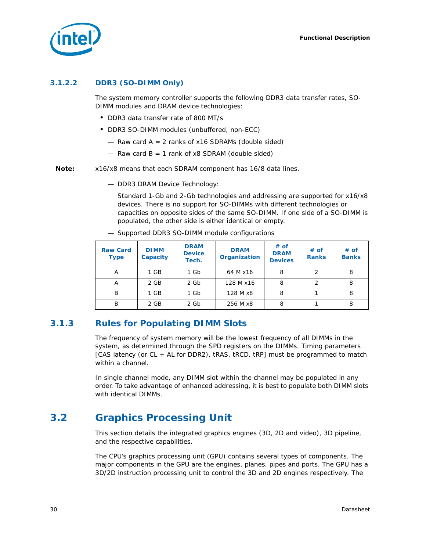

#### **3.1.2.2 DDR3 (SO-DIMM Only)**

The system memory controller supports the following DDR3 data transfer rates, SO-DIMM modules and DRAM device technologies:

- DDR3 data transfer rate of 800 MT/s
- DDR3 SO-DIMM modules (unbuffered, non-ECC)
	- $-$  Raw card A = 2 ranks of x16 SDRAMs (double sided)
	- $-$  Raw card B = 1 rank of x8 SDRAM (double sided)

*Note:* x16/x8 means that each SDRAM component has 16/8 data lines.

— DDR3 DRAM Device Technology:

Standard 1-Gb and 2-Gb technologies and addressing are supported for x16/x8 devices. There is no support for SO-DIMMs with different technologies or capacities on opposite sides of the same SO-DIMM. If one side of a SO-DIMM is populated, the other side is either identical or empty.

— Supported DDR3 SO-DIMM module configurations

| <b>Raw Card</b><br><b>Type</b> | <b>DIMM</b><br>Capacity | <b>DRAM</b><br><b>Device</b><br>Tech. | <b>DRAM</b><br>Organization | # of<br><b>DRAM</b><br><b>Devices</b> | # of<br><b>Ranks</b> | # of<br><b>Banks</b> |
|--------------------------------|-------------------------|---------------------------------------|-----------------------------|---------------------------------------|----------------------|----------------------|
| Α                              | 1 GB                    | 1 Gb                                  | 64 M x 16                   | 8                                     | 2                    | 8                    |
| Α                              | 2 GB                    | 2 Gb                                  | 128 M x16                   | 8                                     |                      | 8                    |
| B                              | 1 GB                    | 1 Gb                                  | 128 M x8                    | 8                                     |                      | 8                    |
| B                              | 2 GB                    | 2 Gb                                  | 256 M x8                    | 8                                     |                      | 8                    |

### <span id="page-29-0"></span>**3.1.3 Rules for Populating DIMM Slots**

The frequency of system memory will be the lowest frequency of all DIMMs in the system, as determined through the SPD registers on the DIMMs. Timing parameters [CAS latency (or CL + AL for DDR2), tRAS, tRCD, tRP] must be programmed to match within a channel.

In single channel mode, any DIMM slot within the channel may be populated in any order. To take advantage of enhanced addressing, it is best to populate both DIMM slots with identical DIMMs.

# <span id="page-29-1"></span>**3.2 Graphics Processing Unit**

This section details the integrated graphics engines (3D, 2D and video), 3D pipeline, and the respective capabilities.

The CPU's graphics processing unit (GPU) contains several types of components. The major components in the GPU are the engines, planes, pipes and ports. The GPU has a 3D/2D instruction processing unit to control the 3D and 2D engines respectively. The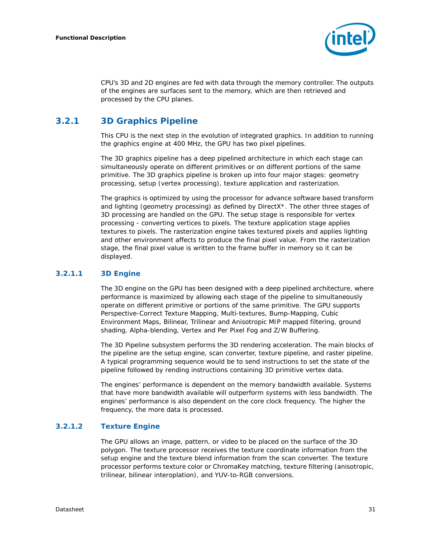

CPU's 3D and 2D engines are fed with data through the memory controller. The outputs of the engines are surfaces sent to the memory, which are then retrieved and processed by the CPU planes.

## <span id="page-30-0"></span>**3.2.1 3D Graphics Pipeline**

This CPU is the next step in the evolution of integrated graphics. In addition to running the graphics engine at 400 MHz, the GPU has two pixel pipelines.

The 3D graphics pipeline has a deep pipelined architecture in which each stage can simultaneously operate on different primitives or on different portions of the same primitive. The 3D graphics pipeline is broken up into four major stages: geometry processing, setup (vertex processing), texture application and rasterization.

The graphics is optimized by using the processor for advance software based transform and lighting (geometry processing) as defined by DirectX\*. The other three stages of 3D processing are handled on the GPU. The setup stage is responsible for vertex processing - converting vertices to pixels. The texture application stage applies textures to pixels. The rasterization engine takes textured pixels and applies lighting and other environment affects to produce the final pixel value. From the rasterization stage, the final pixel value is written to the frame buffer in memory so it can be displayed.

#### **3.2.1.1 3D Engine**

The 3D engine on the GPU has been designed with a deep pipelined architecture, where performance is maximized by allowing each stage of the pipeline to simultaneously operate on different primitive or portions of the same primitive. The GPU supports Perspective-Correct Texture Mapping, Multi-textures, Bump-Mapping, Cubic Environment Maps, Bilinear, Trilinear and Anisotropic MIP mapped filtering, ground shading, Alpha-blending, Vertex and Per Pixel Fog and Z/W Buffering.

The 3D Pipeline subsystem performs the 3D rendering acceleration. The main blocks of the pipeline are the setup engine, scan converter, texture pipeline, and raster pipeline. A typical programming sequence would be to send instructions to set the state of the pipeline followed by rending instructions containing 3D primitive vertex data.

The engines' performance is dependent on the memory bandwidth available. Systems that have more bandwidth available will outperform systems with less bandwidth. The engines' performance is also dependent on the core clock frequency. The higher the frequency, the more data is processed.

#### **3.2.1.2 Texture Engine**

The GPU allows an image, pattern, or video to be placed on the surface of the 3D polygon. The texture processor receives the texture coordinate information from the setup engine and the texture blend information from the scan converter. The texture processor performs texture color or ChromaKey matching, texture filtering (anisotropic, trilinear, bilinear interoplation), and YUV-to-RGB conversions.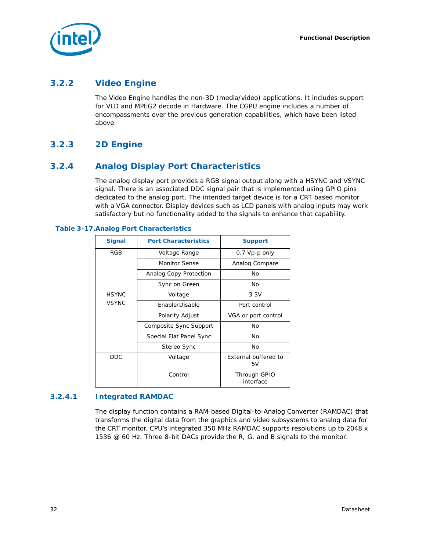

### <span id="page-31-0"></span>**3.2.2 Video Engine**

The Video Engine handles the non-3D (media/video) applications. It includes support for VLD and MPEG2 decode in Hardware. The CGPU engine includes a number of encompassments over the previous generation capabilities, which have been listed above.

### <span id="page-31-1"></span>**3.2.3 2D Engine**

### <span id="page-31-2"></span>**3.2.4 Analog Display Port Characteristics**

The analog display port provides a RGB signal output along with a HSYNC and VSYNC signal. There is an associated DDC signal pair that is implemented using GPIO pins dedicated to the analog port. The intended target device is for a CRT based monitor with a VGA connector. Display devices such as LCD panels with analog inputs may work satisfactory but no functionality added to the signals to enhance that capability.

| <b>Signal</b> | <b>Port Characteristics</b> | <b>Support</b>             |
|---------------|-----------------------------|----------------------------|
| <b>RGB</b>    | Voltage Range               | $0.7$ Vp-p only            |
|               | <b>Monitor Sense</b>        | Analog Compare             |
|               | Analog Copy Protection      | No                         |
|               | Sync on Green               | No                         |
| <b>HSYNC</b>  | Voltage                     | 3.3V                       |
| <b>VSYNC</b>  | Enable/Disable              | Port control               |
|               | Polarity Adjust             | VGA or port control        |
|               | Composite Sync Support      | No                         |
|               | Special Flat Panel Sync     | No                         |
|               | Stereo Sync                 | No                         |
| <b>DDC</b>    | Voltage                     | External buffered to<br>5V |
|               | Control                     | Through GPIO<br>interface  |

<span id="page-31-3"></span>**Table 3-17.Analog Port Characteristics**

#### **3.2.4.1 Integrated RAMDAC**

The display function contains a RAM-based Digital-to-Analog Converter (RAMDAC) that transforms the digital data from the graphics and video subsystems to analog data for the CRT monitor. CPU's integrated 350 MHz RAMDAC supports resolutions up to 2048 x 1536 @ 60 Hz. Three 8-bit DACs provide the R, G, and B signals to the monitor.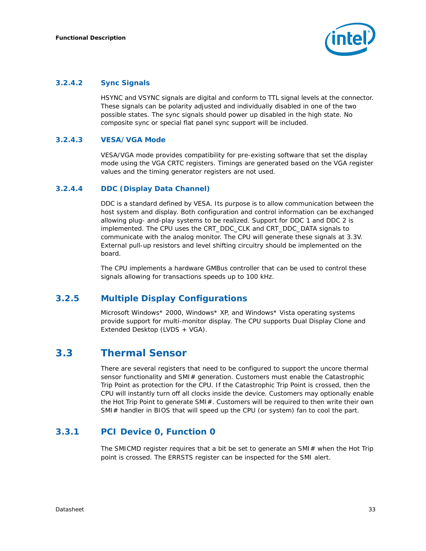

#### **3.2.4.2 Sync Signals**

HSYNC and VSYNC signals are digital and conform to TTL signal levels at the connector. These signals can be polarity adjusted and individually disabled in one of the two possible states. The sync signals should power up disabled in the high state. No composite sync or special flat panel sync support will be included.

#### **3.2.4.3 VESA/VGA Mode**

VESA/VGA mode provides compatibility for pre-existing software that set the display mode using the VGA CRTC registers. Timings are generated based on the VGA register values and the timing generator registers are not used.

#### **3.2.4.4 DDC (Display Data Channel)**

DDC is a standard defined by VESA. Its purpose is to allow communication between the host system and display. Both configuration and control information can be exchanged allowing plug- and-play systems to be realized. Support for DDC 1 and DDC 2 is implemented. The CPU uses the CRT\_DDC\_CLK and CRT\_DDC\_DATA signals to communicate with the analog monitor. The CPU will generate these signals at 3.3V. External pull-up resistors and level shifting circuitry should be implemented on the board.

The CPU implements a hardware GMBus controller that can be used to control these signals allowing for transactions speeds up to 100 kHz.

### <span id="page-32-0"></span>**3.2.5 Multiple Display Configurations**

Microsoft Windows\* 2000, Windows\* XP, and Windows\* Vista operating systems provide support for multi-monitor display. The CPU supports Dual Display Clone and Extended Desktop (LVDS + VGA).

# <span id="page-32-1"></span>**3.3 Thermal Sensor**

There are several registers that need to be configured to support the uncore thermal sensor functionality and SMI# generation. Customers must enable the Catastrophic Trip Point as protection for the CPU. If the Catastrophic Trip Point is crossed, then the CPU will instantly turn off all clocks inside the device. Customers may optionally enable the Hot Trip Point to generate SMI#. Customers will be required to then write their own SMI# handler in BIOS that will speed up the CPU (or system) fan to cool the part.

### <span id="page-32-2"></span>**3.3.1 PCI Device 0, Function 0**

The SMICMD register requires that a bit be set to generate an SMI $#$  when the Hot Trip point is crossed. The ERRSTS register can be inspected for the SMI alert.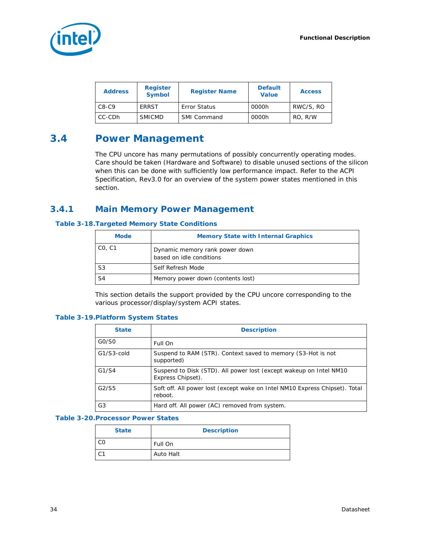

| <b>Address</b> | <b>Register</b><br><b>Symbol</b> | <b>Register Name</b> | <b>Default</b><br>Value | <b>Access</b> |
|----------------|----------------------------------|----------------------|-------------------------|---------------|
| $C8-C9$        | ERRST                            | <b>Error Status</b>  | 0000h                   | RWC/S, RO     |
| CC-CDh         | <b>SMICMD</b>                    | SMI Command          | 0000h                   | RO, R/W       |

# <span id="page-33-0"></span>**3.4 Power Management**

The CPU uncore has many permutations of possibly concurrently operating modes. Care should be taken (Hardware and Software) to disable unused sections of the silicon when this can be done with sufficiently low performance impact. Refer to the *ACPI Specification, Rev3.0* for an overview of the system power states mentioned in this section.

### <span id="page-33-1"></span>**3.4.1 Main Memory Power Management**

#### <span id="page-33-2"></span>**Table 3-18.Targeted Memory State Conditions**

| <b>Mode</b>    | <b>Memory State with Internal Graphics</b>                 |
|----------------|------------------------------------------------------------|
| CO, C1         | Dynamic memory rank power down<br>based on idle conditions |
| S3             | Self Refresh Mode                                          |
| S <sub>4</sub> | Memory power down (contents lost)                          |

This section details the support provided by the CPU uncore corresponding to the various processor/display/system ACPI states.

#### <span id="page-33-3"></span>**Table 3-19.Platform System States**

| <b>State</b>  | <b>Description</b>                                                                      |
|---------------|-----------------------------------------------------------------------------------------|
| GO/SO         | Full On                                                                                 |
| $G1/S3$ -cold | Suspend to RAM (STR). Context saved to memory (S3-Hot is not<br>supported)              |
| G1/S4         | Suspend to Disk (STD). All power lost (except wakeup on Intel NM10<br>Express Chipset). |
| G2/S5         | Soft off. All power lost (except wake on Intel NM10 Express Chipset). Total<br>reboot.  |
| G3            | Hard off. All power (AC) removed from system.                                           |

#### <span id="page-33-4"></span>**Table 3-20.Processor Power States**

| <b>State</b> | <b>Description</b> |
|--------------|--------------------|
|              | Full On            |
|              | Auto Halt          |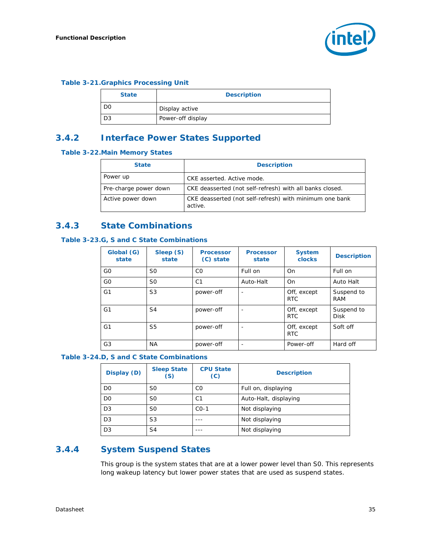#### <span id="page-34-3"></span>**Table 3-21.Graphics Processing Unit**

| <b>State</b> | <b>Description</b> |
|--------------|--------------------|
| DC           | Display active     |
| D3           | Power-off display  |

### <span id="page-34-0"></span>**3.4.2 Interface Power States Supported**

#### <span id="page-34-4"></span>**Table 3-22.Main Memory States**

| <b>State</b>          | <b>Description</b>                                                 |
|-----------------------|--------------------------------------------------------------------|
| Power up              | CKE asserted. Active mode.                                         |
| Pre-charge power down | CKE deasserted (not self-refresh) with all banks closed.           |
| Active power down     | CKE deasserted (not self-refresh) with minimum one bank<br>active. |

## <span id="page-34-1"></span>**3.4.3 State Combinations**

#### <span id="page-34-5"></span>**Table 3-23.G, S and C State Combinations**

| Global (G)<br>state | Sleep (S)<br>state | <b>Processor</b><br>(C) state | <b>Processor</b><br>state | <b>System</b><br><b>clocks</b> | <b>Description</b>        |
|---------------------|--------------------|-------------------------------|---------------------------|--------------------------------|---------------------------|
| G <sub>0</sub>      | S0                 | C <sub>0</sub>                | Full on                   | On                             | Full on                   |
| G <sub>0</sub>      | S0                 | C <sub>1</sub>                | Auto-Halt                 | O <sub>n</sub>                 | Auto Halt                 |
| G <sub>1</sub>      | S <sub>3</sub>     | power-off                     |                           | Off, except<br><b>RTC</b>      | Suspend to<br><b>RAM</b>  |
| G <sub>1</sub>      | S4                 | power-off                     |                           | Off, except<br><b>RTC</b>      | Suspend to<br><b>Disk</b> |
| G1                  | S5                 | power-off                     |                           | Off, except<br>RTC             | Soft off                  |
| G <sub>3</sub>      | ΝA                 | power-off                     | $\overline{\phantom{0}}$  | Power-off                      | Hard off                  |

#### <span id="page-34-6"></span>**Table 3-24.D, S and C State Combinations**

| Display (D)    | <b>Sleep State</b><br>(S) | <b>CPU State</b><br>(C) | <b>Description</b>    |
|----------------|---------------------------|-------------------------|-----------------------|
| D <sub>0</sub> | S0                        | C <sub>0</sub>          | Full on, displaying   |
| D <sub>0</sub> | S <sub>0</sub>            | C <sub>1</sub>          | Auto-Halt, displaying |
| D <sub>3</sub> | S0                        | $CO-1$                  | Not displaying        |
| D <sub>3</sub> | S3                        |                         | Not displaying        |
| D <sub>3</sub> | S <sub>4</sub>            |                         | Not displaying        |

## <span id="page-34-2"></span>**3.4.4 System Suspend States**

This group is the system states that are at a lower power level than S0. This represents long wakeup latency but lower power states that are used as suspend states.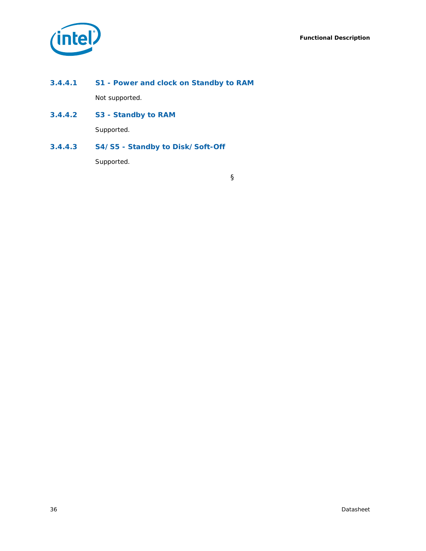

- **3.4.4.1 S1 Power and clock on Standby to RAM** Not supported.
- **3.4.4.2 S3 Standby to RAM** Supported.

**3.4.4.3 S4/S5 - Standby to Disk/Soft-Off**

Supported.

§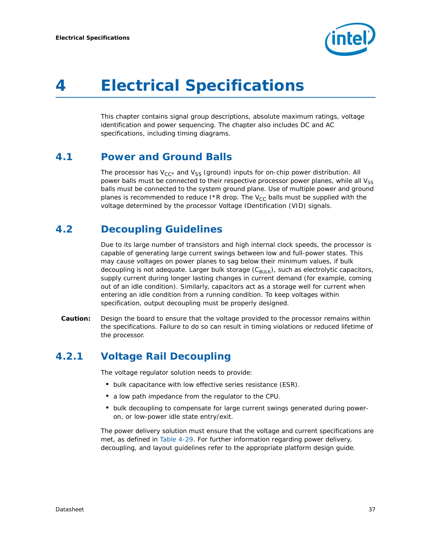

# <span id="page-36-0"></span>*4 Electrical Specifications*

This chapter contains signal group descriptions, absolute maximum ratings, voltage identification and power sequencing. The chapter also includes DC and AC specifications, including timing diagrams.

# **4.1 Power and Ground Balls**

The processor has  $V_{CC^*}$  and  $V_{SS}$  (ground) inputs for on-chip power distribution. All power balls must be connected to their respective processor power planes, while all  $V_{SS}$ balls must be connected to the system ground plane. Use of multiple power and ground planes is recommended to reduce I\*R drop. The  $V_{CC}$  balls must be supplied with the voltage determined by the processor Voltage IDentification (VID) signals.

# **4.2 Decoupling Guidelines**

Due to its large number of transistors and high internal clock speeds, the processor is capable of generating large current swings between low and full-power states. This may cause voltages on power planes to sag below their minimum values, if bulk decoupling is not adequate. Larger bulk storage  $(C_{\text{BULK}})$ , such as electrolytic capacitors, supply current during longer lasting changes in current demand (for example, coming out of an idle condition). Similarly, capacitors act as a storage well for current when entering an idle condition from a running condition. To keep voltages within specification, output decoupling must be properly designed.

*Caution:* Design the board to ensure that the voltage provided to the processor remains within the specifications. Failure to do so can result in timing violations or reduced lifetime of the processor.

# **4.2.1 Voltage Rail Decoupling**

The voltage regulator solution needs to provide:

- bulk capacitance with low effective series resistance (ESR).
- a low path impedance from the regulator to the CPU.
- bulk decoupling to compensate for large current swings generated during poweron, or low-power idle state entry/exit.

The power delivery solution must ensure that the voltage and current specifications are met, as defined in [Table 4-29.](#page-44-0) For further information regarding power delivery, decoupling, and layout guidelines refer to the appropriate platform design guide.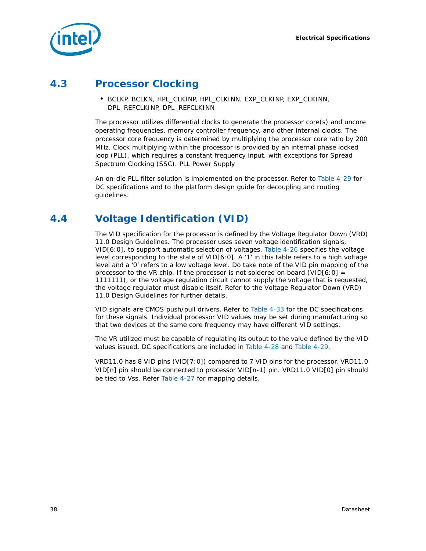

# **4.3 Processor Clocking**

• BCLKP, BCLKN, HPL\_CLKINP, HPL\_CLKINN, EXP\_CLKINP, EXP\_CLKINN, DPL\_REFCLKINP, DPL\_REFCLKINN

The processor utilizes differential clocks to generate the processor core(s) and uncore operating frequencies, memory controller frequency, and other internal clocks. The processor core frequency is determined by multiplying the processor core ratio by 200 MHz. Clock multiplying within the processor is provided by an internal phase locked loop (PLL), which requires a constant frequency input, with exceptions for Spread Spectrum Clocking (SSC). PLL Power Supply

An on-die PLL filter solution is implemented on the processor. Refer to [Table 4-29](#page-44-0) for DC specifications and to the platform design guide for decoupling and routing guidelines.

# **4.4 Voltage Identification (VID)**

The VID specification for the processor is defined by the *Voltage Regulator Down (VRD) 11.0 Design Guidelines*. The processor uses seven voltage identification signals, VID[6:0], to support automatic selection of voltages. [Table 4-26](#page-39-0) specifies the voltage level corresponding to the state of VID[6:0]. A '1' in this table refers to a high voltage level and a '0' refers to a low voltage level. Do take note of the VID pin mapping of the processor to the VR chip. If the processor is not soldered on board (VID $[6:0] =$ 1111111), or the voltage regulation circuit cannot supply the voltage that is requested, the voltage regulator must disable itself. Refer to the *Voltage Regulator Down (VRD) 11.0 Design Guidelines* for further details.

VID signals are CMOS push/pull drivers. Refer to [Table 4-33](#page-47-0) for the DC specifications for these signals. Individual processor VID values may be set during manufacturing so that two devices at the same core frequency may have different VID settings.

The VR utilized must be capable of regulating its output to the value defined by the VID values issued. DC specifications are included in [Table 4-28](#page-43-0) and [Table 4-29.](#page-44-0)

VRD11.0 has 8 VID pins (VID[7:0]) compared to 7 VID pins for the processor. VRD11.0 VID[n] pin should be connected to processor VID[n-1] pin. VRD11.0 VID[0] pin should be tied to Vss. Refer [Table 4-27](#page-41-0) for mapping details.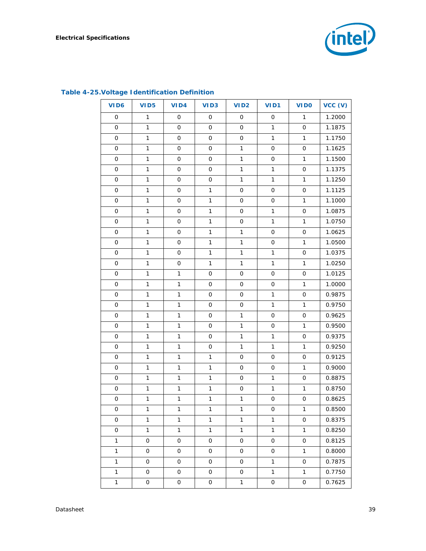

| VID <sub>6</sub>    | <b>VID5</b>         | VID4                | VID <sub>3</sub>    | VID <sub>2</sub>    | VID1                | <b>VIDO</b>         | VCC (V) |
|---------------------|---------------------|---------------------|---------------------|---------------------|---------------------|---------------------|---------|
| $\mathsf{O}$        | $\mathbf{1}$        | $\mathsf{O}$        | $\mathsf{O}$        | $\mathsf{O}$        | $\mathsf{O}\xspace$ | $\mathbf{1}$        | 1.2000  |
| 0                   | $\mathbf{1}$        | 0                   | 0                   | $\mathsf{O}\xspace$ | $\mathbf{1}$        | $\mathsf{O}\xspace$ | 1.1875  |
| 0                   | $\mathbf{1}$        | $\mathsf{O}\xspace$ | $\mathsf{O}\xspace$ | $\mathsf{O}$        | $\mathbf{1}$        | $\mathbf{1}$        | 1.1750  |
| 0                   | $\mathbf{1}$        | $\mathsf{O}\xspace$ | $\mathsf{O}\xspace$ | $\mathbf{1}$        | $\mathsf{O}\xspace$ | $\mathsf{O}\xspace$ | 1.1625  |
| 0                   | $\mathbf{1}$        | $\mathsf{O}\xspace$ | $\mathsf{O}\xspace$ | $\mathbf{1}$        | $\mathsf{O}\xspace$ | $\mathbf{1}$        | 1.1500  |
| $\mathsf{O}\xspace$ | $\mathbf{1}$        | $\mathsf{O}\xspace$ | $\mathsf{O}\xspace$ | $\mathbf{1}$        | $\mathbf{1}$        | $\mathsf{O}\xspace$ | 1.1375  |
| 0                   | $\mathbf{1}$        | $\mathsf{O}\xspace$ | $\mathsf{O}\xspace$ | $\mathbf{1}$        | $\mathbf{1}$        | $\mathbf{1}$        | 1.1250  |
| 0                   | $\mathbf{1}$        | $\mathsf{O}\xspace$ | $\mathbf{1}$        | $\mathsf{O}\xspace$ | $\mathsf{O}\xspace$ | $\mathsf{O}\xspace$ | 1.1125  |
| 0                   | $\mathbf{1}$        | $\mathsf{O}\xspace$ | $\mathbf{1}$        | $\mathsf{O}\xspace$ | $\mathsf{O}\xspace$ | $\mathbf{1}$        | 1.1000  |
| $\mathsf{O}\xspace$ | $\mathbf{1}$        | $\mathsf{O}\xspace$ | $\mathbf{1}$        | $\mathsf{O}$        | $\mathbf{1}$        | $\mathsf{O}\xspace$ | 1.0875  |
| 0                   | $\mathbf{1}$        | $\mathsf{O}\xspace$ | $\mathbf{1}$        | $\mathsf{O}$        | $\mathbf{1}$        | $\mathbf{1}$        | 1.0750  |
| 0                   | $\mathbf{1}$        | $\mathsf{O}\xspace$ | $\mathbf{1}$        | $\mathbf{1}$        | $\mathsf{O}\xspace$ | $\mathsf{O}\xspace$ | 1.0625  |
| 0                   | $\mathbf{1}$        | $\mathsf{O}\xspace$ | $\mathbf{1}$        | $\mathbf{1}$        | $\mathsf{O}\xspace$ | $\mathbf{1}$        | 1.0500  |
| $\mathsf{O}\xspace$ | $\mathbf{1}$        | $\mathsf{O}\xspace$ | $\mathbf{1}$        | $\mathbf{1}$        | $\mathbf{1}$        | $\mathsf{O}\xspace$ | 1.0375  |
| 0                   | $\mathbf{1}$        | $\mathsf{O}\xspace$ | $\mathbf{1}$        | $\mathbf{1}$        | $\mathbf{1}$        | $\mathbf{1}$        | 1.0250  |
| 0                   | $\mathbf{1}$        | $\mathbf 1$         | $\mathsf{O}\xspace$ | $\mathsf{O}\xspace$ | $\mathsf{O}\xspace$ | $\mathsf{O}\xspace$ | 1.0125  |
| 0                   | $\mathbf{1}$        | $\mathbf{1}$        | $\mathsf{O}\xspace$ | $\mathsf{O}\xspace$ | $\mathsf{O}\xspace$ | $\mathbf{1}$        | 1.0000  |
| $\mathsf{O}\xspace$ | $\mathbf{1}$        | $\mathbf{1}$        | $\mathsf{O}\xspace$ | $\mathsf{O}$        | $\mathbf{1}$        | $\mathsf{O}\xspace$ | 0.9875  |
| 0                   | $\mathbf{1}$        | $\mathbf{1}$        | $\mathsf{O}\xspace$ | $\mathsf{O}$        | $\mathbf{1}$        | $\mathbf{1}$        | 0.9750  |
| 0                   | $\mathbf{1}$        | $\mathbf 1$         | $\mathsf{O}\xspace$ | $\mathbf{1}$        | $\mathsf{O}\xspace$ | $\mathsf{O}\xspace$ | 0.9625  |
| 0                   | $\mathbf{1}$        | $\mathbf{1}$        | $\mathsf{O}\xspace$ | $\mathbf{1}$        | $\mathsf{O}\xspace$ | $\mathbf{1}$        | 0.9500  |
| $\mathsf{O}\xspace$ | $\mathbf{1}$        | $\mathbf{1}$        | $\mathsf{O}\xspace$ | $\mathbf{1}$        | $\mathbf{1}$        | $\mathsf{O}\xspace$ | 0.9375  |
| 0                   | $\mathbf{1}$        | $\mathbf{1}$        | $\mathsf{O}\xspace$ | $\mathbf{1}$        | $\mathbf{1}$        | $\mathbf{1}$        | 0.9250  |
| 0                   | $\mathbf{1}$        | $\mathbf{1}$        | $\mathbf{1}$        | $\mathsf{O}\xspace$ | $\mathsf{O}\xspace$ | $\mathsf{O}\xspace$ | 0.9125  |
| 0                   | $\mathbf{1}$        | $\mathbf{1}$        | $\mathbf{1}$        | $\mathsf{O}\xspace$ | $\mathsf{O}\xspace$ | $\mathbf{1}$        | 0.9000  |
| $\mathsf{O}\xspace$ | $\mathbf{1}$        | $\mathbf{1}$        | $\mathbf{1}$        | $\mathsf{O}$        | $\mathbf{1}$        | $\mathsf{O}\xspace$ | 0.8875  |
| 0                   | $\mathbf{1}$        | $\mathbf 1$         | $\mathbf{1}$        | $\mathsf{O}$        | $\mathbf{1}$        | $\mathbf{1}$        | 0.8750  |
| $\mathsf{O}\xspace$ | $\mathbf{1}$        | $\mathbf 1$         | $\mathbf 1$         | $\mathbf{1}$        | $\mathsf{O}\xspace$ | $\mathsf O$         | 0.8625  |
| 0                   | $\mathbf{1}$        | $\mathbf{1}$        | $\mathbf{1}$        | $\mathbf{1}$        | 0                   | $\mathbf{1}$        | 0.8500  |
| 0                   | 1                   | 1                   | $\mathbf{1}$        | $\mathbf{1}$        | 1                   | 0                   | 0.8375  |
| 0                   | $\mathbf{1}$        | $\mathbf{1}$        | $\mathbf{1}$        | $\mathbf{1}$        | $\mathbf{1}$        | $\mathbf{1}$        | 0.8250  |
| $\mathbf{1}$        | 0                   | 0                   | 0                   | $\mathsf{O}$        | 0                   | 0                   | 0.8125  |
| $\mathbf{1}$        | $\mathsf{O}$        | 0                   | 0                   | $\mathsf{O}$        | 0                   | $\mathbf{1}$        | 0.8000  |
| $\mathbf{1}$        | 0                   | 0                   | 0                   | $\mathsf{O}$        | $\mathbf{1}$        | 0                   | 0.7875  |
| $\mathbf{1}$        | $\mathsf{O}$        | 0                   | 0                   | 0                   | $\mathbf{1}$        | $\mathbf{1}$        | 0.7750  |
| $\mathbf{1}$        | $\mathsf{O}\xspace$ | O                   | O                   | $\mathbf{1}$        | $\mathsf{O}\xspace$ | O                   | 0.7625  |

## **Table 4-25.Voltage Identification Definition**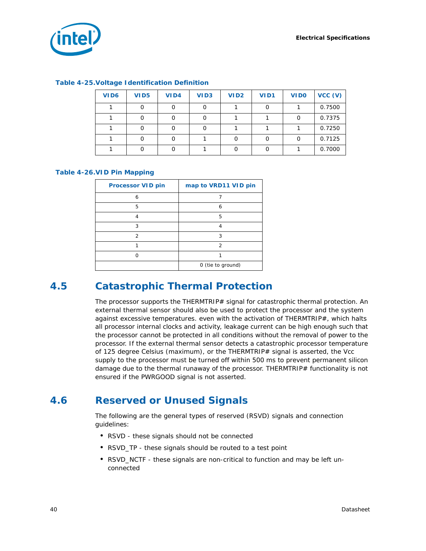

| <b>Table 4-25. Voltage Identification Definition</b> |  |  |
|------------------------------------------------------|--|--|
|------------------------------------------------------|--|--|

| VID <sub>6</sub> | VID <sub>5</sub> | VID4 | VID <sub>3</sub> | VID <sub>2</sub> | VID1 | <b>VIDO</b> | VCC (V) |
|------------------|------------------|------|------------------|------------------|------|-------------|---------|
|                  |                  |      |                  |                  |      |             | 0.7500  |
|                  |                  |      |                  |                  |      |             | 0.7375  |
|                  |                  |      |                  |                  |      |             | 0.7250  |
|                  |                  |      |                  |                  |      |             | 0.7125  |
|                  |                  |      |                  |                  |      |             | 0.7000  |

#### <span id="page-39-0"></span>**Table 4-26.VID Pin Mapping**

| <b>Processor VID pin</b> | map to VRD11 VID pin |
|--------------------------|----------------------|
| 6                        |                      |
| 5                        | 6                    |
| Δ                        | 5                    |
| 3                        |                      |
| $\mathfrak{D}$           | 3                    |
|                          | $\mathcal{P}$        |
|                          |                      |
|                          | 0 (tie to ground)    |

# **4.5 Catastrophic Thermal Protection**

The processor supports the THERMTRIP# signal for catastrophic thermal protection. An external thermal sensor should also be used to protect the processor and the system against excessive temperatures. even with the activation of THERMTRIP#, which halts all processor internal clocks and activity, leakage current can be high enough such that the processor cannot be protected in all conditions without the removal of power to the processor. If the external thermal sensor detects a catastrophic processor temperature of 125 degree Celsius (maximum), or the THERMTRIP# signal is asserted, the Vcc supply to the processor must be turned off within 500 ms to prevent permanent silicon damage due to the thermal runaway of the processor. THERMTRIP# functionality is not ensured if the PWRGOOD signal is not asserted.

# **4.6 Reserved or Unused Signals**

The following are the general types of reserved (RSVD) signals and connection guidelines:

- RSVD these signals should not be connected
- RSVD\_TP these signals should be routed to a test point
- RSVD\_NCTF these signals are non-critical to function and may be left unconnected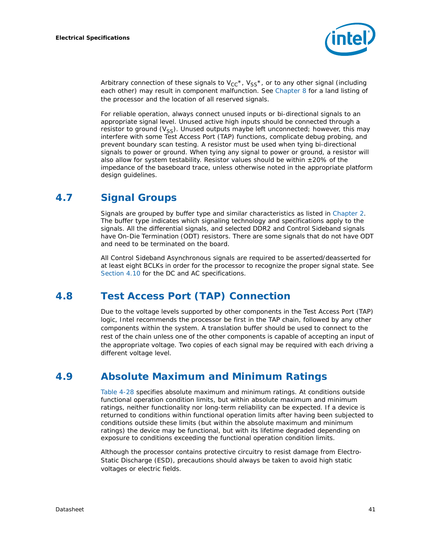

Arbitrary connection of these signals to  $V_{CC}^*$ ,  $V_{SS}^*$ , or to any other signal (including each other) may result in component malfunction. See [Chapter 8](#page-64-0) for a land listing of the processor and the location of all reserved signals.

For reliable operation, always connect unused inputs or bi-directional signals to an appropriate signal level. Unused active high inputs should be connected through a resistor to ground  $(V_{SS})$ . Unused outputs maybe left unconnected; however, this may interfere with some Test Access Port (TAP) functions, complicate debug probing, and prevent boundary scan testing. A resistor must be used when tying bi-directional signals to power or ground. When tying any signal to power or ground, a resistor will also allow for system testability. Resistor values should be within  $\pm 20\%$  of the impedance of the baseboard trace, unless otherwise noted in the appropriate platform design guidelines.

# **4.7 Signal Groups**

Signals are grouped by buffer type and similar characteristics as listed in [Chapter 2](#page-14-0). The buffer type indicates which signaling technology and specifications apply to the signals. All the differential signals, and selected DDR2 and Control Sideband signals have On-Die Termination (ODT) resistors. There are some signals that do not have ODT and need to be terminated on the board.

All Control Sideband Asynchronous signals are required to be asserted/deasserted for at least eight BCLKs in order for the processor to recognize the proper signal state. See [Section 4.10](#page-42-0) for the DC and AC specifications.

# **4.8 Test Access Port (TAP) Connection**

Due to the voltage levels supported by other components in the Test Access Port (TAP) logic, Intel recommends the processor be first in the TAP chain, followed by any other components within the system. A translation buffer should be used to connect to the rest of the chain unless one of the other components is capable of accepting an input of the appropriate voltage. Two copies of each signal may be required with each driving a different voltage level.

# **4.9 Absolute Maximum and Minimum Ratings**

[Table 4-28](#page-43-0) specifies absolute maximum and minimum ratings. At conditions outside functional operation condition limits, but within absolute maximum and minimum ratings, neither functionality nor long-term reliability can be expected. If a device is returned to conditions within functional operation limits after having been subjected to conditions outside these limits (but within the absolute maximum and minimum ratings) the device may be functional, but with its lifetime degraded depending on exposure to conditions exceeding the functional operation condition limits.

Although the processor contains protective circuitry to resist damage from Electro-Static Discharge (ESD), precautions should always be taken to avoid high static voltages or electric fields.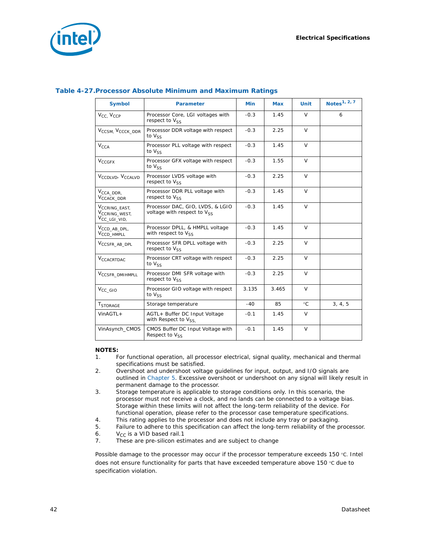

| <b>Symbol</b>                                                                     | <b>Parameter</b>                                                     | <b>Min</b> | <b>Max</b> | <b>Unit</b>  | Notes <sup>1, 2, 7</sup> |
|-----------------------------------------------------------------------------------|----------------------------------------------------------------------|------------|------------|--------------|--------------------------|
| V <sub>CC</sub> , V <sub>CCP</sub>                                                | Processor Core, LGI voltages with<br>respect to V <sub>SS</sub>      | $-0.3$     | 1.45       | $\vee$       | 6                        |
| V <sub>CCSM</sub> , V <sub>CCCK_DDR</sub>                                         | Processor DDR voltage with respect<br>to $V_{SS}$                    | $-0.3$     | 2.25       | $\vee$       |                          |
| $V_{\text{CCA}}$<br>Processor PLL voltage with respect<br>to $V_{SS}$             |                                                                      | $-0.3$     | 1.45       | $\vee$       |                          |
| <b>V<sub>CCGFX</sub></b>                                                          | Processor GFX voltage with respect<br>to $V_{SS}$                    | $-0.3$     | 1.55       | $\vee$       |                          |
| V <sub>CCDLVD</sub> , V <sub>CCALVD</sub>                                         | Processor LVDS voltage with<br>respect to $V_{SS}$                   | $-0.3$     | 2.25       | $\vee$       |                          |
| V <sub>CCA_DDR</sub> ,<br>V <sub>CCACK</sub> DDR                                  | Processor DDR PLL voltage with<br>respect to V <sub>SS</sub>         | $-0.3$     | 1.45       | $\vee$       |                          |
| V <sub>CCRING_EAST,</sub><br>V <sub>CCRING</sub> WEST.<br>V <sub>CC_LGI_VID</sub> | Processor DAC, GIO, LVDS, & LGIO<br>voltage with respect to $V_{SS}$ | $-0.3$     | 1.45       | $\vee$       |                          |
| V <sub>CCD_AB_DPL,</sub><br>V <sub>CCD</sub> HMPLL                                | Processor DPLL, & HMPLL voltage<br>with respect to $V_{SS}$          | $-0.3$     | 1.45       | $\vee$       |                          |
| V <sub>CCSFR_AB_DPL</sub>                                                         | Processor SFR DPLL voltage with<br>respect to $V_{SS}$               | $-0.3$     | 2.25       | $\vee$       |                          |
| V <sub>CCACRTDAC</sub>                                                            | Processor CRT voltage with respect<br>to $V_{SS}$                    | $-0.3$     | 2.25       | $\vee$       |                          |
| V <sub>CCSFR_DMIHMPLL</sub>                                                       | Processor DMI SFR voltage with<br>respect to $V_{SS}$                | $-0.3$     | 2.25       | $\vee$       |                          |
| $V_{CC_GIO}$                                                                      | Processor GIO voltage with respect<br>to $V_{SS}$                    | 3.135      | 3.465      | $\vee$       |                          |
| <b>TSTORAGE</b>                                                                   | Storage temperature                                                  | $-40$      | 85         | $^{\circ}$ C | 3, 4, 5                  |
| $VinAGTL+$                                                                        | AGTL+ Buffer DC Input Voltage<br>with Respect to $V_{SS}$            | $-0.1$     | 1.45       | $\vee$       |                          |
| VinAsynch_CMOS                                                                    | CMOS Buffer DC Input Voltage with<br>Respect to Vss                  | $-0.1$     | 1.45       | $\vee$       |                          |

#### <span id="page-41-0"></span>**Table 4-27.Processor Absolute Minimum and Maximum Ratings**

#### **NOTES:**

- 1. For functional operation, all processor electrical, signal quality, mechanical and thermal specifications must be satisfied.
- 2. Overshoot and undershoot voltage guidelines for input, output, and I/O signals are outlined in [Chapter 5.](#page-52-0) Excessive overshoot or undershoot on any signal will likely result in permanent damage to the processor.
- 3. Storage temperature is applicable to storage conditions only. In this scenario, the processor must not receive a clock, and no lands can be connected to a voltage bias. Storage within these limits will not affect the long-term reliability of the device. For functional operation, please refer to the processor case temperature specifications.
- 4. This rating applies to the processor and does not include any tray or packaging.
- 5. Failure to adhere to this specification can affect the long-term reliability of the processor.
- 6.  $V_{CC}$  is a VID based rail.1<br>7. These are pre-silicon est
- These are pre-silicon estimates and are subject to change

Possible damage to the processor may occur if the processor temperature exceeds 150 °C. Intel does not ensure functionality for parts that have exceeded temperature above 150 °C due to specification violation.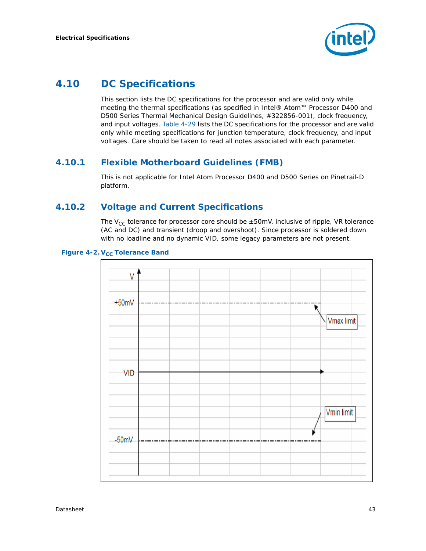

# <span id="page-42-0"></span>**4.10 DC Specifications**

This section lists the DC specifications for the processor and are valid only while meeting the thermal specifications (as specified in *Intel® Atom™ Processor D400 and D500 Series Thermal Mechanical Design Guidelines*, #322856-001), clock frequency, and input voltages. [Table 4-29](#page-44-0) lists the DC specifications for the processor and are valid only while meeting specifications for junction temperature, clock frequency, and input voltages. Care should be taken to read all notes associated with each parameter.

## **4.10.1 Flexible Motherboard Guidelines (FMB)**

This is not applicable for Intel Atom Processor D400 and D500 Series on Pinetrail-D platform.

## **4.10.2 Voltage and Current Specifications**

The  $V_{CC}$  tolerance for processor core should be  $\pm 50$ mV, inclusive of ripple, VR tolerance (AC and DC) and transient (droop and overshoot). Since processor is soldered down with no loadline and no dynamic VID, some legacy parameters are not present.

### <span id="page-42-1"></span>**Figure 4-2. V<sub>CC</sub> Tolerance Band**

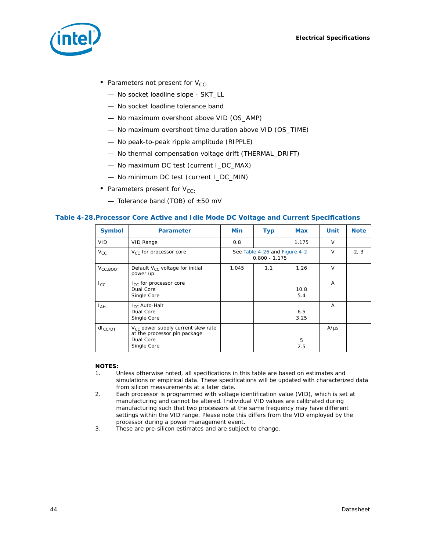

- Parameters not present for  $V_{CC}$ :
	- No socket loadline slope SKT\_LL
	- No socket loadline tolerance band
	- No maximum overshoot above VID (OS\_AMP)
	- No maximum overshoot time duration above VID (OS\_TIME)
	- No peak-to-peak ripple amplitude (RIPPLE)
	- No thermal compensation voltage drift (THERMAL\_DRIFT)
	- No maximum DC test (current I\_DC\_MAX)
	- No minimum DC test (current I\_DC\_MIN)
- Parameters present for  $V_{CC}$ :
	- $-$  Tolerance band (TOB) of  $\pm 50$  mV

#### <span id="page-43-0"></span>**Table 4-28.Processor Core Active and Idle Mode DC Voltage and Current Specifications**

| <b>Symbol</b>        | <b>Parameter</b>                                                                                    | <b>Min</b> | <b>Typ</b>                                       | <b>Max</b>  | Unit           | <b>Note</b> |
|----------------------|-----------------------------------------------------------------------------------------------------|------------|--------------------------------------------------|-------------|----------------|-------------|
| <b>VID</b>           | VID Range                                                                                           | 0.8        |                                                  | 1.175       | $\vee$         |             |
| $V_{CC}$             | $V_{CC}$ for processor core                                                                         |            | See Table 4-26 and Figure 4-2<br>$0.800 - 1.175$ |             | $\vee$         | 2, 3        |
| $V_{\text{CC,BOOT}}$ | Default $V_{CC}$ voltage for initial<br>power up                                                    | 1.045      | 1.1                                              | 1.26        | $\vee$         |             |
| $I_{\rm CC}$         | $I_{CC}$ for processor core<br>Dual Core<br>Single Core                                             |            |                                                  | 10.8<br>5.4 | $\overline{A}$ |             |
| I <sub>АН</sub>      | I <sub>CC</sub> Auto-Halt<br>Dual Core<br>Single Core                                               |            |                                                  | 6.5<br>3.25 | A              |             |
| $dl_{CC/DT}$         | $V_{CC}$ power supply current slew rate<br>at the processor pin package<br>Dual Core<br>Single Core |            |                                                  | 5<br>2.5    | $A/\mu s$      |             |

#### **NOTES:**

- 1. Unless otherwise noted, all specifications in this table are based on estimates and simulations or empirical data. These specifications will be updated with characterized data from silicon measurements at a later date.
- 2. Each processor is programmed with voltage identification value (VID), which is set at manufacturing and cannot be altered. Individual VID values are calibrated during manufacturing such that two processors at the same frequency may have different settings within the VID range. Please note this differs from the VID employed by the processor during a power management event.
- 3. These are pre-silicon estimates and are subject to change.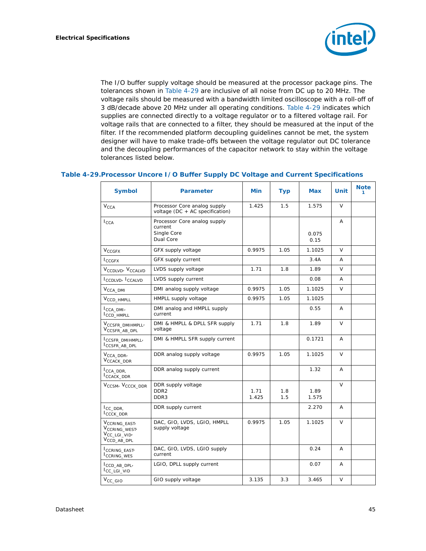

The I/O buffer supply voltage should be measured at the processor package pins. The tolerances shown in [Table 4-29](#page-44-0) are inclusive of all noise from DC up to 20 MHz. The voltage rails should be measured with a bandwidth limited oscilloscope with a roll-off of 3 dB/decade above 20 MHz under all operating conditions. [Table 4-29](#page-44-0) indicates which supplies are connected directly to a voltage regulator or to a filtered voltage rail. For voltage rails that are connected to a filter, they should be measured at the input of the filter. If the recommended platform decoupling guidelines cannot be met, the system designer will have to make trade-offs between the voltage regulator out DC tolerance and the decoupling performances of the capacitor network to stay within the voltage tolerances listed below.

#### <span id="page-44-0"></span>**Table 4-29.Processor Uncore I/O Buffer Supply DC Voltage and Current Specifications**

| <b>Symbol</b>                                                                                               | <b>Parameter</b>                                                    | Min           | <b>Typ</b> | Max           | Unit   | <b>Note</b><br>1 |
|-------------------------------------------------------------------------------------------------------------|---------------------------------------------------------------------|---------------|------------|---------------|--------|------------------|
| $V_{\text{CCA}}$                                                                                            | Processor Core analog supply<br>voltage ( $DC + AC$ specification)  | 1.425         | 1.5        | 1.575         | $\vee$ |                  |
| $I_{\text{CCA}}$                                                                                            | Processor Core analog supply<br>current<br>Single Core<br>Dual Core |               |            | 0.075<br>0.15 | A      |                  |
| $V_{CGFX}$                                                                                                  | GFX supply voltage                                                  | 0.9975        | 1.05       | 1.1025        | $\vee$ |                  |
| <b>I</b> CCGFX                                                                                              | GFX supply current                                                  |               |            | 3.4A          | A      |                  |
| V <sub>CCDLVD</sub> , V <sub>CCALVD</sub>                                                                   | LVDS supply voltage                                                 | 1.71          | 1.8        | 1.89          | V      |                  |
| ICCDLVD, ICCALVD                                                                                            | LVDS supply current                                                 |               |            | 0.08          | A      |                  |
| $V_{\text{CCA\_DMI}}$                                                                                       | DMI analog supply voltage                                           | 0.9975        | 1.05       | 1.1025        | V      |                  |
| $V_{CCD\_HMPLL}$                                                                                            | HMPLL supply voltage                                                | 0.9975        | 1.05       | 1.1025        |        |                  |
| $I_{\text{CCA\_DMI}}$<br>CCD_HMPLL                                                                          | DMI analog and HMPLL supply<br>current                              |               |            | 0.55          | A      |                  |
| V <sub>CCSFR_DMIHMPLL</sub> ,<br>V <sub>CCSFR_AB_DPL</sub>                                                  | DMI & HMPLL & DPLL SFR supply<br>voltage                            | 1.71          | 1.8        | 1.89          | $\vee$ |                  |
| CCSFR_DMIHMPLL<br>CCSFR_AB_DPL                                                                              | DMI & HMPLL SFR supply current                                      |               |            | 0.1721        | A      |                  |
| $V_{\text{CCA\_DDR'}}$<br>V <sub>CCACK_DDR</sub>                                                            | DDR analog supply voltage                                           | 0.9975        | 1.05       | 1.1025        | $\vee$ |                  |
| $I_{\text{CCA\_DDR}}$<br>CCACK_DDR                                                                          | DDR analog supply current                                           |               |            | 1.32          | A      |                  |
| V <sub>CCSM</sub> , V <sub>CCCK_DDR</sub>                                                                   | DDR supply voltage<br>DDR <sub>2</sub><br>DDR <sub>3</sub>          | 1.71<br>1.425 | 1.8<br>1.5 | 1.89<br>1.575 | V      |                  |
| $I_{CC\_DDR}$<br>I <sub>CCCK_DDR</sub>                                                                      | DDR supply current                                                  |               |            | 2.270         | A      |                  |
| V <sub>CCRING_EAST</sub><br>V <sub>CCRING_WEST</sub><br>V <sub>CC_LGI_VID'</sub><br>V <sub>CCD_AB_DPL</sub> | DAC, GIO, LVDS, LGIO, HMPLL<br>supply voltage                       | 0.9975        | 1.05       | 1.1025        | V      |                  |
| <b>CCRING EAST</b><br>ICCRING_WES                                                                           | DAC, GIO, LVDS, LGIO supply<br>current                              |               |            | 0.24          | A      |                  |
| CCD_AB_DPL<br>I <sub>CC_LGI_VID</sub>                                                                       | LGIO, DPLL supply current                                           |               |            | 0.07          | A      |                  |
| $V_{CC\_GIO}$                                                                                               | GIO supply voltage                                                  | 3.135         | 3.3        | 3.465         | $\vee$ |                  |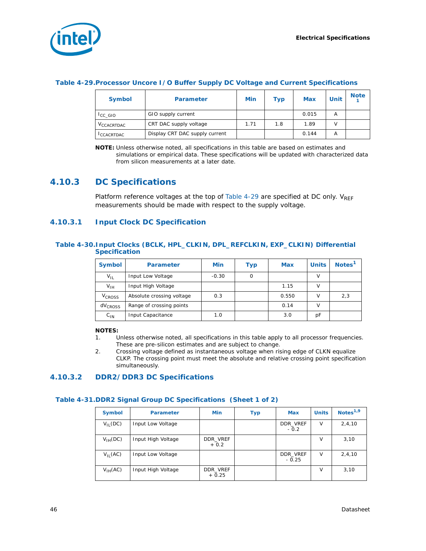

#### **Table 4-29.Processor Uncore I/O Buffer Supply DC Voltage and Current Specifications**

| <b>Symbol</b>          | <b>Parameter</b>               | Min  | Тур | <b>Max</b> | <b>Unit</b> | <b>Note</b> |
|------------------------|--------------------------------|------|-----|------------|-------------|-------------|
| <sup>I</sup> CC GIO    | GIO supply current             |      |     | 0.015      | А           |             |
| V <sub>CCACRTDAC</sub> | CRT DAC supply voltage         | 1.71 | 1.8 | 1.89       | v           |             |
| <sup>I</sup> CCACRTDAC | Display CRT DAC supply current |      |     | 0.144      | A           |             |

**NOTE:** Unless otherwise noted, all specifications in this table are based on estimates and simulations or empirical data. These specifications will be updated with characterized data from silicon measurements at a later date.

## **4.10.3 DC Specifications**

Platform reference voltages at the top of [Table 4-29](#page-44-0) are specified at DC only.  $V_{RFF}$ measurements should be made with respect to the supply voltage.

#### **4.10.3.1 Input Clock DC Specification**

#### **Table 4-30.Input Clocks (BCLK, HPL\_CLKIN, DPL\_REFCLKIN, EXP\_CLKIN) Differential Specification**

| <b>Symbol</b>            | <b>Parameter</b>          | Min     | Тур | <b>Max</b> | <b>Units</b> | Notes <sup>1</sup> |
|--------------------------|---------------------------|---------|-----|------------|--------------|--------------------|
| $V_{IL}$                 | Input Low Voltage         | $-0.30$ | Ω   |            |              |                    |
| $V_{\text{IH}}$          | Input High Voltage        |         |     | 1.15       | v            |                    |
| <b>V<sub>CROSS</sub></b> | Absolute crossing voltage | 0.3     |     | 0.550      |              | 2,3                |
| dV <sub>CROSS</sub>      | Range of crossing points  |         |     | 0.14       |              |                    |
| $C_{1N}$                 | Input Capacitance         | 1.0     |     | 3.0        | рF           |                    |

#### **NOTES:**

- 1. Unless otherwise noted, all specifications in this table apply to all processor frequencies. These are pre-silicon estimates and are subject to change.
- 2. Crossing voltage defined as instantaneous voltage when rising edge of CLKN equalize CLKP. The crossing point must meet the absolute and relative crossing point specification simultaneously.

#### **4.10.3.2 DDR2/DDR3 DC Specifications**

#### **Table 4-31.DDR2 Signal Group DC Specifications (Sheet 1 of 2)**

| <b>Symbol</b> | <b>Parameter</b>   | Min                 | <b>Typ</b> | <b>Max</b>          | <b>Units</b> | Notes $1,9$ |
|---------------|--------------------|---------------------|------------|---------------------|--------------|-------------|
| $V_{II}$ (DC) | Input Low Voltage  |                     |            | DDR_VREF<br>$-0.2$  | $\vee$       | 2,4,10      |
| $V_{IH}(DC)$  | Input High Voltage | DDR VREF<br>$+0.2$  |            |                     | v            | 3,10        |
| $V_{II}$ (AC) | Input Low Voltage  |                     |            | DDR VREF<br>$-0.25$ | $\vee$       | 2, 4, 10    |
| $V_{IH}(AC)$  | Input High Voltage | DDR_VREF<br>$+0.25$ |            |                     | v            | 3,10        |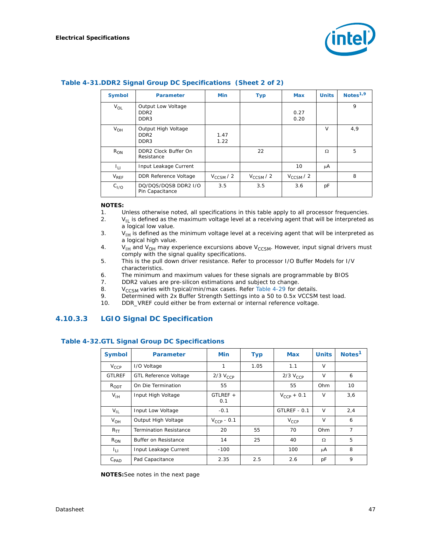

| <b>Symbol</b>    | <b>Parameter</b>                                            | <b>Min</b>     | <b>Typ</b>     | <b>Max</b>     | <b>Units</b> | Notes $1,9$ |
|------------------|-------------------------------------------------------------|----------------|----------------|----------------|--------------|-------------|
| $V_{OL}$         | Output Low Voltage<br>DDR <sub>2</sub><br>DDR3              |                |                | 0.27<br>0.20   |              | 9           |
| $V_{OH}$         | Output High Voltage<br>DDR <sub>2</sub><br>DDR <sub>3</sub> | 1.47<br>1.22   |                |                | $\vee$       | 4,9         |
| $R_{ON}$         | DDR2 Clock Buffer On<br>Resistance                          |                | 22             |                | Ω            | 5           |
| 41 L             | Input Leakage Current                                       |                |                | 10             | μA           |             |
| $V_{RFF}$        | <b>DDR Reference Voltage</b>                                | $V_{CCSM}$ / 2 | $V_{CCSM}$ / 2 | $V_{CCSM}$ / 2 |              | 8           |
| C <sub>I/O</sub> | DQ/DQS/DQSB DDR2 I/O<br>Pin Capacitance                     | 3.5            | 3.5            | 3.6            | рF           |             |

#### **Table 4-31.DDR2 Signal Group DC Specifications (Sheet 2 of 2)**

#### **NOTES:**

- 1. Unless otherwise noted, all specifications in this table apply to all processor frequencies.
- 2.  $V_{II}$  is defined as the maximum voltage level at a receiving agent that will be interpreted as a logical low value.
- 3.  $V_{\text{IH}}$  is defined as the minimum voltage level at a receiving agent that will be interpreted as a logical high value.
- 4. V<sub>IH</sub> and V<sub>OH</sub> may experience excursions above V<sub>CCSM</sub>. However, input signal drivers must comply with the signal quality specifications.
- 5. This is the pull down driver resistance. Refer to processor *I/O Buffer Models* for I/V characteristics.
- 6. The minimum and maximum values for these signals are programmable by BIOS
- 7. DDR2 values are pre-silicon estimations and subject to change.
- 8.  $V_{CCSM}$  varies with typical/min/max cases. Refer [Table 4-29](#page-44-0) for details.<br>9. Determined with 2x Buffer Strength Settings into a 50 to 0.5x VCCSM
- Determined with 2x Buffer Strength Settings into a 50 to 0.5x VCCSM test load.
- 10. DDR\_VREF could either be from external or internal reference voltage.

#### **4.10.3.3 LGIO Signal DC Specification**

| <b>Symbol</b>      | <b>Parameter</b>              | <b>Min</b>        | <b>Typ</b> | <b>Max</b>      | <b>Units</b> | Notes <sup>1</sup> |
|--------------------|-------------------------------|-------------------|------------|-----------------|--------------|--------------------|
| $V_{CCP}$          | I/O Voltage                   | 1                 | 1.05       | 1.1             | V            |                    |
| <b>GTLREF</b>      | <b>GTL Reference Voltage</b>  | $2/3$ $V_{CCP}$   |            | $2/3$ $V_{CCP}$ | $\vee$       | 6                  |
| $R_{ODT}$          | On Die Termination            | 55                |            | 55              | Ohm          | 10                 |
| $V_{\text{IH}}$    | Input High Voltage            | $GTLREF +$<br>0.1 |            | $V_{CCP}$ + 0.1 | V            | 3,6                |
| $V_{\text{II}}$    | Input Low Voltage             | $-0.1$            |            | GTLREF - 0.1    | $\vee$       | 2,4                |
| $V_{OH}$           | Output High Voltage           | $V_{CCP}$ - 0.1   |            | $V_{CCP}$       | $\vee$       | 6                  |
| $R_{TT}$           | <b>Termination Resistance</b> | 20                | 55         | 70              | Ohm          | $\overline{7}$     |
| $R_{ON}$           | Buffer on Resistance          | 14                | 25         | 40              | $\Omega$     | 5                  |
| h.                 | Input Leakage Current         | $-100$            |            | 100             | μA           | 8                  |
| $C_{\mathsf{PAD}}$ | Pad Capacitance               | 2.35              | 2.5        | 2.6             | рF           | 9                  |

#### **Table 4-32.GTL Signal Group DC Specifications**

**NOTES:**See notes in the next page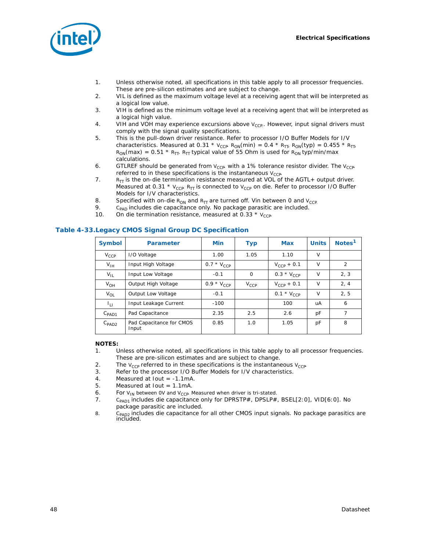

- 1. Unless otherwise noted, all specifications in this table apply to all processor frequencies. These are pre-silicon estimates and are subject to change.
- 2. VIL is defined as the maximum voltage level at a receiving agent that will be interpreted as a logical low value.
- 3. VIH is defined as the minimum voltage level at a receiving agent that will be interpreted as a logical high value.
- 4. VIH and VOH may experience excursions above  $V_{CCP}$ . However, input signal drivers must comply with the signal quality specifications.
- 5. This is the pull-down driver resistance. Refer to processor I/O Buffer Models for I/V characteristics. Measured at 0.31 \*  $V_{CCP}$ . R<sub>ON</sub>(min) = 0.4 \* R<sub>TT</sub>, R<sub>ON</sub>(typ) = 0.455 \* R<sub>TT</sub>,  $R_{ON}(max) = 0.51 * R_{TT}$ . R<sub>TT</sub> typical value of 55 Ohm is used for  $R_{ON}$  typ/min/max calculations.
- 6. GTLREF should be generated from  $V_{CCP}$  with a 1% tolerance resistor divider. The  $V_{CCP}$ referred to in these specifications is the instantaneous  $V_{CCP}$
- 7.  $R_{TT}$  is the on-die termination resistance measured at VOL of the AGTL+ output driver. Measured at 0.31  $*$  V<sub>CCP</sub>. R<sub>TT</sub> is connected to V<sub>CCP</sub> on die. Refer to processor I/O Buffer Models for I/V characteristics.
- 8. Specified with on-die  $R_{ON}$  and  $R_{TT}$  are turned off. Vin between 0 and  $V_{CCP}$ <br>9. Cass includes die capacitance only. No package parasitic are included.
- 9. C<sub>PAD</sub> includes die capacitance only. No package parasitic are included.<br>10. On die termination resistance, measured at 0.33 \* V<sub>CCP</sub>
- On die termination resistance, measured at 0.33  $*$  V<sub>CCP</sub>.

#### <span id="page-47-0"></span>**Table 4-33.Legacy CMOS Signal Group DC Specification**

| <b>Symbol</b>       | <b>Parameter</b>                  | <b>Min</b>        | <b>Typ</b> | <b>Max</b>               | <b>Units</b> | Notes <sup>1</sup> |
|---------------------|-----------------------------------|-------------------|------------|--------------------------|--------------|--------------------|
| $V_{CCP}$           | I/O Voltage                       | 1.00              | 1.05       | 1.10                     | $\vee$       |                    |
| $V_{IH}$            | Input High Voltage                | 0.7 $*$ $V_{CCP}$ |            | $V_{CCP}$ + 0.1          | $\vee$       | 2                  |
| $V_{IL}$            | Input Low Voltage                 | $-0.1$            | 0          | 0.3 $*$ V <sub>CCP</sub> | V            | 2, 3               |
| $V_{OH}$            | Output High Voltage               | 0.9 $*$ $V_{CCP}$ | $V_{CCP}$  | $V_{CCP}$ + 0.1          | V            | 2, 4               |
| $V_{OL}$            | Output Low Voltage                | $-0.1$            |            | 0.1 $*$ $V_{CCP}$        | V            | 2, 5               |
| Īц                  | Input Leakage Current             | $-100$            |            | 100                      | uA           | 6                  |
| $C_{\mathsf{PAD1}}$ | Pad Capacitance                   | 2.35              | 2.5        | 2.6                      | pF           | $\overline{7}$     |
| $C_{\mathsf{PAD2}}$ | Pad Capacitance for CMOS<br>Input | 0.85              | 1.0        | 1.05                     | рF           | 8                  |

#### **NOTES:**

- 1. Unless otherwise noted, all specifications in this table apply to all processor frequencies. These are pre-silicon estimates and are subject to change.
- 2. The  $V_{CCP}$  referred to in these specifications is the instantaneous  $V_{CCP}$ <br>Refer to the processor I/O Buffer Models for I/V characteristics
- Refer to the processor I/O Buffer Models for I/V characteristics.
- 4. Measured at Iout = -1.1mA.
- 5. Measured at lout = 1.1mA.
- 
- 6. For V<sub>IN</sub> between 0V and V<sub>CCP</sub> Measured when driver is tri-stated.<br>7. C<sub>PAD1</sub> includes die capacitance only for DPRSTP#, DPSLP# C<sub>PAD1</sub> includes die capacitance only for DPRSTP#, DPSLP#, BSEL[2:0], VID[6:0]. No package parasitic are included.
- 8. C<sub>PAD2</sub> includes die capacitance for all other CMOS input signals. No package parasitics are included.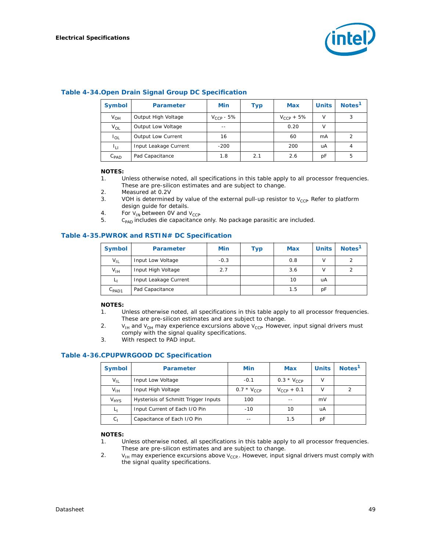

| <b>Symbol</b>    | <b>Parameter</b>          | <b>Min</b>     | Тур | <b>Max</b>      | <b>Units</b> | Notes <sup>1</sup> |
|------------------|---------------------------|----------------|-----|-----------------|--------------|--------------------|
| $V_{OH}$         | Output High Voltage       | $V_{CCP}$ - 5% |     | $V_{CCP} + 5\%$ | V            | 3                  |
| $V_{OL}$         | Output Low Voltage        |                |     | 0.20            | v            |                    |
| $I_{OL}$         | <b>Output Low Current</b> | 16             |     | 60              | mA           | 2                  |
| ιμ               | Input Leakage Current     | $-200$         |     | 200             | uA           |                    |
| $C_{\text{PAD}}$ | Pad Capacitance           | 1.8            | 2.1 | 2.6             | pF           | 5                  |

#### **Table 4-34.Open Drain Signal Group DC Specification**

#### **NOTES:**

- 1. Unless otherwise noted, all specifications in this table apply to all processor frequencies. These are pre-silicon estimates and are subject to change.
- 2. Measured at 0.2V
- 3. VOH is determined by value of the external pull-up resistor to  $V_{CCP}$ . Refer to platform design guide for details.
- 4. For  $V_{IN}$  between OV and  $V_{CCP}$ <br>5. C<sub>PAD</sub> includes die capacitance
- C<sub>PAD</sub> includes die capacitance only. No package parasitic are included.

#### **Table 4-35.PWROK and RSTIN# DC Specification**

| <b>Symbol</b>       | <b>Parameter</b>      | Min    | Тур | <b>Max</b> | <b>Units</b> | Notes <sup>1</sup> |
|---------------------|-----------------------|--------|-----|------------|--------------|--------------------|
| $V_{IL}$            | Input Low Voltage     | $-0.3$ |     | 0.8        |              | っ                  |
| V <sub>IH</sub>     | Input High Voltage    | 2.7    |     | 3.6        |              |                    |
| ⊾լ                  | Input Leakage Current |        |     | 10         | uA           |                    |
| $C_{\mathsf{PAD1}}$ | Pad Capacitance       |        |     | 1.5        | рF           |                    |

#### **NOTES:**

- 1. Unless otherwise noted, all specifications in this table apply to all processor frequencies. These are pre-silicon estimates and are subject to change.
- 2.  $V_{\text{IH}}$  and  $V_{\text{OH}}$  may experience excursions above  $V_{\text{CCP}}$  However, input signal drivers must comply with the signal quality specifications.
- 3. With respect to PAD input.

#### **Table 4-36.CPUPWRGOOD DC Specification**

| <b>Symbol</b>          | <b>Parameter</b>                     | Min             | Max             | <b>Units</b> | Notes <sup>1</sup> |
|------------------------|--------------------------------------|-----------------|-----------------|--------------|--------------------|
| $V_{IL}$               | Input Low Voltage                    | $-0.1$          | $0.3 * V_{CCP}$ |              |                    |
| $V_{IH}$               | Input High Voltage                   | $0.7 * V_{CCP}$ | $V_{CCP}$ + 0.1 |              | ◠                  |
| <b>V<sub>HYS</sub></b> | Hysterisis of Schmitt Trigger Inputs | 100             |                 | mV           |                    |
| L <sub>1</sub>         | Input Current of Each I/O Pin        | $-10$           | 10              | uA           |                    |
| $C_{1}$                | Capacitance of Each I/O Pin          |                 | 1.5             | рF           |                    |

#### **NOTES:**

- 1. Unless otherwise noted, all specifications in this table apply to all processor frequencies. These are pre-silicon estimates and are subject to change.
- 2.  $V_{\text{IH}}$  may experience excursions above  $V_{\text{CCP}}$ . However, input signal drivers must comply with the signal quality specifications.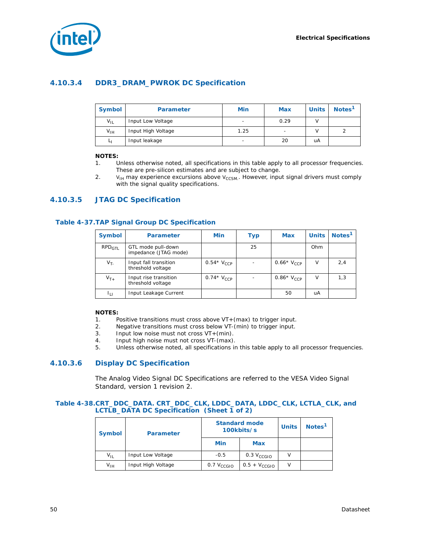

## **4.10.3.4 DDR3\_DRAM\_PWROK DC Specification**

| <b>Symbol</b>   | <b>Parameter</b>   | Min  | <b>Max</b>               | <b>Units</b> | Notes <sup>1</sup> |
|-----------------|--------------------|------|--------------------------|--------------|--------------------|
| $V_{\text{II}}$ | Input Low Voltage  |      | 0.29                     |              |                    |
| $V_{IH}$        | Input High Voltage | 1.25 | $\overline{\phantom{0}}$ |              |                    |
|                 | Input leakage      |      | 20                       | uA           |                    |

#### **NOTES:**

- 1. Unless otherwise noted, all specifications in this table apply to all processor frequencies. These are pre-silicon estimates and are subject to change.
- 2.  $V_{\text{H}}$  may experience excursions above  $V_{\text{CCSM}}$ . However, input signal drivers must comply with the signal quality specifications.

#### **4.10.3.5 JTAG DC Specification**

#### **Table 4-37.TAP Signal Group DC Specification**

| <b>Symbol</b>      | <b>Parameter</b>                            | Min            | <b>Typ</b> | <b>Max</b>     | <b>Units</b> | Notes <sup>1</sup> |
|--------------------|---------------------------------------------|----------------|------------|----------------|--------------|--------------------|
| RPD <sub>GTL</sub> | GTL mode pull-down<br>impedance (JTAG mode) |                | 25         |                | Ohm          |                    |
| $V_{T-}$           | Input fall transition<br>threshold voltage  | $0.54*V_{CCP}$ |            | $0.66*V_{CCP}$ | V            | 2,4                |
| $V_{T+}$           | Input rise transition<br>threshold voltage  | 0.74 $V_{CCP}$ |            | $0.86*V_{CCP}$ | v            | 1,3                |
| Īц                 | Input Leakage Current                       |                |            | 50             | uA           |                    |

#### **NOTES:**

- 1. Positive transitions must cross above VT+(max) to trigger input.
- 2. Negative transitions must cross below VT-(min) to trigger input.
- 3. Input low noise must not cross VT+(min).
- 4. Input high noise must not cross VT-(max).
- 5. Unless otherwise noted, all specifications in this table apply to all processor frequencies.

### **4.10.3.6 Display DC Specification**

The Analog Video Signal DC Specifications are referred to the VESA Video Signal Standard, version 1 revision 2.

#### **Table 4-38.CRT\_DDC\_DATA. CRT\_DDC\_CLK, LDDC\_DATA, LDDC\_CLK, LCTLA\_CLK, and LCTLB\_DATA DC Specification (Sheet 1 of 2)**

| <b>Symbol</b>   | <b>Parameter</b>   |                                      | <b>Standard mode</b><br>100kbits/s | <b>Units</b> | Notes <sup>1</sup> |
|-----------------|--------------------|--------------------------------------|------------------------------------|--------------|--------------------|
|                 |                    | Min                                  | <b>Max</b>                         |              |                    |
| $V_{\text{II}}$ | Input Low Voltage  | $-0.5$                               | 0.3 $V_{\rm CCGIO}$                |              |                    |
| $V_{IH}$        | Input High Voltage | $0.5 + V_{CCGIO}$<br>$0.7 V_{CCGIO}$ |                                    |              |                    |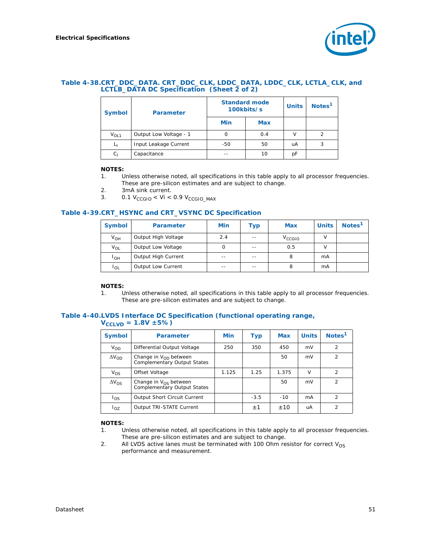

#### **Table 4-38.CRT\_DDC\_DATA. CRT\_DDC\_CLK, LDDC\_DATA, LDDC\_CLK, LCTLA\_CLK, and LCTLB\_DATA DC Specification (Sheet 2 of 2)**

| <b>Symbol</b>    | <b>Parameter</b>       | <b>Standard mode</b><br>100kbits/s<br>Min<br><b>Max</b> |     | <b>Units</b> | Notes <sup>1</sup> |
|------------------|------------------------|---------------------------------------------------------|-----|--------------|--------------------|
|                  |                        |                                                         |     |              |                    |
| V <sub>OL1</sub> | Output Low Voltage - 1 |                                                         | 0.4 |              |                    |
| Lι               | Input Leakage Current  | $-50$                                                   | 50  | uA           | 3                  |
| $C_1$            | Capacitance            |                                                         | 10  | pF           |                    |

#### **NOTES:**

- 1. Unless otherwise noted, all specifications in this table apply to all processor frequencies. These are pre-silicon estimates and are subject to change.
- 2. 3mA sink current.
- 3.  $0.1 \text{ V}_{\text{CCGIO}} < \text{Vi} < 0.9 \text{ V}_{\text{CCGIO}}$  MAX

#### **Table 4-39.CRT\_HSYNC and CRT\_VSYNC DC Specification**

| <b>Symbol</b>     | <b>Parameter</b>    | Min   | Typ  | <b>Max</b>  | <b>Units</b> | Notes <sup>1</sup> |
|-------------------|---------------------|-------|------|-------------|--------------|--------------------|
| $V_{OH}$          | Output High Voltage | 2.4   | $ -$ | $V_{CCGIO}$ |              |                    |
| V <sub>OL</sub>   | Output Low Voltage  | Ω     | $ -$ | 0.5         |              |                    |
| ∎он               | Output High Current | $- -$ | $ -$ | 8           | mA           |                    |
| $\overline{1}$ OL | Output Low Current  | $- -$ | $ -$ | 8           | mA           |                    |

#### **NOTES:**

1. Unless otherwise noted, all specifications in this table apply to all processor frequencies. These are pre-silicon estimates and are subject to change.

#### **Table 4-40.LVDS Interface DC Specification (functional operating range,**   $V_{CCLVD} = 1.8V \pm 5\%)$

| <b>Symbol</b>   | <b>Parameter</b>                                                       | Min   | <b>Typ</b> | <b>Max</b> | <b>Units</b> | Notes <sup>1</sup> |
|-----------------|------------------------------------------------------------------------|-------|------------|------------|--------------|--------------------|
| V <sub>OD</sub> | Differential Output Voltage                                            | 250   | 350        | 450        | mV           | $\overline{2}$     |
| $\Delta V_{OD}$ | Change in $V_{OD}$ between<br><b>Complementary Output States</b>       |       |            | 50         | mV           | $\overline{2}$     |
| $V_{OS}$        | Offset Voltage                                                         | 1.125 | 1.25       | 1.375      | $\vee$       | $\mathcal{P}$      |
| $\Delta V_{OS}$ | Change in $V_{\Omega S}$ between<br><b>Complementary Output States</b> |       |            | 50         | mV           | $\overline{2}$     |
| los             | Output Short Circuit Current                                           |       | $-3.5$     | $-10$      | mA           | $\mathcal{P}$      |
| $I_{OZ}$        | Output TRI-STATE Current                                               |       | $\pm$ 1    | ±10        | uA           | $\overline{2}$     |

#### **NOTES:**

- 1. Unless otherwise noted, all specifications in this table apply to all processor frequencies. These are pre-silicon estimates and are subject to change.
- 2. All LVDS active lanes must be terminated with 100 Ohm resistor for correct  $V_{OS}$ performance and measurement.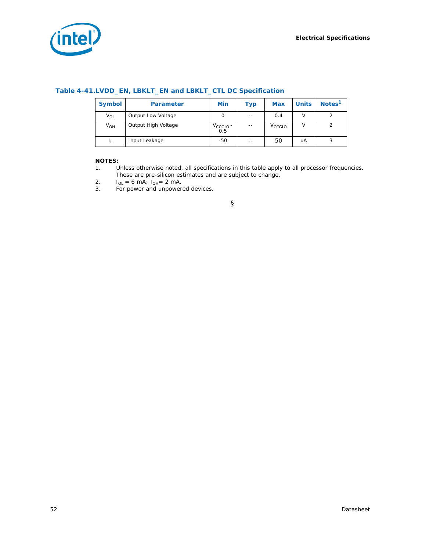

| <b>Symbol</b> | <b>Parameter</b>    | <b>Min</b>           | Typ   | <b>Max</b>         | <b>Units</b> | Notes <sup>1</sup> |
|---------------|---------------------|----------------------|-------|--------------------|--------------|--------------------|
| $V_{OL}$      | Output Low Voltage  | 0                    | $- -$ | 0.4                | v            | 2                  |
| $V_{OH}$      | Output High Voltage | $V_{CCGIO}$ -<br>0.5 | $- -$ | V <sub>CCGIO</sub> | v            | $\overline{2}$     |
|               | Input Leakage       | $-50$                | --    | 50                 | uA           | 3                  |

#### **Table 4-41.LVDD\_EN, LBKLT\_EN and LBKLT\_CTL DC Specification**

#### **NOTES:**

- 1. Unless otherwise noted, all specifications in this table apply to all processor frequencies.
	- These are pre-silicon estimates and are subject to change.
- 2.  $I_{OL} = 6$  mA;  $I_{OH} = 2$  mA.
- 3. For power and unpowered devices.

§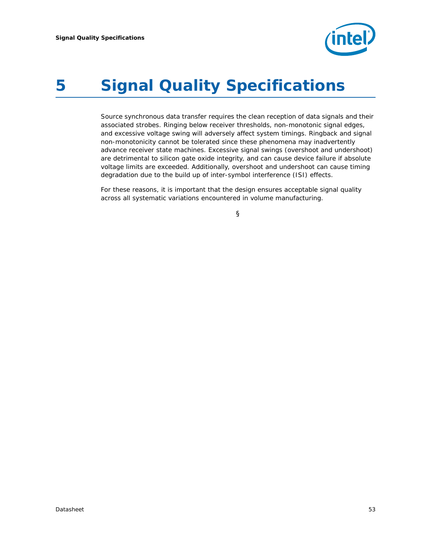

# <span id="page-52-0"></span>*5 Signal Quality Specifications*

Source synchronous data transfer requires the clean reception of data signals and their associated strobes. Ringing below receiver thresholds, non-monotonic signal edges, and excessive voltage swing will adversely affect system timings. Ringback and signal non-monotonicity cannot be tolerated since these phenomena may inadvertently advance receiver state machines. Excessive signal swings (overshoot and undershoot) are detrimental to silicon gate oxide integrity, and can cause device failure if absolute voltage limits are exceeded. Additionally, overshoot and undershoot can cause timing degradation due to the build up of inter-symbol interference (ISI) effects.

For these reasons, it is important that the design ensures acceptable signal quality across all systematic variations encountered in volume manufacturing.

§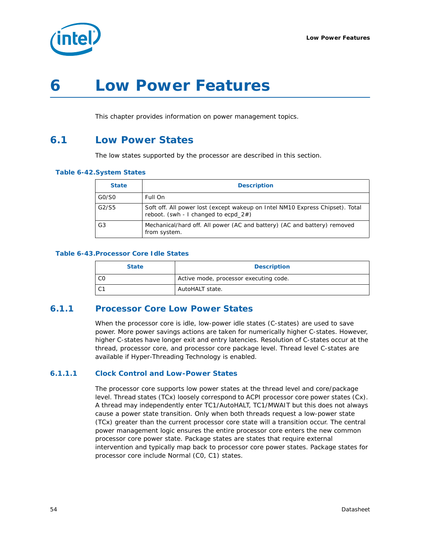

# *6 Low Power Features*

This chapter provides information on power management topics.

# **6.1 Low Power States**

The low states supported by the processor are described in this section.

#### **Table 6-42.System States**

| <b>State</b>   | <b>Description</b>                                                                                                       |
|----------------|--------------------------------------------------------------------------------------------------------------------------|
| GO/SO          | Full On                                                                                                                  |
| G2/S5          | Soft off. All power lost (except wakeup on Intel NM10 Express Chipset). Total<br>reboot. (swh - I changed to ecpd $2#$ ) |
| G <sub>3</sub> | Mechanical/hard off. All power (AC and battery) (AC and battery) removed<br>from system.                                 |

#### **Table 6-43.Processor Core Idle States**

| <b>State</b> | <b>Description</b>                     |
|--------------|----------------------------------------|
| C0           | Active mode, processor executing code. |
| C1           | AutoHALT state.                        |

## **6.1.1 Processor Core Low Power States**

When the processor core is idle, low-power idle states (C-states) are used to save power. More power savings actions are taken for numerically higher C-states. However, higher C-states have longer exit and entry latencies. Resolution of C-states occur at the thread, processor core, and processor core package level. Thread level C-states are available if Hyper-Threading Technology is enabled.

#### **6.1.1.1 Clock Control and Low-Power States**

The processor core supports low power states at the thread level and core/package level. Thread states (TCx) loosely correspond to ACPI processor core power states (Cx). A thread may independently enter TC1/AutoHALT, TC1/MWAIT but this does not always cause a power state transition. Only when both threads request a low-power state (TCx) greater than the current processor core state will a transition occur. The central power management logic ensures the entire processor core enters the new common processor core power state. Package states are states that require external intervention and typically map back to processor core power states. Package states for processor core include Normal (C0, C1) states.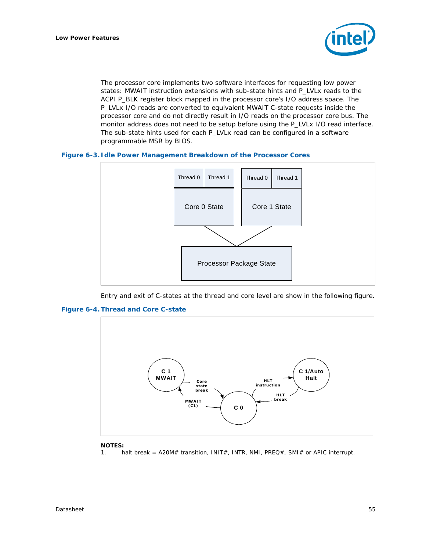

The processor core implements two software interfaces for requesting low power states: MWAIT instruction extensions with sub-state hints and P\_LVLx reads to the ACPI P\_BLK register block mapped in the processor core's I/O address space. The P\_LVLx I/O reads are converted to equivalent MWAIT C-state requests inside the processor core and do not directly result in I/O reads on the processor core bus. The monitor address does not need to be setup before using the P\_LVLx I/O read interface. The sub-state hints used for each P\_LVLx read can be configured in a software programmable MSR by BIOS.

#### **Figure 6-3. Idle Power Management Breakdown of the Processor Cores**



Entry and exit of C-states at the thread and core level are show in the following figure.





#### **NOTES:**

1. halt break = A20M# transition, INIT#, INTR, NMI, PREQ#, SMI# or APIC interrupt.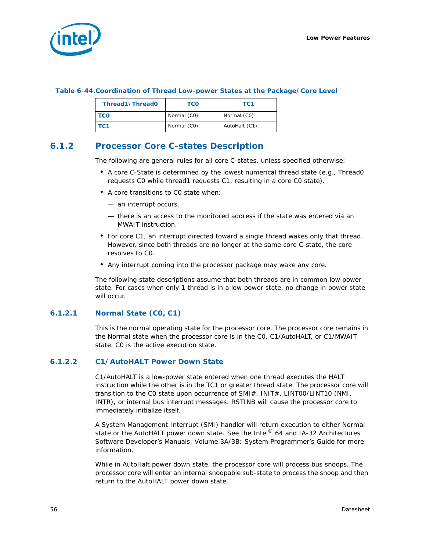

#### **Table 6-44.Coordination of Thread Low-power States at the Package/Core Level**

| Thread1\Thread0 | TCO         | TC <sub>1</sub> |
|-----------------|-------------|-----------------|
| <b>TCO</b>      | Normal (CO) | Normal (CO)     |
| TC 1            | Normal (CO) | AutoHalt (C1)   |

## **6.1.2 Processor Core C-states Description**

The following are general rules for all core C-states, unless specified otherwise:

- A core C-State is determined by the lowest numerical thread state (e.g., Thread0 requests C0 while thread1 requests C1, resulting in a core C0 state).
- A core transitions to C0 state when:
	- an interrupt occurs.
	- there is an access to the monitored address if the state was entered via an MWAIT instruction.
- For core C1, an interrupt directed toward a single thread wakes only that thread. However, since both threads are no longer at the same core C-state, the core resolves to C0.
- Any interrupt coming into the processor package may wake any core.

The following state descriptions assume that both threads are in common low power state. For cases when only 1 thread is in a low power state, no change in power state will occur.

#### **6.1.2.1 Normal State (C0, C1)**

This is the normal operating state for the processor core. The processor core remains in the Normal state when the processor core is in the CO, C1/AutoHALT, or C1/MWAIT state. C0 is the active execution state.

#### **6.1.2.2 C1/AutoHALT Power Down State**

C1/AutoHALT is a low-power state entered when one thread executes the HALT instruction while the other is in the TC1 or greater thread state. The processor core will transition to the CO state upon occurrence of SMI#, INIT#, LINT00/LINT10 (NMI, INTR), or internal bus interrupt messages. RSTINB will cause the processor core to immediately initialize itself.

A System Management Interrupt (SMI) handler will return execution to either Normal state or the AutoHALT power down state. See the *Intel® 64 and IA-32 Architectures Software Developer's Manuals, Volume 3A/3B: System Programmer's Guide* for more information.

While in AutoHalt power down state, the processor core will process bus snoops. The processor core will enter an internal snoopable sub-state to process the snoop and then return to the AutoHALT power down state.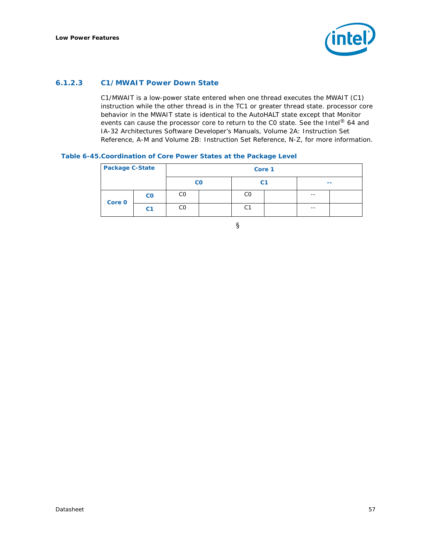

#### **6.1.2.3 C1/MWAIT Power Down State**

C1/MWAIT is a low-power state entered when one thread executes the MWAIT (C1) instruction while the other thread is in the TC1 or greater thread state. processor core behavior in the MWAIT state is identical to the AutoHALT state except that Monitor events can cause the processor core to return to the C0 state. See the *Intel® 64 and IA-32 Architectures Software Developer's Manuals, Volume 2A: Instruction Set Reference, A-M and Volume 2B: Instruction Set Reference, N-Z,* for more information.

#### **Table 6-45.Coordination of Core Power States at the Package Level**

| <b>Package C-State</b> |                        |             | Core 1 |    |  |      |  |  |  |  |  |  |
|------------------------|------------------------|-------------|--------|----|--|------|--|--|--|--|--|--|
|                        |                        | $_{\rm CO}$ |        | C1 |  | --   |  |  |  |  |  |  |
| Core 0                 | $\mathbf{c}\mathbf{o}$ | CO          |        | CO |  | $ -$ |  |  |  |  |  |  |
|                        | C <sub>1</sub>         | CО          |        | С1 |  | $ -$ |  |  |  |  |  |  |

§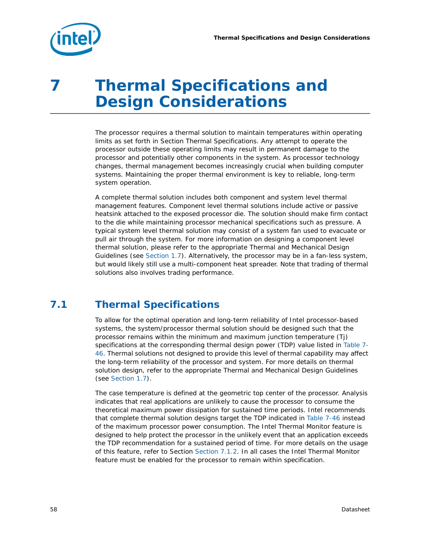

# *7 Thermal Specifications and Design Considerations*

The processor requires a thermal solution to maintain temperatures within operating limits as set forth in Section [Thermal Specifications](#page-57-0). Any attempt to operate the processor outside these operating limits may result in permanent damage to the processor and potentially other components in the system. As processor technology changes, thermal management becomes increasingly crucial when building computer systems. Maintaining the proper thermal environment is key to reliable, long-term system operation.

A complete thermal solution includes both component and system level thermal management features. Component level thermal solutions include active or passive heatsink attached to the exposed processor die. The solution should make firm contact to the die while maintaining processor mechanical specifications such as pressure. A typical system level thermal solution may consist of a system fan used to evacuate or pull air through the system. For more information on designing a component level thermal solution, please refer to the appropriate Thermal and Mechanical Design Guidelines (see [Section 1.7\)](#page-12-0). Alternatively, the processor may be in a fan-less system, but would likely still use a multi-component heat spreader. Note that trading of thermal solutions also involves trading performance.

# <span id="page-57-0"></span>**7.1 Thermal Specifications**

To allow for the optimal operation and long-term reliability of Intel processor-based systems, the system/processor thermal solution should be designed such that the processor remains within the minimum and maximum junction temperature (Tj) specifications at the corresponding thermal design power (TDP) value listed in [Table 7-](#page-58-0) [46](#page-58-0). Thermal solutions not designed to provide this level of thermal capability may affect the long-term reliability of the processor and system. For more details on thermal solution design, refer to the appropriate Thermal and Mechanical Design Guidelines (see [Section 1.7\)](#page-12-0).

The case temperature is defined at the geometric top center of the processor. Analysis indicates that real applications are unlikely to cause the processor to consume the theoretical maximum power dissipation for sustained time periods. Intel recommends that complete thermal solution designs target the TDP indicated in [Table 7-46](#page-58-0) instead of the maximum processor power consumption. The Intel Thermal Monitor feature is designed to help protect the processor in the unlikely event that an application exceeds the TDP recommendation for a sustained period of time. For more details on the usage of this feature, refer to Section [Section 7.1.2.](#page-60-0) In all cases the Intel Thermal Monitor feature must be enabled for the processor to remain within specification.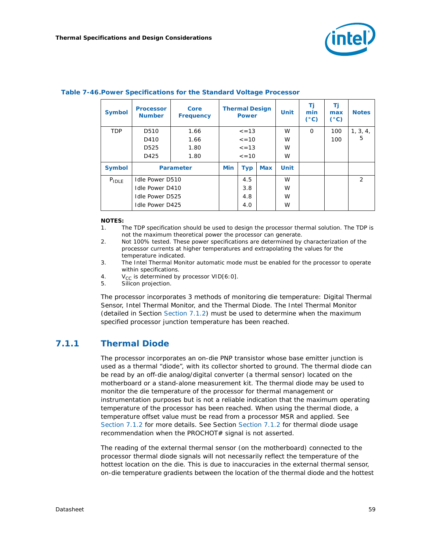

| <b>Symbol</b> | <b>Processor</b><br><b>Number</b> | Core<br><b>Frequency</b> |             | <b>Thermal Design</b><br><b>Power</b> |            | <b>Unit</b> | Τj<br>min<br>$(^{\circ}C)$ | Τj<br>max<br>$(^{\circ}C)$ | <b>Notes</b>   |
|---------------|-----------------------------------|--------------------------|-------------|---------------------------------------|------------|-------------|----------------------------|----------------------------|----------------|
| <b>TDP</b>    | D510                              | 1.66                     | $\leq$ = 13 |                                       |            | W           | $\Omega$                   | 100                        | 1, 3, 4,       |
|               | D410                              | 1.66                     |             | $\leq$ = 10                           |            | W           |                            | 100                        | 5              |
|               | D <sub>525</sub>                  | 1.80                     | $\leq$ = 13 |                                       |            | W           |                            |                            |                |
|               | D425                              | 1.80                     | $\leq$ = 10 |                                       |            | W           |                            |                            |                |
| <b>Symbol</b> |                                   | <b>Parameter</b>         | <b>Min</b>  | <b>Typ</b>                            | <b>Max</b> | <b>Unit</b> |                            |                            |                |
| $P_{IDLE}$    | <b>Idle Power D510</b>            |                          |             | 4.5                                   |            | W           |                            |                            | $\overline{2}$ |
|               | Idle Power D410                   |                          |             | 3.8                                   |            | W           |                            |                            |                |
|               | <b>Idle Power D525</b>            |                          |             | 4.8                                   |            | W           |                            |                            |                |
|               | <b>Idle Power D425</b>            |                          |             | 4.0                                   |            | W           |                            |                            |                |

#### <span id="page-58-0"></span>**Table 7-46.Power Specifications for the Standard Voltage Processor**

#### **NOTES:**

- 1. The TDP specification should be used to design the processor thermal solution. The TDP is not the maximum theoretical power the processor can generate.
- 2. Not 100% tested. These power specifications are determined by characterization of the processor currents at higher temperatures and extrapolating the values for the temperature indicated.
- 3. The Intel Thermal Monitor automatic mode must be enabled for the processor to operate within specifications.
- 4.  $V_{CC}$  is determined by processor VID[6:0].<br>5. Silicon projection.
- Silicon projection.

The processor incorporates 3 methods of monitoring die temperature: Digital Thermal Sensor, Intel Thermal Monitor, and the Thermal Diode. The Intel Thermal Monitor (detailed in Section [Section 7.1.2](#page-60-0)) must be used to determine when the maximum specified processor junction temperature has been reached.

## **7.1.1 Thermal Diode**

The processor incorporates an on-die PNP transistor whose base emitter junction is used as a thermal "diode", with its collector shorted to ground. The thermal diode can be read by an off-die analog/digital converter (a thermal sensor) located on the motherboard or a stand-alone measurement kit. The thermal diode may be used to monitor the die temperature of the processor for thermal management or instrumentation purposes but is not a reliable indication that the maximum operating temperature of the processor has been reached. When using the thermal diode, a temperature offset value must be read from a processor MSR and applied. See [Section 7.1.2](#page-60-0) for more details. See Section [Section 7.1.2](#page-60-0) for thermal diode usage recommendation when the PROCHOT# signal is not asserted.

The reading of the external thermal sensor (on the motherboard) connected to the processor thermal diode signals will not necessarily reflect the temperature of the hottest location on the die. This is due to inaccuracies in the external thermal sensor, on-die temperature gradients between the location of the thermal diode and the hottest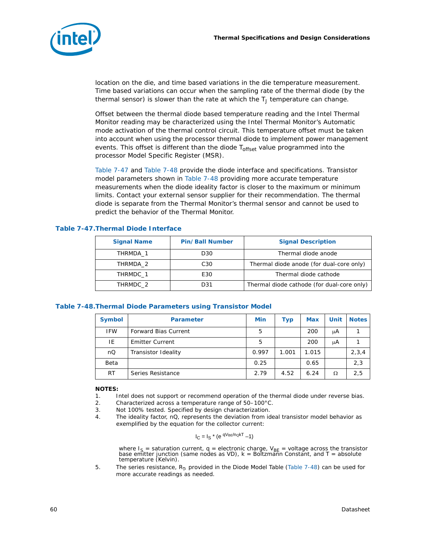

location on the die, and time based variations in the die temperature measurement. Time based variations can occur when the sampling rate of the thermal diode (by the thermal sensor) is slower than the rate at which the  $T_J$  temperature can change.

Offset between the thermal diode based temperature reading and the Intel Thermal Monitor reading may be characterized using the Intel Thermal Monitor's Automatic mode activation of the thermal control circuit. This temperature offset must be taken into account when using the processor thermal diode to implement power management events. This offset is different than the diode T<sub>offset</sub> value programmed into the processor Model Specific Register (MSR).

[Table 7-47](#page-59-0) and [Table 7-48](#page-59-1) provide the diode interface and specifications. Transistor model parameters shown in [Table 7-48](#page-59-1) providing more accurate temperature measurements when the diode ideality factor is closer to the maximum or minimum limits. Contact your external sensor supplier for their recommendation. The thermal diode is separate from the Thermal Monitor's thermal sensor and cannot be used to predict the behavior of the Thermal Monitor.

<span id="page-59-0"></span>

|  |  |  |  | Table 7-47. Thermal Diode Interface |
|--|--|--|--|-------------------------------------|
|--|--|--|--|-------------------------------------|

| <b>Signal Name</b> | <b>Pin/Ball Number</b> | <b>Signal Description</b>                  |
|--------------------|------------------------|--------------------------------------------|
| THRMDA 1           | D30                    | Thermal diode anode                        |
| THRMDA 2           | C30                    | Thermal diode anode (for dual-core only)   |
| THRMDC 1           | E30                    | Thermal diode cathode                      |
| THRMDC 2           | D31                    | Thermal diode cathode (for dual-core only) |

#### <span id="page-59-1"></span>**Table 7-48.Thermal Diode Parameters using Transistor Model**

| <b>Symbol</b> | <b>Parameter</b>            | Min   | <b>Typ</b> | <b>Max</b> | Unit | <b>Notes</b> |
|---------------|-----------------------------|-------|------------|------------|------|--------------|
| <b>IFW</b>    | <b>Forward Bias Current</b> | 5     |            | 200        | μA   |              |
| IE            | <b>Emitter Current</b>      | 5     |            | 200        | μA   |              |
| nQ            | Transistor Ideality         | 0.997 | 1.001      | 1.015      |      | 2, 3, 4      |
| Beta          |                             | 0.25  |            | 0.65       |      | 2,3          |
| RT            | Series Resistance           | 2.79  | 4.52       | 6.24       | Ω    | 2,5          |

#### **NOTES:**

- 1. Intel does not support or recommend operation of the thermal diode under reverse bias.
- 2. Characterized across a temperature range of 50–100°C.
- 3. Not 100% tested. Specified by design characterization.
- 4. The ideality factor, nQ, represents the deviation from ideal transistor model behavior as exemplified by the equation for the collector current:

$$
I_C = I_S * (e^{ q V_{BE}/n_Q kT} - 1)
$$

where I<sub>S</sub> = saturation current, q = electronic charge, V<sub>BE</sub> = voltage across the transistor<br>base emitter junction (same nodes as VD), k = Boltzmann Constant, and T = absolute temperature (Kelvin).

5. The series resistance,  $R_T$ , provided in the Diode Model Table ([Table 7-48](#page-59-1)) can be used for more accurate readings as needed.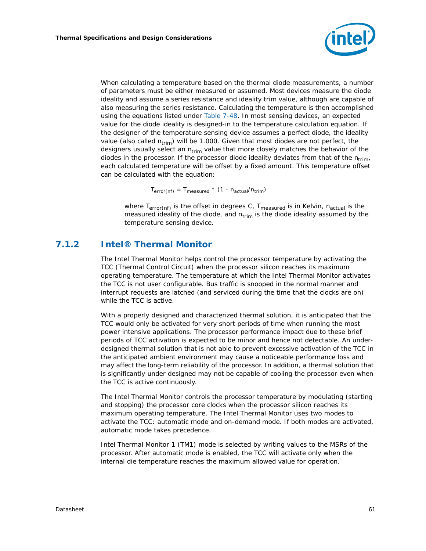

When calculating a temperature based on the thermal diode measurements, a number of parameters must be either measured or assumed. Most devices measure the diode ideality and assume a series resistance and ideality trim value, although are capable of also measuring the series resistance. Calculating the temperature is then accomplished using the equations listed under [Table 7-48](#page-59-1). In most sensing devices, an expected value for the diode ideality is designed-in to the temperature calculation equation. If the designer of the temperature sensing device assumes a perfect diode, the ideality value (also called  $n_{trim}$ ) will be 1.000. Given that most diodes are not perfect, the designers usually select an  $n_{\text{trim}}$  value that more closely matches the behavior of the diodes in the processor. If the processor diode ideality deviates from that of the  $n_{trim}$ , each calculated temperature will be offset by a fixed amount. This temperature offset can be calculated with the equation:

 $T_{error(nf)} = T_{measured} * (1 - n_{actual}/n_{trim})$ 

where  $T_{error(nf)}$  is the offset in degrees C,  $T_{measured}$  is in Kelvin,  $n_{actual}$  is the measured ideality of the diode, and  $n_{trim}$  is the diode ideality assumed by the temperature sensing device.

## <span id="page-60-0"></span>**7.1.2 Intel® Thermal Monitor**

The Intel Thermal Monitor helps control the processor temperature by activating the TCC (Thermal Control Circuit) when the processor silicon reaches its maximum operating temperature. The temperature at which the Intel Thermal Monitor activates the TCC is not user configurable. Bus traffic is snooped in the normal manner and interrupt requests are latched (and serviced during the time that the clocks are on) while the TCC is active.

With a properly designed and characterized thermal solution, it is anticipated that the TCC would only be activated for very short periods of time when running the most power intensive applications. The processor performance impact due to these brief periods of TCC activation is expected to be minor and hence not detectable. An underdesigned thermal solution that is not able to prevent excessive activation of the TCC in the anticipated ambient environment may cause a noticeable performance loss and may affect the long-term reliability of the processor. In addition, a thermal solution that is significantly under designed may not be capable of cooling the processor even when the TCC is active continuously.

The Intel Thermal Monitor controls the processor temperature by modulating (starting and stopping) the processor core clocks when the processor silicon reaches its maximum operating temperature. The Intel Thermal Monitor uses two modes to activate the TCC: automatic mode and on-demand mode. If both modes are activated, automatic mode takes precedence.

Intel Thermal Monitor 1 (TM1) mode is selected by writing values to the MSRs of the processor. After automatic mode is enabled, the TCC will activate only when the internal die temperature reaches the maximum allowed value for operation.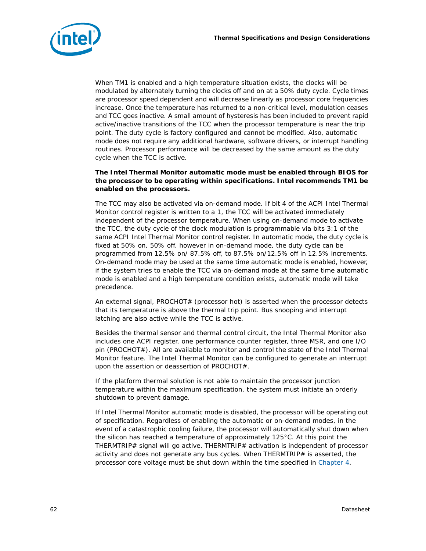

When TM1 is enabled and a high temperature situation exists, the clocks will be modulated by alternately turning the clocks off and on at a 50% duty cycle. Cycle times are processor speed dependent and will decrease linearly as processor core frequencies increase. Once the temperature has returned to a non-critical level, modulation ceases and TCC goes inactive. A small amount of hysteresis has been included to prevent rapid active/inactive transitions of the TCC when the processor temperature is near the trip point. The duty cycle is factory configured and cannot be modified. Also, automatic mode does not require any additional hardware, software drivers, or interrupt handling routines. Processor performance will be decreased by the same amount as the duty cycle when the TCC is active.

#### **The Intel Thermal Monitor automatic mode must be enabled through BIOS for the processor to be operating within specifications. Intel recommends TM1 be enabled on the processors.**

The TCC may also be activated via on-demand mode. If bit 4 of the ACPI Intel Thermal Monitor control register is written to a 1, the TCC will be activated immediately independent of the processor temperature. When using on-demand mode to activate the TCC, the duty cycle of the clock modulation is programmable via bits 3:1 of the same ACPI Intel Thermal Monitor control register. In automatic mode, the duty cycle is fixed at 50% on, 50% off, however in on-demand mode, the duty cycle can be programmed from 12.5% on/ 87.5% off, to 87.5% on/12.5% off in 12.5% increments. On-demand mode may be used at the same time automatic mode is enabled, however, if the system tries to enable the TCC via on-demand mode at the same time automatic mode is enabled and a high temperature condition exists, automatic mode will take precedence.

An external signal, PROCHOT# (processor hot) is asserted when the processor detects that its temperature is above the thermal trip point. Bus snooping and interrupt latching are also active while the TCC is active.

Besides the thermal sensor and thermal control circuit, the Intel Thermal Monitor also includes one ACPI register, one performance counter register, three MSR, and one I/O pin (PROCHOT#). All are available to monitor and control the state of the Intel Thermal Monitor feature. The Intel Thermal Monitor can be configured to generate an interrupt upon the assertion or deassertion of PROCHOT#.

If the platform thermal solution is not able to maintain the processor junction temperature within the maximum specification, the system must initiate an orderly shutdown to prevent damage.

If Intel Thermal Monitor automatic mode is disabled, the processor will be operating out of specification. Regardless of enabling the automatic or on-demand modes, in the event of a catastrophic cooling failure, the processor will automatically shut down when the silicon has reached a temperature of approximately 125°C. At this point the THERMTRIP# signal will go active. THERMTRIP# activation is independent of processor activity and does not generate any bus cycles. When THERMTRIP# is asserted, the processor core voltage must be shut down within the time specified in [Chapter 4](#page-36-0).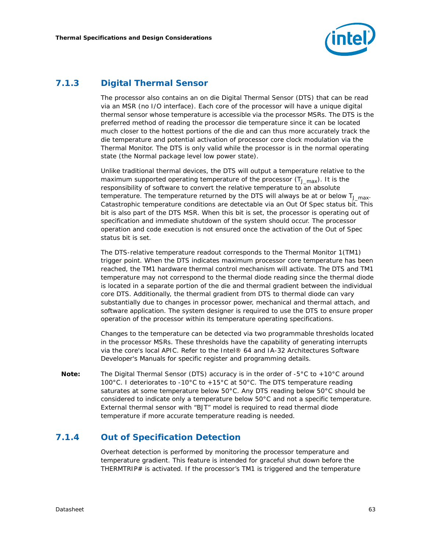

## **7.1.3 Digital Thermal Sensor**

The processor also contains an on die Digital Thermal Sensor (DTS) that can be read via an MSR (no I/O interface). Each core of the processor will have a unique digital thermal sensor whose temperature is accessible via the processor MSRs. The DTS is the preferred method of reading the processor die temperature since it can be located much closer to the hottest portions of the die and can thus more accurately track the die temperature and potential activation of processor core clock modulation via the Thermal Monitor. The DTS is only valid while the processor is in the normal operating state (the Normal package level low power state).

Unlike traditional thermal devices, the DTS will output a temperature relative to the maximum supported operating temperature of the processor  $(T_{J,max})$ . It is the responsibility of software to convert the relative temperature to an absolute temperature. The temperature returned by the DTS will always be at or below  $T_{\text{J}}_{\text{max}}$ . Catastrophic temperature conditions are detectable via an Out Of Spec status bit. This bit is also part of the DTS MSR. When this bit is set, the processor is operating out of specification and immediate shutdown of the system should occur. The processor operation and code execution is not ensured once the activation of the Out of Spec status bit is set.

The DTS-relative temperature readout corresponds to the Thermal Monitor 1(TM1) trigger point. When the DTS indicates maximum processor core temperature has been reached, the TM1 hardware thermal control mechanism will activate. The DTS and TM1 temperature may not correspond to the thermal diode reading since the thermal diode is located in a separate portion of the die and thermal gradient between the individual core DTS. Additionally, the thermal gradient from DTS to thermal diode can vary substantially due to changes in processor power, mechanical and thermal attach, and software application. The system designer is required to use the DTS to ensure proper operation of the processor within its temperature operating specifications.

Changes to the temperature can be detected via two programmable thresholds located in the processor MSRs. These thresholds have the capability of generating interrupts via the core's local APIC. Refer to the *Intel® 64 and IA-32 Architectures Software Developer's Manuals* for specific register and programming details.

*Note:* The Digital Thermal Sensor (DTS) accuracy is in the order of -5°C to +10°C around 100°C. I deteriorates to -10°C to +15°C at 50°C. The DTS temperature reading saturates at some temperature below 50°C. Any DTS reading below 50°C should be considered to indicate only a temperature below 50°C and not a specific temperature. External thermal sensor with "BJT" model is required to read thermal diode temperature if more accurate temperature reading is needed.

## **7.1.4 Out of Specification Detection**

Overheat detection is performed by monitoring the processor temperature and temperature gradient. This feature is intended for graceful shut down before the THERMTRIP# is activated. If the processor's TM1 is triggered and the temperature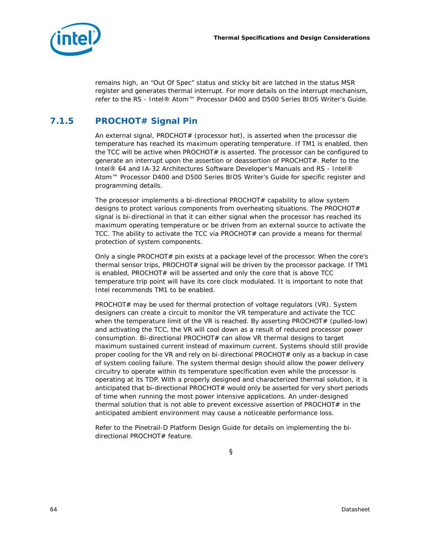

remains high, an "Out Of Spec" status and sticky bit are latched in the status MSR register and generates thermal interrupt. For more details on the interrupt mechanism, refer to the *RS - Intel® Atom™ Processor D400 and D500 Series BIOS Writer's Guide*.

# **7.1.5 PROCHOT# Signal Pin**

An external signal, PROCHOT# (processor hot), is asserted when the processor die temperature has reached its maximum operating temperature. If TM1 is enabled, then the TCC will be active when  $PROCHOT#$  is asserted. The processor can be configured to generate an interrupt upon the assertion or deassertion of PROCHOT#. Refer to the *Intel® 64 and IA-32 Architectures Software Developer's Manuals* and *RS - Intel® Atom™ Processor D400 and D500 Series BIOS Writer's Guide* for specific register and programming details.

The processor implements a bi-directional PROCHOT $#$  capability to allow system designs to protect various components from overheating situations. The PROCHOT $#$ signal is bi-directional in that it can either signal when the processor has reached its maximum operating temperature or be driven from an external source to activate the TCC. The ability to activate the TCC via PROCHOT# can provide a means for thermal protection of system components.

Only a single PROCHOT# pin exists at a package level of the processor. When the core's thermal sensor trips, PROCHOT# signal will be driven by the processor package. If TM1 is enabled, PROCHOT $#$  will be asserted and only the core that is above TCC temperature trip point will have its core clock modulated. It is important to note that Intel recommends TM1 to be enabled.

PROCHOT# may be used for thermal protection of voltage regulators (VR). System designers can create a circuit to monitor the VR temperature and activate the TCC when the temperature limit of the VR is reached. By asserting PROCHOT $#$  (pulled-low) and activating the TCC, the VR will cool down as a result of reduced processor power consumption. Bi-directional PROCHOT# can allow VR thermal designs to target maximum sustained current instead of maximum current. Systems should still provide proper cooling for the VR and rely on bi-directional PROCHOT# only as a backup in case of system cooling failure. The system thermal design should allow the power delivery circuitry to operate within its temperature specification even while the processor is operating at its TDP. With a properly designed and characterized thermal solution, it is anticipated that bi-directional PROCHOT# would only be asserted for very short periods of time when running the most power intensive applications. An under-designed thermal solution that is not able to prevent excessive assertion of PROCHOT# in the anticipated ambient environment may cause a noticeable performance loss.

Refer to the *Pinetrail-D Platform Design Guide* for details on implementing the bidirectional PROCHOT# feature.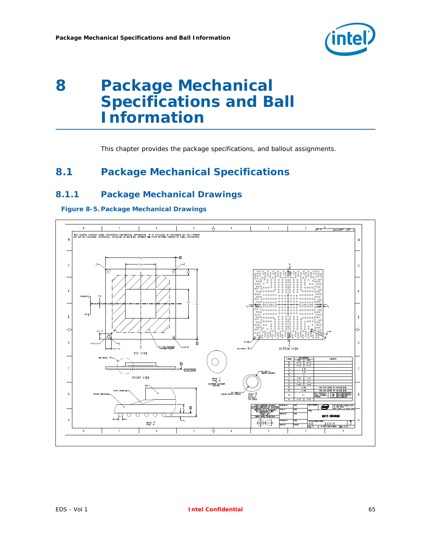

# <span id="page-64-0"></span>*8 Package Mechanical Specifications and Ball Information*

This chapter provides the package specifications, and ballout assignments.

# **8.1 Package Mechanical Specifications**

## **8.1.1 Package Mechanical Drawings**

**Figure 8-5. Package Mechanical Drawings**

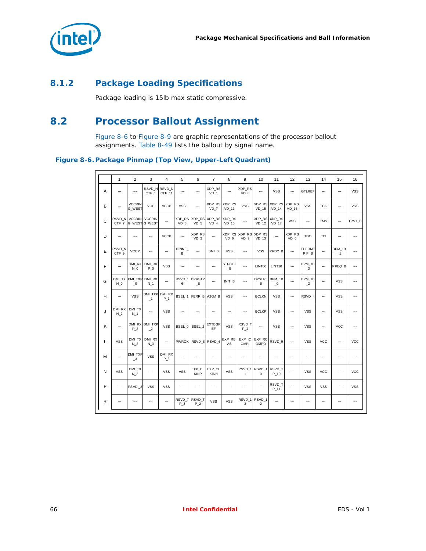

# **8.1.2 Package Loading Specifications**

Package loading is 15lb max static compressive.

# **8.2 Processor Ballout Assignment**

[Figure 8-6](#page-65-0) to [Figure 8-9](#page-68-0) are graphic representations of the processor ballout assignments. [Table 8-49](#page-68-1) lists the ballout by signal name.

<span id="page-65-0"></span>**Figure 8-6. Package Pinmap (Top View, Upper-Left Quadrant)**

|              | $\mathbf{1}$             | 2                                     | 3                                     | $\overline{4}$           | 5                         | 6                                                       | $\overline{7}$            | 8                         | 9                                 | 10                       | 11                                   | 12                | 13                                | 14                       | 15                       | 16                       |
|--------------|--------------------------|---------------------------------------|---------------------------------------|--------------------------|---------------------------|---------------------------------------------------------|---------------------------|---------------------------|-----------------------------------|--------------------------|--------------------------------------|-------------------|-----------------------------------|--------------------------|--------------------------|--------------------------|
| Α            | ┄                        | ┄                                     | RSVD N<br>CTF_1                       | RSVD_N<br>CTF_11         |                           | $\overline{\phantom{a}}$                                | XDP_RS<br>VD <sub>1</sub> | ---                       | XDP_RS<br>$VD_8$                  |                          | <b>VSS</b>                           |                   | <b>GTLREF</b>                     | ┄                        | ┄                        | <b>VSS</b>               |
| B            | $\overline{a}$           | <b>VCCRIN</b><br>G_WEST               | <b>VCC</b>                            | <b>VCCP</b>              | <b>VSS</b>                | $\overline{\phantom{a}}$                                | VD 7                      | XDP_RS XDP_RS<br>$VD_111$ | <b>VSS</b>                        | XDP_RS<br>$VD_15$        | XDP_RS<br>$VD_14$                    | XDP_RS<br>$VD_16$ | <b>VSS</b>                        | <b>TCK</b>               | ┄                        | <b>VSS</b>               |
| $\mathsf{C}$ | RSVD N<br>CTF 7          | <b>VCCRIN</b>                         | <b>VCCRIN</b><br><b>G WEST G WEST</b> | $\ddotsc$                | XDP_RS<br>VD <sub>3</sub> | XDP_RS<br>VD <sub>5</sub>                               | XDP_RS<br>$VD$ 4          | XDP_RS<br>$VD_10$         | $\overline{a}$                    | XDP_RS<br><b>VD 12</b>   | XDP_RS<br>$VD_17$                    | <b>VSS</b>        | ┄                                 | <b>TMS</b>               | ┄                        | TRST B                   |
| D            | −−                       | ┄                                     | $\overline{\phantom{a}}$              | <b>VCCP</b>              |                           | XDP_RS<br>VD <sub>2</sub>                               | ---                       | XDP RS<br>VD <sub>6</sub> | XDP RS<br>VD <sub>9</sub>         | XDP RS<br><b>VD 13</b>   | $\overline{\phantom{a}}$             | XDP_RS<br>VD 0    | <b>TDO</b>                        | <b>TDI</b>               |                          | --                       |
| E            | RSVD_N<br>CTF_9          | <b>VCCP</b>                           | $\overline{a}$                        | $\overline{a}$           | <b>IGNNE</b><br>B         | $\overline{\phantom{a}}$                                | SMI B                     | <b>VSS</b>                | $\overline{a}$                    | <b>VSS</b>               | PRDY_B                               |                   | THERMT<br>RIP_B                   |                          | BPM_1B<br>$\mathbf{-1}$  | $\overline{a}$           |
| F            | ┄                        | DMI RX<br>N <sub>0</sub>              | DMI RX<br>P <sub>0</sub>              | <b>VSS</b>               | …                         | ---                                                     | $\overline{\phantom{a}}$  | <b>STPCLK</b><br>B        | ---                               | LINT00                   | LINT10                               |                   | BPM_1B<br>$\overline{\mathbf{3}}$ |                          | PREQ_B                   | $\overline{a}$           |
| G            | DMI TX<br>N <sub>0</sub> | DMI TXP<br>$_{-0}$                    | DMI RX<br>N <sub>1</sub>              |                          | RSVD <sub>1</sub><br>6    | <b>DPRSTP</b><br>$\overline{\phantom{a}}^{\phantom{a}}$ | ---                       | INIT B                    | $\overline{\phantom{a}}$          | DPSLP<br>B               | BPM_1B<br>$\overline{\phantom{0}}^0$ |                   | BPM_1B<br>$\mathbf{r}$            | ---                      | <b>VSS</b>               | $\overline{\phantom{a}}$ |
| н            | $\overline{\phantom{a}}$ | <b>VSS</b>                            | DMI_TXP<br>$-1$                       | DMI_RX<br>P 1            | BSEL 1                    | FERR_B A20M_B                                           |                           | <b>VSS</b>                | $\overline{a}$                    | <b>BCLKN</b>             | <b>VSS</b>                           |                   | RSVD 4                            | $\overline{\phantom{a}}$ | <b>VSS</b>               | $\overline{\phantom{a}}$ |
| J            | DMI RX<br>N 2            | DMI TX<br>N <sub>1</sub>              |                                       | <b>VSS</b>               | …                         | $\overline{\phantom{a}}$                                | ---                       | ┄                         | ---                               | <b>BCLKP</b>             | <b>VSS</b>                           |                   | <b>VSS</b>                        | ┄                        | <b>VSS</b>               | $\overline{a}$           |
| Κ            | $\overline{a}$           | DMI RX<br>P 2                         | DMI TXP<br>$\overline{2}$             | <b>VSS</b>               | BSEL 0                    | BSEL 2                                                  | <b>EXTBGR</b><br>EF       | <b>VSS</b>                | RSVD_T<br>P 4                     | $\overline{a}$           | <b>VSS</b>                           |                   | <b>VSS</b>                        | ┄                        | <b>VCC</b>               | --                       |
| L            | <b>VSS</b>               | DMI_TX<br>$N_2$                       | DMI_RX<br>N 3                         |                          | <b>PWROK</b>              |                                                         | RSVD_8 RSVD_6             | EXP_RBI<br>AS             | EXP_IC<br>OMPI                    | EXP_RC<br>OMPO           | RSVD_9                               |                   | <b>VSS</b>                        | <b>VCC</b>               | ┄                        | <b>VCC</b>               |
| М            | ┄                        | DMI_TXP<br>$\overline{\phantom{0}}^3$ | VSS                                   | DMI_RX<br>P 3            | ---                       | $\overline{\phantom{a}}$                                | ---                       | ---                       | $\overline{\phantom{a}}$          |                          | $\overline{\phantom{a}}$             |                   | ---                               | ---                      | $\overline{\phantom{a}}$ | --                       |
| N            | <b>VSS</b>               | DMI_TX<br>$N_3$                       |                                       | <b>VSS</b>               | <b>VSS</b>                | EXP_CL<br><b>KINP</b>                                   | EXP CL<br>KINN            | <b>VSS</b>                | RSVD <sub>1</sub><br>$\mathbf{1}$ | RSVD 1<br>0              | RSVD T<br>$P_10$                     |                   | <b>VSS</b>                        | <b>VCC</b>               | ---                      | <b>VCC</b>               |
| P            | ⊶.                       | RSVD_3                                | <b>VSS</b>                            | <b>VSS</b>               | …                         | ---                                                     | $\overline{\phantom{a}}$  | ---                       | ---                               | ---                      | RSVD T<br>$P_11$                     |                   | <b>VSS</b>                        | <b>VSS</b>               | ┄                        | <b>VSS</b>               |
| R            | ---                      | $\overline{\phantom{a}}$              | $\overline{\phantom{a}}$              | $\overline{\phantom{a}}$ | RSVD T<br>P 3             | RSVD_T<br>P 2                                           | <b>VSS</b>                | <b>VSS</b>                | RSVD 1<br>3                       | RSVD 1<br>$\overline{2}$ | $\overline{\phantom{a}}$             | ---               | $\ddotsc$                         | ---                      | ---                      | --                       |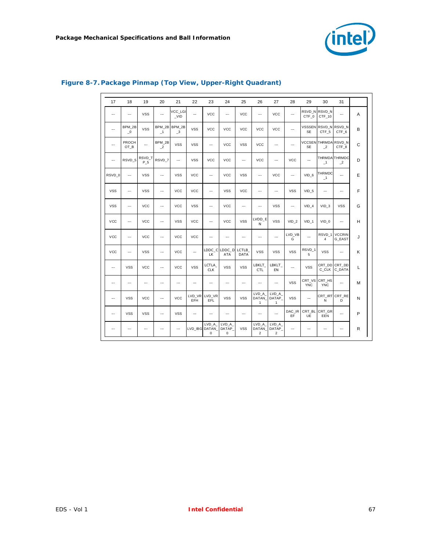

| 17                       | 18                                   | 19                       | 20                                   | 21                                   | 22             | 23                       | 24                            | 25                       | 26                               | 27                                | 28                       | 29                         | 30                                   | 31                                                 |              |
|--------------------------|--------------------------------------|--------------------------|--------------------------------------|--------------------------------------|----------------|--------------------------|-------------------------------|--------------------------|----------------------------------|-----------------------------------|--------------------------|----------------------------|--------------------------------------|----------------------------------------------------|--------------|
| $\overline{a}$           | $\overline{\phantom{a}}$             | <b>VSS</b>               | $\overline{\phantom{a}}$             | VCC LGI<br>$_VID$                    | $\overline{a}$ | <b>VCC</b>               | $\overline{a}$                | <b>VCC</b>               | $\overline{a}$                   | <b>VCC</b>                        | $\overline{\phantom{a}}$ | RSVD N<br>CTF 0            | RSVD N<br>CTF_10                     | $\overline{\phantom{a}}$                           | A            |
| $\overline{\phantom{a}}$ | BPM 2B<br>$\overline{\phantom{0}}^0$ | <b>VSS</b>               | BPM 2B<br>$\overline{\phantom{0}}$ 1 | BPM_2B<br>$\overline{\phantom{0}}^3$ | <b>VSS</b>     | <b>VCC</b>               | <b>VCC</b>                    | <b>VCC</b>               | <b>VCC</b>                       | <b>VCC</b>                        | $\overline{\phantom{a}}$ | <b>VSSSEN</b><br><b>SE</b> | CTF_5                                | RSVD N RSVD N<br>CTF_6                             | B            |
| ---                      | PROCH<br>OT_B                        | $\overline{\phantom{a}}$ | BPM_2B<br>$\overline{2}$             | <b>VSS</b>                           | <b>VSS</b>     | $\overline{\phantom{a}}$ | <b>VCC</b>                    | <b>VSS</b>               | <b>VCC</b>                       | ---                               |                          | <b>SE</b>                  | <b>VCCSEN THRMDA</b><br>$\mathbf{r}$ | RSVD N<br>CTF_8                                    | $\mathsf{C}$ |
| ---                      | RSVD 5                               | RSVD T<br>P 5            | RSVD_7                               | $\overline{\phantom{a}}$             | <b>VSS</b>     | <b>VCC</b>               | <b>VCC</b>                    | $\overline{\phantom{a}}$ | <b>VCC</b>                       | $\overline{\phantom{a}}$          | <b>VCC</b>               |                            | $-1$                                 | <b>THRMDA THRMDC</b><br>$\overline{\phantom{0}}^2$ | D            |
| RSVD 0                   | $\overline{a}$                       | <b>VSS</b>               | $\overline{\phantom{a}}$             | <b>VSS</b>                           | <b>VCC</b>     | $\overline{\phantom{a}}$ | <b>VCC</b>                    | <b>VSS</b>               | $\overline{\phantom{a}}$         | <b>VCC</b>                        | $\overline{\phantom{a}}$ | VID 6                      | THRMDC<br>$-1$                       | $\overline{\phantom{a}}$                           | E            |
| <b>VSS</b>               | $\overline{a}$                       | <b>VSS</b>               | $\overline{a}$                       | <b>VCC</b>                           | <b>VCC</b>     | $\overline{\phantom{a}}$ | <b>VSS</b>                    | <b>VCC</b>               | …                                | $\overline{\phantom{a}}$          | <b>VSS</b>               | $VID_5$                    | $\overline{\phantom{a}}$             |                                                    | F            |
| <b>VSS</b>               | ┄                                    | <b>VCC</b>               |                                      | <b>VCC</b>                           | <b>VSS</b>     | $\overline{\phantom{a}}$ | <b>VCC</b>                    | $\overline{\phantom{a}}$ | …                                | <b>VSS</b>                        | ---                      | $VID_4$                    | $VID_3$                              | <b>VSS</b>                                         | G            |
| <b>VCC</b>               | ┄                                    | <b>VCC</b>               | $\overline{\phantom{a}}$             | <b>VSS</b>                           | <b>VCC</b>     | ---                      | <b>VCC</b>                    | <b>VSS</b>               | LVDD_E<br>N                      | <b>VSS</b>                        | $VID_2$                  | VID <sub>1</sub>           | $VID_0$                              | $\overline{\phantom{a}}$                           | H            |
| <b>VCC</b>               | ---                                  | <b>VCC</b>               | $\overline{\phantom{a}}$             | <b>VCC</b>                           | <b>VCC</b>     | ┄                        | $\overline{\phantom{a}}$      | $\overline{\phantom{a}}$ | …                                | $\overline{\phantom{a}}$          | LVD_VB<br>G              | ---                        | RSVD <sub>1</sub><br>4               | <b>VCCRIN</b><br>G EAST                            | J            |
| <b>VCC</b>               | $\overline{\phantom{a}}$             | <b>VSS</b>               | $\overline{\phantom{a}}$             | <b>VCC</b>                           | ---            | LDDC_C<br><b>LK</b>      | LDDC_D<br>ATA                 | LCTLB<br>DATA            | <b>VSS</b>                       | <b>VSS</b>                        | <b>VSS</b>               | RSVD_1<br>5                | VSS                                  |                                                    | Κ            |
| $\overline{\phantom{a}}$ | <b>VSS</b>                           | <b>VCC</b>               | $\overline{a}$                       | <b>VCC</b>                           | <b>VSS</b>     | LCTLA<br><b>CLK</b>      | <b>VSS</b>                    | <b>VSS</b>               | LBKLT<br>CTL                     | LBKLT_<br>EN                      | $\overline{a}$           | <b>VSS</b>                 | CRT_DD<br>C CLK                      | CRT DD<br>C_DATA                                   | L            |
| …                        | ---                                  | $\overline{\phantom{a}}$ | $\overline{\phantom{a}}$             | ---                                  | ---            | $\cdots$                 | ---                           | ⊷                        | …                                | $\overline{\phantom{a}}$          | <b>VSS</b>               | CRT VS<br><b>YNC</b>       | CRT HS<br><b>YNC</b>                 |                                                    | М            |
| $\overline{\phantom{a}}$ | <b>VSS</b>                           | <b>VCC</b>               | $\overline{\phantom{a}}$             | <b>VCC</b>                           | EFH            | LVD_VR LVD_VR<br>EFL     | <b>VSS</b>                    | <b>VSS</b>               | LVD_A<br>DATAN<br>1              | LVD A<br>DATAP<br>$\mathbf{1}$    | <b>VSS</b>               |                            | N                                    | CRT_IRT CRT_RE<br>D                                | N            |
| $\overline{\phantom{a}}$ | <b>VSS</b>                           | <b>VSS</b>               | ---                                  | <b>VSS</b>                           | ---            | $\overline{\phantom{a}}$ | ---                           | $\overline{\phantom{a}}$ | ---                              | $\overline{a}$                    | DAC IR<br>EF             | CRT BL<br>UE               | CRT_GR<br>EEN                        | ---                                                | P            |
| …                        | $\overline{a}$                       | ÷.,                      | $\overline{\phantom{a}}$             | $\overline{\phantom{a}}$             | LVD IBG DATAN  | LVD A<br>0               | LVD_A<br>DATAP<br>$\mathbf 0$ | <b>VSS</b>               | LVD A<br>DATAN<br>$\overline{2}$ | LVD A<br>DATAP_<br>$\overline{2}$ | ---                      | ---                        | $\overline{\phantom{a}}$             | $\overline{\phantom{a}}$                           | R            |

## **Figure 8-7. Package Pinmap (Top View, Upper-Right Quadrant)**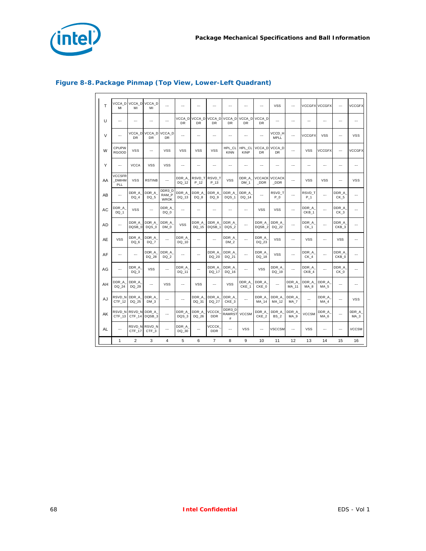

 $\Gamma$ 

 $\overline{\phantom{a}}$ 

| T         | MI                                   | VCCA_D VCCA_D VCCA_D<br>MI | MI                         |                                |                          |                  |                            |                           |                           | ---                        | <b>VSS</b>               | $\overline{\phantom{a}}$ |                           | <b>VCCGFX VCCGFX</b>     | ┄                         | <b>VCCGFX</b>            |
|-----------|--------------------------------------|----------------------------|----------------------------|--------------------------------|--------------------------|------------------|----------------------------|---------------------------|---------------------------|----------------------------|--------------------------|--------------------------|---------------------------|--------------------------|---------------------------|--------------------------|
| U         |                                      |                            | $\overline{a}$             | $\overline{a}$                 | VCCA D<br>DR             | VCCA D<br>DR     | VCCA D<br>DR               | VCCA D<br>DR              | VCCA D<br>DR              | VCCA D<br>DR               |                          | $\overline{a}$           |                           |                          | ┄                         |                          |
| $\vee$    | ┄                                    | <b>DR</b>                  | VCCA_D VCCA_D VCCA_D<br>DR | <b>DR</b>                      | ---                      | ---              | ---                        | ┄                         | $\overline{\phantom{a}}$  |                            | VCCD H<br><b>MPLL</b>    | ---                      | <b>VCCGFX</b>             | <b>VSS</b>               | ┄                         | <b>VSS</b>               |
| W         | CPUPW<br><b>RGOOD</b>                | <b>VSS</b>                 | ---                        | <b>VSS</b>                     | <b>VSS</b>               | <b>VSS</b>       | <b>VSS</b>                 | <b>HPL CL</b><br>KINN     | HPL CL<br><b>KINP</b>     | VCCA D<br>DR               | VCCA D<br>DR             | $\overline{a}$           | <b>VSS</b>                | <b>VCCGFX</b>            | ┄                         | <b>VCCGFX</b>            |
| Y         |                                      | <b>VCCA</b>                | <b>VSS</b>                 | <b>VSS</b>                     | ---                      | …                | Ξ.                         | ┄                         | ---                       | ---                        | ---                      | $\overline{\phantom{a}}$ | …                         | ---                      | ┄                         | ---                      |
| AA        | <b>VCCSFR</b><br><b>DMIHM</b><br>PLL | <b>VSS</b>                 | <b>RSTINB</b>              |                                | DDR_A<br>DQ_12           | RSVD T<br>$P_12$ | RSVD T<br>$P_13$           | <b>VSS</b>                | DDR_A<br>DM <sub>1</sub>  | VCCACK<br><b>DDR</b>       | <b>VCCACK</b><br>_DDR    | ---                      | <b>VSS</b>                | <b>VSS</b>               | ┄                         | <b>VSS</b>               |
| AB        | ┄                                    | DDR A<br>DQ 4              | DDR_A_<br>DQ 5             | DDR3 D<br>RAM_P<br><b>WROK</b> | DDR A<br>DQ_13           | DDR A<br>DQ 8    | DDR A<br>DQ 9              | DDR A<br>DQS <sub>1</sub> | DDR A<br>DQ_14            |                            | RSVD T<br>$P_0$          | ---                      | RSVD T<br>$P_1$           |                          | DDR A<br>CK <sub>5</sub>  | ---                      |
| AC        | DDR A<br>DQ 1                        | <b>VSS</b>                 | $\overline{a}$             | DDR_A<br>DQ 0                  | $\overline{a}$           | ---              | $\overline{a}$             | ---                       | $\overline{\phantom{a}}$  | <b>VSS</b>                 | <b>VSS</b>               | ---                      | DDR_A<br>CKB <sub>1</sub> | $\overline{a}$           | DDR A<br>CK_3             | $\sim$                   |
| <b>AD</b> | ┄                                    | DDR A<br>DQSB 0            | DDR A<br>DQS 0             | DDR A<br>DM 0                  | <b>VSS</b>               | DDR A<br>DQ 15   | DDR A<br>DQSB <sub>1</sub> | DDR A<br>DQS 2            | ---                       | DDR A<br>DQSB <sub>2</sub> | DDR A<br>DQ 22           | $\overline{\phantom{a}}$ | DDR A<br>$CK_1$           |                          | DDR A<br>CKB <sub>3</sub> |                          |
| AE        | <b>VSS</b>                           | DDR A<br>DQ 6              | DDR A<br>DQ 7              | $\overline{\phantom{a}}$       | DDR A<br>DQ 10           |                  |                            | DDR A<br>DM <sub>2</sub>  | ┄                         | DDR A<br>DQ 23             | <b>VSS</b>               | $\overline{\phantom{a}}$ | <b>VSS</b>                |                          | <b>VSS</b>                | ┄                        |
| AF        | ┄                                    | ---                        | DDR_A_<br>DQ 28            | DDR_A<br>DQ 2                  |                          |                  | DDR_A_<br>DQ 20            | DDR_A<br>DQ 21            | ┄                         | DDR_A<br>DQ 18             | <b>VSS</b>               |                          | DDR_A<br>CK <sub>4</sub>  |                          | DDR_A<br>CKB 0            | ┄                        |
| AG        | ┄                                    | DDR A<br>DQ 3              | <b>VSS</b>                 |                                | DDR A<br>DQ 11           | Ξ.               | DDR A<br>DQ 17             | DDR A<br>DQ 16            | $\overline{\phantom{a}}$  | <b>VSS</b>                 | DDR A<br>DQ 19           | $\overline{\phantom{a}}$ | DDR A<br>CKB 4            | $\overline{a}$           | DDR A<br>CK 0             | ┄                        |
| AH        | DDR_A<br>DQ 24                       | DDR_A<br>DQ 29             |                            | <b>VSS</b>                     |                          | <b>VSS</b>       | ┄                          | <b>VSS</b>                | DDR_A<br>CKE <sub>1</sub> | DDR_A<br>CKE 0             |                          | DDR_A<br>MA 11           | DDR_A_<br>MA <sub>8</sub> | DDR_A<br>MA <sub>5</sub> | ┄                         | ┄                        |
| AJ        | RSVD N<br>CTF <sub>12</sub>          | DDR_A<br>DQ 25             | DDR_A_<br>DM <sub>3</sub>  |                                | $\overline{\phantom{a}}$ | DDR_A<br>DQ 31   | DDR_A_<br>DQ 27            | DDR_A<br>CKE <sub>3</sub> | $\sim$                    | DDR_A<br>MA 14             | DDR_A<br>MA 12           | DDR A<br>MA <sub>7</sub> | ---                       | DDR_A<br>MA 4            | ┄                         | <b>VSS</b>               |
| AK        | CTF 13                               | RSVD_N RSVD_N DDR_A_       | CTF 14 DQSB 3              | ---                            | DDR_A<br>DQS 3           | DDR_A<br>DQ 26   | <b>VCCCK</b><br><b>DDR</b> | DDR3 D<br>RAMRST<br>#     | <b>VCCSM</b>              | DDR_A_<br>CKE <sub>2</sub> | DDR_A<br>BS <sub>2</sub> | DDR_A<br>MA <sub>9</sub> | <b>VCCSM</b>              | DDR_A<br>MA <sub>6</sub> | …                         | DDR_A<br>MA <sub>3</sub> |
| AL        | ┄                                    | CTF_17                     | RSVD N RSVD N<br>CTF_3     |                                | DDR_A<br>DQ_30           | ┄                | <b>VCCCK</b><br><b>DDR</b> | ┄                         | <b>VSS</b>                |                            | <b>VSCCSM</b>            | $\overline{\phantom{a}}$ | <b>VSS</b>                | ┄                        | ┄                         | <b>VCCSM</b>             |
|           | 1                                    | $\overline{2}$             | 3                          | 4                              | 5                        | 6                | $\overline{7}$             | 8                         | 9                         | 10                         | 11                       | 12                       | 13                        | 14                       | 15                        | 16                       |

## **Figure 8-8. Package Pinmap (Top View, Lower-Left Quadrant)**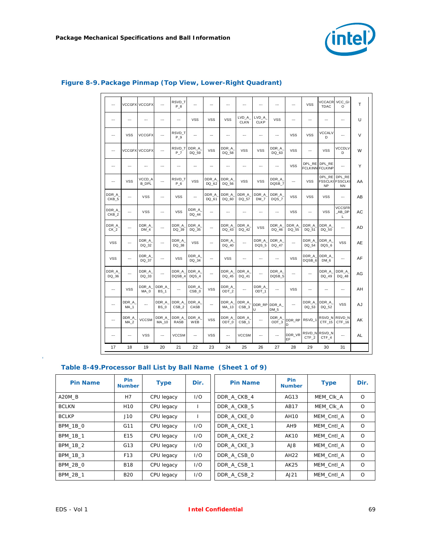

| $\overline{\phantom{a}}$  |                          | <b>VCCGFX VCCGFX</b>     | ---                      | RSVD T<br>$P_8$           | $\overline{a}$            | $\overline{a}$ | ---            | ---                       | $\overline{\phantom{a}}$ | $\overline{a}$             | ---                      | <b>VSS</b>                 | <b>VCCACR</b><br><b>TDAC</b>            | VCC GI<br>O                                          | T         |
|---------------------------|--------------------------|--------------------------|--------------------------|---------------------------|---------------------------|----------------|----------------|---------------------------|--------------------------|----------------------------|--------------------------|----------------------------|-----------------------------------------|------------------------------------------------------|-----------|
| ---                       | $\overline{\phantom{a}}$ | ---                      | ---                      | $\overline{\phantom{a}}$  | <b>VSS</b>                | <b>VSS</b>     | <b>VSS</b>     | LVD A<br><b>CLKN</b>      | LVD A<br><b>CLKP</b>     | <b>VSS</b>                 | $\overline{\phantom{a}}$ | ---                        | ---                                     |                                                      | U         |
| $\ldots$                  | <b>VSS</b>               | <b>VCCGFX</b>            | $\overline{a}$           | RSVD T<br>$P_9$           | ---                       | ---            | ---            | $\overline{a}$            | $\overline{\phantom{a}}$ | $\overline{\phantom{a}}$   | <b>VSS</b>               | <b>VSS</b>                 | VCCALV<br>D                             | $\overline{a}$                                       | V         |
|                           |                          | <b>VCCGFX VCCGFX</b>     | $\overline{a}$           | RSVD T<br>P 7             | DDR A<br>DQ 59            | <b>VSS</b>     | DDR A<br>DQ 58 | <b>VSS</b>                | <b>VSS</b>               | DDR_A<br>DQ 63             | <b>VSS</b>               | ---                        | <b>VSS</b>                              | <b>VCCDLV</b><br>D                                   | W         |
| ---                       | ---                      | $\overline{\phantom{a}}$ | ---                      | $\overline{\phantom{a}}$  | ---                       |                | ---            |                           | ---                      | ---                        | <b>VSS</b>               |                            | DPL RE DPL RE<br><b>FCLKINN FCLKINP</b> |                                                      | Υ         |
| $\overline{\phantom{a}}$  | <b>VSS</b>               | VCCD A<br><b>B DPL</b>   |                          | RSVD T<br>P 6             | <b>VSS</b>                | DDR_A<br>DQ 62 | DDR_A<br>DQ 56 | <b>VSS</b>                | <b>VSS</b>               | DDR_A<br>DQSB 7            | $\overline{a}$           | <b>VSS</b>                 | <b>NP</b>                               | DPL RE DPL RE<br><b>FSSCLKI FSSCLKI</b><br><b>NN</b> | AA        |
| DDR A<br>CKB <sub>5</sub> | $\overline{\phantom{a}}$ | <b>VSS</b>               |                          | <b>VSS</b>                | ┄                         | DDR_A<br>DQ 61 | DDR_A<br>DQ 60 | DDR_A<br>DQ 57            | DDR_A<br>DM 7            | DDR A<br>DQS 7             | VSS                      | VSS                        | <b>VSS</b>                              | $\overline{a}$                                       | AB        |
| DDR A<br>CKB_2            | $\overline{\phantom{a}}$ | <b>VSS</b>               | ---                      | <b>VSS</b>                | DDR_A<br>DQ_44            | $\overline{a}$ | $\overline{a}$ | $\overline{a}$            | $\overline{\phantom{a}}$ | $\overline{a}$             | <b>VSS</b>               | $\overline{a}$             | <b>VSS</b>                              | <b>VCCSFR</b><br>AB DP<br>L                          | AC        |
| DDR A<br>CK <sub>2</sub>  | $\overline{a}$           | DDR A<br>DM 4            | ---                      | DDR A<br>DQ 39            | DDR A<br>DQ 35            | −−             | DDR A<br>DQ 43 | DDR A<br>DQ 42            | <b>VSS</b>               | DDR A<br>DQ 46             | DDR A<br>DQ 55           | DDR A<br>DQ 51             | DDR A<br>DQ 50                          | $\overline{a}$                                       | AD        |
| <b>VSS</b>                | $\overline{\phantom{a}}$ | DDR A<br>DQ_32           | $\overline{a}$           | DDR A<br>DQ_38            | <b>VSS</b>                | $\overline{a}$ | DDR A<br>DQ_40 | $\overline{\phantom{a}}$  | DDR A<br>DQS 5           | DDR A<br>DQ_47             | $\overline{a}$           | DDR A<br>DQ 54             | DDR A<br>DQS 6                          | VSS                                                  | <b>AE</b> |
| <b>VSS</b>                |                          | DDR A<br>DQ 37           | $\overline{a}$           | <b>VSS</b>                | DDR_A<br>DQ_34            | ┄              | <b>VSS</b>     | $\overline{\phantom{a}}$  | ---                      |                            | <b>VSS</b>               | DDR A<br>DQSB_6            | DDR A<br>DM <sub>6</sub>                | $\overline{a}$                                       | AF        |
| DDR A<br>DQ 36            | ---                      | DDR A<br>DQ 33           |                          | DDR_A_<br>DQSB 4          | DDR A<br>DQS 4            |                | DDR A<br>DQ 45 | DDR A<br>DQ 41            | ---                      | DDR_A<br>DQSB <sub>5</sub> | ---                      | ---                        | DDR_A<br>DQ 49                          | DDR A<br>DQ 48                                       | AG        |
| $\overline{\phantom{a}}$  | <b>VSS</b>               | DDR A<br>MA 0            | DDR_A<br><b>BS 1</b>     | $\overline{\phantom{a}}$  | DDR A<br>CSB <sub>0</sub> | <b>VSS</b>     | DDR A<br>ODT_2 | $\sim$                    | DDR A<br>ODT 1           | $\overline{\phantom{a}}$   | <b>VSS</b>               | $\overline{\phantom{a}}$   | $\overline{a}$                          | $\overline{a}$                                       | AH        |
| ---                       | DDR A<br>MA <sub>1</sub> | …                        | DDR A<br>BS 0            | DDR A<br>CSB <sub>2</sub> | DDR A<br>CASB             | ┄              | DDR A<br>MA 13 | DDR A<br>CSB <sub>3</sub> | DDR RP<br>Ū              | DDR A<br>DM <sub>5</sub>   | ---                      | DDR A<br>DQ 53             | DDR A<br>DQ 52                          | <b>VSS</b>                                           | AJ        |
| ---                       | DDR_A<br>MA <sub>2</sub> | <b>VCCSM</b>             | DDR_A<br>MA 10           | DDR A<br><b>RASB</b>      | DDR_A<br>WEB              | <b>VSS</b>     | DDR_A<br>ODT 0 | DDR_A<br>CSB <sub>1</sub> | $\overline{\phantom{a}}$ | DDR_A<br>ODT <sub>3</sub>  | DDR_RP<br>D              | RSVD <sub>1</sub>          | CTF 15                                  | RSVD_N RSVD_N<br>CTF 16                              | AK        |
| $\overline{\phantom{a}}$  | $\overline{\phantom{a}}$ | <b>VSS</b>               | $\overline{\phantom{a}}$ | <b>VCCSM</b>              | $\sim$                    | <b>VSS</b>     | <u></u>        | <b>VCCSM</b>              | $\sim$                   | $\overline{\phantom{a}}$   | DDR_VR<br>EF             | RSVD N<br>CTF <sub>2</sub> | RSVD N<br>CTF 4                         | $\sim$                                               | AL        |
| 17                        | 18                       | 19                       | 20                       | 21                        | 22                        | 23             | 24             | 25                        | 26                       | 27                         | 28                       | 29                         | 30                                      | 31                                                   |           |

# <span id="page-68-0"></span>**Figure 8-9. Package Pinmap (Top View, Lower-Right Quadrant)**

## <span id="page-68-1"></span>**Table 8-49.Processor Ball List by Ball Name (Sheet 1 of 9)**

| <b>Pin Name</b> | <b>Pin</b><br><b>Number</b> | <b>Type</b> | Dir. | <b>Pin Name</b> | <b>Pin</b><br><b>Number</b> | <b>Type</b> | Dir.     |
|-----------------|-----------------------------|-------------|------|-----------------|-----------------------------|-------------|----------|
| A20M B          | H7                          | CPU legacy  | 1/O  | DDR A CKB 4     | AG13                        | MEM CIK A   | $\circ$  |
| <b>BCLKN</b>    | H <sub>10</sub>             | CPU legacy  |      | DDR A CKB 5     | AB17                        | MEM CIK A   | $\Omega$ |
| <b>BCLKP</b>    | J10                         | CPU legacy  |      | DDR A CKE 0     | AH10                        | MEM Cntl A  | $\circ$  |
| <b>BPM 1B 0</b> | G11                         | CPU legacy  | 1/O  | DDR A CKE 1     | AH <sub>9</sub>             | MEM Cntl A  | $\Omega$ |
| <b>BPM 1B 1</b> | E15                         | CPU legacy  | 1/O  | DDR A CKE 2     | <b>AK10</b>                 | MEM Cntl A  | $\circ$  |
| <b>BPM 1B 2</b> | G13                         | CPU legacy  | 1/O  | DDR A CKE 3     | AJ8                         | MEM Cntl A  | $\Omega$ |
| <b>BPM 1B 3</b> | F <sub>13</sub>             | CPU legacy  | 1/O  | DDR A CSB 0     | AH22                        | MEM Cntl A  | $\circ$  |
| <b>BPM 2B 0</b> | <b>B18</b>                  | CPU legacy  | 1/O  | DDR A CSB 1     | AK25                        | MEM Cntl A  | $\Omega$ |
| <b>BPM 2B 1</b> | <b>B20</b>                  | CPU legacy  | 1/O  | DDR A CSB 2     | AJ21                        | MEM Cntl A  | $\Omega$ |

 $\mathbf{r}$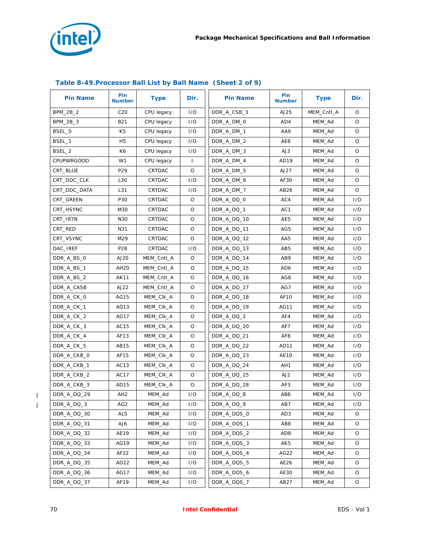

| <b>Pin Name</b>   | Pin<br><b>Number</b> | <b>Type</b> | Dir.    | <b>Pin Name</b> | Pin<br><b>Number</b> | <b>Type</b> | Dir.    |
|-------------------|----------------------|-------------|---------|-----------------|----------------------|-------------|---------|
| <b>BPM 2B 2</b>   | C <sub>20</sub>      | CPU legacy  | I/O     | DDR_A_CSB_3     | AJ25                 | MEM_Cntl_A  | O       |
| BPM_2B_3          | <b>B21</b>           | CPU legacy  | 1/O     | DDR_A_DM_0      | AD4                  | MEM_Ad      | O       |
| BSEL_0            | K <sub>5</sub>       | CPU legacy  | 1/O     | DDR A DM 1      | AA9                  | MEM_Ad      | O       |
| BSEL 1            | H <sub>5</sub>       | CPU legacy  | 1/O     | DDR_A_DM_2      | AE8                  | MEM_Ad      | $\circ$ |
| BSEL 2            | K6                   | CPU legacy  | 1/O     | DDR_A_DM_3      | AJ3                  | MEM_Ad      | O       |
| <b>CPUPWRGOOD</b> | W1                   | CPU legacy  | L       | DDR_A_DM_4      | AD <sub>19</sub>     | MEM_Ad      | O       |
| CRT_BLUE          | P29                  | CRTDAC      | $\circ$ | DDR_A_DM_5      | AJ27                 | MEM_Ad      | $\circ$ |
| CRT_DDC_CLK       | L30                  | CRTDAC      | 1/O     | DDR A DM 6      | AF30                 | MEM_Ad      | O       |
| CRT_DDC_DATA      | L31                  | CRTDAC      | 1/O     | DDR_A_DM_7      | AB26                 | MEM_Ad      | O       |
| CRT_GREEN         | P30                  | CRTDAC      | O       | DDR_A_DQ_0      | AC4                  | MEM_Ad      | 1/O     |
| CRT HSYNC         | M30                  | CRTDAC      | O       | DDR_A_DQ_1      | AC1                  | MEM_Ad      | 1/O     |
| CRT_IRTN          | N30                  | CRTDAC      | O       | DDR_A_DQ_10     | AE5                  | MEM_Ad      | I/O     |
| CRT_RED           | N31                  | CRTDAC      | O       | DDR_A_DQ_11     | AG5                  | MEM_Ad      | 1/O     |
| CRT_VSYNC         | M29                  | CRTDAC      | O       | DDR_A_DQ_12     | AA5                  | MEM_Ad      | 1/O     |
| DAC_IREF          | P <sub>28</sub>      | CRTDAC      | 1/O     | DDR_A_DQ_13     | AB <sub>5</sub>      | MEM_Ad      | 1/O     |
| DDR_A_BS_0        | AJ20                 | MEM_Cntl_A  | $\circ$ | DDR_A_DQ_14     | AB9                  | MEM_Ad      | 1/O     |
| DDR_A_BS_1        | AH20                 | MEM_Cntl_A  | O       | DDR_A_DQ_15     | AD6                  | MEM_Ad      | 1/O     |
| DDR_A_BS_2        | <b>AK11</b>          | MEM_Cntl_A  | O       | DDR_A_DQ_16     | AG8                  | MEM Ad      | 1/O     |
| DDR A CASB        | AJ22                 | MEM_Cntl_A  | O       | DDR_A_DQ_17     | AG7                  | MEM Ad      | 1/O     |
| DDR_A_CK_0        | AG15                 | MEM_CIK_A   | O       | DDR_A_DQ_18     | AF10                 | MEM_Ad      | 1/O     |
| DDR_A_CK_1        | AD <sub>13</sub>     | MEM_CIK_A   | O       | DDR_A_DQ_19     | AG11                 | MEM_Ad      | 1/O     |
| DDR_A_CK_2        | AD17                 | MEM_CIK_A   | O       | DDR_A_DQ_2      | AF4                  | MEM_Ad      | 1/O     |
| DDR_A_CK_3        | AC15                 | MEM_CIK_A   | O       | DDR_A_DQ_20     | AF7                  | MEM_Ad      | 1/O     |
| DDR_A_CK_4        | AF13                 | MEM_CIK_A   | O       | DDR_A_DQ_21     | AF <sub>8</sub>      | MEM_Ad      | 1/O     |
| DDR_A_CK_5        | AB15                 | MEM_CIK_A   | O       | DDR_A_DQ_22     | AD11                 | MEM_Ad      | 1/O     |
| DDR_A_CKB_0       | AF15                 | MEM_CIK_A   | O       | DDR_A_DQ_23     | AE10                 | MEM_Ad      | 1/O     |
| DDR_A_CKB_1       | AC13                 | MEM_CIK_A   | O       | DDR_A_DQ_24     | AH1                  | MEM_Ad      | 1/O     |
| DDR_A_CKB_2       | AC17                 | MEM_CIK_A   | $\circ$ | DDR_A_DQ_25     | AJ2                  | MEM_Ad      | 1/O     |
| DDR_A_CKB_3       | AD15                 | MEM_CIK_A   | O       | DDR_A_DQ_28     | AF3                  | MEM Ad      | 1/O     |
| DDR A DQ 29       | AH <sub>2</sub>      | MEM_Ad      | 1/O     | DDR_A_DQ_8      | AB6                  | MEM_Ad      | 1/O     |
| DDR_A_DQ_3        | AG2                  | MEM_Ad      | 1/O     | DDR_A_DQ_9      | AB7                  | MEM_Ad      | 1/O     |
| DDR_A_DQ_30       | AL <sub>5</sub>      | MEM_Ad      | 1/O     | DDR_A_DQS_0     | AD3                  | MEM_Ad      | O       |
| DDR_A_DQ_31       | AJ6                  | MEM_Ad      | I/O     | DDR_A_DQS_1     | AB8                  | MEM_Ad      | O       |
| DDR_A_DQ_32       | AE19                 | MEM_Ad      | 1/O     | DDR_A_DQS_2     | AD <sub>8</sub>      | MEM Ad      | O       |
| DDR_A_DQ_33       | AG19                 | MEM_Ad      | 1/O     | DDR_A_DQS_3     | AK5                  | MEM_Ad      | O       |
| DDR A DQ 34       | AF22                 | MEM Ad      | 1/O     | DDR A DQS 4     | AG22                 | MEM_Ad      | O       |
| DDR_A_DQ_35       | AD <sub>22</sub>     | MEM_Ad      | 1/O     | DDR_A_DQS_5     | AE26                 | MEM_Ad      | O       |
| DDR_A_DQ_36       | AG17                 | MEM_Ad      | 1/O     | DDR_A_DQS_6     | AE30                 | MEM_Ad      | O       |
| DDR_A_DQ_37       | AF19                 | MEM_Ad      | 1/O     | DDR_A_DQS_7     | AB27                 | MEM_Ad      | O       |

## **Table 8-49.Processor Ball List by Ball Name (Sheet 2 of 9)**

 $\mathbf I$  $\mathbf I$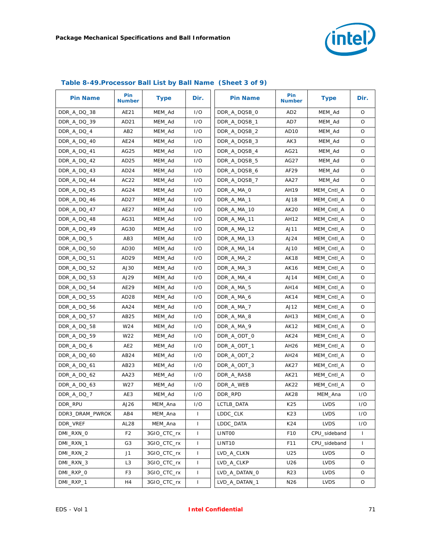

| <b>Pin Name</b> | <b>Pin</b><br><b>Number</b> | <b>Type</b> | Dir.         | <b>Pin Name</b>    | <b>Pin</b><br><b>Number</b> | <b>Type</b>  | Dir.         |
|-----------------|-----------------------------|-------------|--------------|--------------------|-----------------------------|--------------|--------------|
| DDR_A_DQ_38     | AE21                        | MEM_Ad      | 1/O          | DDR A DQSB 0       | AD <sub>2</sub>             | MEM_Ad       | O            |
| DDR_A_DQ_39     | AD21                        | MEM_Ad      | 1/O          | DDR_A_DQSB_1       | AD7                         | MEM_Ad       | O            |
| DDR_A_DQ_4      | AB <sub>2</sub>             | MEM_Ad      | 1/O          | DDR_A_DQSB_2       | AD <sub>10</sub>            | MEM_Ad       | $\circ$      |
| DDR_A_DQ_40     | AE24                        | MEM_Ad      | 1/O          | DDR_A_DQSB_3       | AK3                         | MEM_Ad       | O            |
| DDR_A_DQ_41     | AG25                        | MEM_Ad      | 1/O          | DDR_A_DQSB_4       | AG21                        | MEM_Ad       | O            |
| DDR_A_DQ_42     | AD25                        | MEM_Ad      | 1/O          | DDR_A_DQSB_5       | AG27                        | MEM_Ad       | O            |
| DDR A DQ 43     | AD <sub>24</sub>            | MEM Ad      | 1/O          | DDR_A_DQSB_6       | AF29                        | MEM_Ad       | O            |
| DDR_A_DQ_44     | AC22                        | MEM_Ad      | 1/O          | DDR_A_DQSB_7       | AA27                        | MEM_Ad       | O            |
| DDR_A_DQ_45     | AG24                        | MEM_Ad      | 1/O          | DDR_A_MA_0         | AH19                        | MEM_Cntl_A   | $\circ$      |
| DDR_A_DQ_46     | AD27                        | MEM_Ad      | 1/O          | DDR_A_MA_1         | AJ18                        | MEM_Cntl_A   | O            |
| DDR_A_DQ_47     | AE27                        | MEM_Ad      | 1/O          | DDR_A_MA_10        | <b>AK20</b>                 | MEM_Cntl_A   | O            |
| DDR_A_DQ_48     | AG31                        | MEM_Ad      | 1/O          | DDR_A_MA_11        | AH12                        | MEM_Cntl_A   | O            |
| DDR_A_DQ_49     | AG30                        | MEM_Ad      | 1/O          | DDR_A_MA_12        | AJ11                        | MEM_Cntl_A   | O            |
| DDR_A_DQ_5      | AB <sub>3</sub>             | MEM_Ad      | 1/O          | DDR A MA 13        | AJ24                        | MEM Cntl A   | O            |
| DDR_A_DQ_50     | AD30                        | MEM_Ad      | 1/O          | DDR_A_MA_14        | AJ10                        | MEM_Cntl_A   | $\circ$      |
| DDR_A_DQ_51     | AD29                        | MEM_Ad      | 1/O          | DDR_A_MA_2         | AK18                        | MEM_Cntl_A   | O            |
| DDR_A_DQ_52     | AJ30                        | MEM_Ad      | 1/O          | DDR A MA 3         | AK16                        | MEM_Cntl_A   | O            |
| DDR_A_DQ_53     | AJ29                        | MEM_Ad      | 1/O          | DDR_A_MA_4         | AJ14                        | MEM Cntl A   | $\circ$      |
| DDR_A_DQ_54     | AE29                        | MEM Ad      | 1/O          | DDR_A_MA_5         | AH14                        | MEM_Cntl_A   | O            |
| DDR_A_DQ_55     | AD <sub>28</sub>            | MEM_Ad      | 1/O          | DDR_A_MA_6         | AK14                        | MEM_Cntl_A   | O            |
| DDR_A_DQ_56     | AA24                        | MEM_Ad      | 1/O          | DDR_A_MA_7         | AJ12                        | MEM_Cntl_A   | O            |
| DDR_A_DQ_57     | AB25                        | MEM_Ad      | 1/O          | DDR_A_MA_8         | AH13                        | MEM_Cntl_A   | O            |
| DDR_A_DQ_58     | W24                         | MEM_Ad      | 1/O          | DDR_A_MA_9         | AK12                        | MEM_Cntl_A   | O            |
| DDR_A_DQ_59     | W22                         | MEM_Ad      | 1/O          | DDR_A_ODT_0        | AK24                        | MEM_Cntl_A   | $\circ$      |
| DDR_A_DQ_6      | AE <sub>2</sub>             | MEM_Ad      | 1/O          | DDR_A_ODT_1        | AH26                        | MEM_Cntl_A   | O            |
| DDR_A_DQ_60     | AB24                        | MEM_Ad      | 1/O          | DDR_A_ODT_2        | AH24                        | MEM_Cntl_A   | O            |
| DDR_A_DQ_61     | AB <sub>23</sub>            | MEM_Ad      | 1/O          | DDR_A_ODT_3        | AK27                        | MEM_Cntl_A   | O            |
| DDR_A_DQ_62     | AA23                        | MEM_Ad      | 1/O          | DDR_A_RASB         | AK21                        | MEM_Cntl_A   | O            |
| DDR_A_DQ_63     | W27                         | MEM_Ad      | 1/O          | DDR_A_WEB          | AK22                        | MEM Cntl A   | O            |
| DDR_A_DQ_7      | AE3                         | MEM_Ad      | 1/O          | DDR_RPD            | AK28                        | MEM_Ana      | 1/O          |
| DDR_RPU         | AJ26                        | MEM_Ana     | 1/O          | LCTLB_DATA         | K25                         | <b>LVDS</b>  | 1/O          |
| DDR3_DRAM_PWROK | AB4                         | MEM_Ana     | $\mathbf{I}$ | LDDC_CLK           | K23                         | <b>LVDS</b>  | 1/O          |
| DDR VREF        | AL <sub>28</sub>            | MEM_Ana     | $\mathbf{I}$ | LDDC_DATA          | K24                         | <b>LVDS</b>  | 1/O          |
| DMI_RXN_0       | F <sub>2</sub>              | 3GIO_CTC_rx | $\mathbf{I}$ | LINTOO             | F10                         | CPU_sideband | $\mathbf{I}$ |
| DMI_RXN_1       | G <sub>3</sub>              | 3GIO_CTC_rx | T            | LINT <sub>10</sub> | F11                         | CPU sideband | $\mathbf{I}$ |
| DMI_RXN_2       | J1                          | 3GIO_CTC_rx | $\mathbf{I}$ | LVD_A_CLKN         | U25                         | <b>LVDS</b>  | O            |
| DMI_RXN_3       | L3                          | 3GIO_CTC_rx | $\mathbf{I}$ | LVD_A_CLKP         | U26                         | <b>LVDS</b>  | O            |
| DMI_RXP_0       | F3                          | 3GIO_CTC_rx | T            | LVD_A_DATAN_0      | R23                         | <b>LVDS</b>  | O            |
| DMI_RXP_1       | H4                          | 3GIO_CTC_rx | $\mathbf{I}$ | LVD_A_DATAN_1      | N <sub>26</sub>             | <b>LVDS</b>  | O            |

## **Table 8-49.Processor Ball List by Ball Name (Sheet 3 of 9)**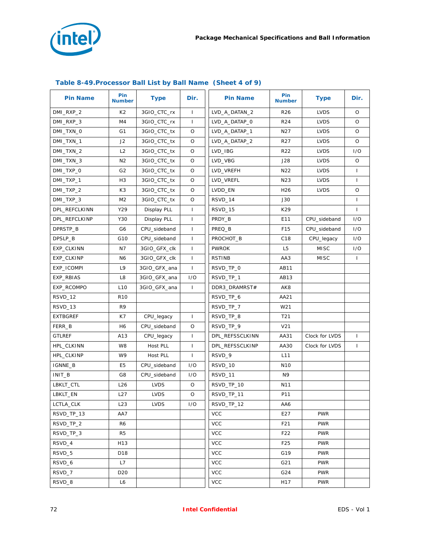

| <b>Pin Name</b> | Pin<br><b>Number</b> | <b>Type</b>  | Dir.         | <b>Pin Name</b> | Pin<br><b>Number</b> | <b>Type</b>    | Dir.         |
|-----------------|----------------------|--------------|--------------|-----------------|----------------------|----------------|--------------|
| DMI_RXP_2       | K <sub>2</sub>       | 3GIO_CTC_rx  | $\mathbf{I}$ | LVD_A_DATAN_2   | R <sub>26</sub>      | <b>LVDS</b>    | $\circ$      |
| DMI_RXP_3       | M4                   | 3GIO_CTC_rx  | $\mathbf{I}$ | LVD_A_DATAP_0   | R <sub>24</sub>      | <b>LVDS</b>    | O            |
| DMI_TXN_0       | G <sub>1</sub>       | 3GIO_CTC_tx  | O            | LVD_A_DATAP_1   | N <sub>2</sub> 7     | <b>LVDS</b>    | O            |
| DMI_TXN_1       | J2                   | 3GIO_CTC_tx  | O            | LVD_A_DATAP_2   | R <sub>27</sub>      | <b>LVDS</b>    | $\circ$      |
| DMI_TXN_2       | L2                   | 3GIO_CTC_tx  | O            | LVD_IBG         | <b>R22</b>           | <b>LVDS</b>    | 1/O          |
| DMI_TXN_3       | N <sub>2</sub>       | 3GIO_CTC_tx  | O            | LVD_VBG         | J28                  | <b>LVDS</b>    | O            |
| DMI_TXP_0       | G <sub>2</sub>       | 3GIO_CTC_tx  | O            | LVD_VREFH       | N22                  | <b>LVDS</b>    | L            |
| DMI_TXP_1       | H <sub>3</sub>       | 3GIO_CTC_tx  | O            | LVD_VREFL       | N23                  | <b>LVDS</b>    | J.           |
| DMI_TXP_2       | K3                   | 3GIO_CTC_tx  | O            | LVDD_EN         | H <sub>26</sub>      | <b>LVDS</b>    | O            |
| DMI_TXP_3       | M <sub>2</sub>       | 3GIO_CTC_tx  | O            | RSVD_14         | J30                  |                | $\mathbf{I}$ |
| DPL_REFCLKINN   | Y29                  | Display PLL  | $\mathbf{I}$ | RSVD_15         | K29                  |                | $\mathbf{I}$ |
| DPL_REFCLKINP   | Y30                  | Display PLL  | $\mathbf{I}$ | PRDY_B          | E11                  | CPU_sideband   | 1/O          |
| DPRSTP_B        | G6                   | CPU sideband | $\mathbf{I}$ | PREQ_B          | F15                  | CPU_sideband   | I/O          |
| DPSLP_B         | G10                  | CPU_sideband | $\mathbf{I}$ | PROCHOT_B       | C <sub>18</sub>      | CPU_legacy     | 1/O          |
| EXP_CLKINN      | N7                   | 3GIO_GFX_clk | $\mathbf{I}$ | <b>PWROK</b>    | L <sub>5</sub>       | <b>MISC</b>    | I/O          |
| EXP_CLKINP      | N <sub>6</sub>       | 3GIO_GFX_clk | $\mathbf{I}$ | <b>RSTINB</b>   | AA3                  | <b>MISC</b>    | $\mathbf{I}$ |
| EXP_ICOMPI      | L9                   | 3GIO_GFX_ana | $\mathbf{I}$ | RSVD_TP_0       | AB11                 |                |              |
| EXP_RBIAS       | L8                   | 3GIO_GFX_ana | 1/O          | RSVD_TP_1       | AB13                 |                |              |
| EXP_RCOMPO      | L <sub>10</sub>      | 3GIO_GFX_ana | $\mathbf{I}$ | DDR3_DRAMRST#   | AK8                  |                |              |
| RSVD_12         | R <sub>10</sub>      |              |              | RSVD_TP_6       | AA21                 |                |              |
| RSVD_13         | R9                   |              |              | RSVD_TP_7       | W21                  |                |              |
| <b>EXTBGREF</b> | K7                   | CPU_legacy   | $\mathbf{I}$ | RSVD_TP_8       | T <sub>21</sub>      |                |              |
| FERR_B          | H6                   | CPU_sideband | O            | RSVD_TP_9       | V <sub>21</sub>      |                |              |
| <b>GTLREF</b>   | A13                  | CPU_legacy   | $\mathbf{I}$ | DPL_REFSSCLKINN | AA31                 | Clock for LVDS | $\mathbf{I}$ |
| HPL_CLKINN      | W8                   | Host PLL     | $\mathbf{I}$ | DPL_REFSSCLKINP | AA30                 | Clock for LVDS | $\mathbf{I}$ |
| HPL_CLKINP      | W9                   | Host PLL     | $\mathbf{I}$ | RSVD_9          | L11                  |                |              |
| IGNNE_B         | E <sub>5</sub>       | CPU_sideband | 1/O          | RSVD_10         | N <sub>10</sub>      |                |              |
| INIT_B          | G8                   | CPU_sideband | 1/O          | RSVD_11         | N9                   |                |              |
| LBKLT_CTL       | L26                  | <b>LVDS</b>  | O            | RSVD_TP_10      | N <sub>11</sub>      |                |              |
| LBKLT_EN        | L27                  | <b>LVDS</b>  | O            | RSVD_TP_11      | P11                  |                |              |
| LCTLA_CLK       | L23                  | <b>LVDS</b>  | 1/O          | RSVD_TP_12      | AA6                  |                |              |
| RSVD_TP_13      | AA7                  |              |              | <b>VCC</b>      | E27                  | <b>PWR</b>     |              |
| RSVD_TP_2       | R6                   |              |              | <b>VCC</b>      | F21                  | <b>PWR</b>     |              |
| RSVD_TP_3       | R <sub>5</sub>       |              |              | <b>VCC</b>      | F22                  | <b>PWR</b>     |              |
| RSVD_4          | H13                  |              |              | <b>VCC</b>      | F25                  | <b>PWR</b>     |              |
| RSVD_5          | D18                  |              |              | <b>VCC</b>      | G19                  | <b>PWR</b>     |              |
| RSVD_6          | L7                   |              |              | <b>VCC</b>      | G21                  | <b>PWR</b>     |              |
| RSVD_7          | D <sub>20</sub>      |              |              | <b>VCC</b>      | G24                  | <b>PWR</b>     |              |
| RSVD_8          | L6                   |              |              | <b>VCC</b>      | H17                  | <b>PWR</b>     |              |

## **Table 8-49.Processor Ball List by Ball Name (Sheet 4 of 9)**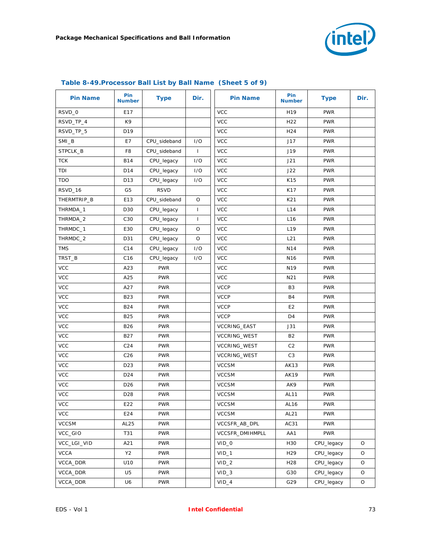

| <b>Pin Name</b> | Pin<br><b>Number</b> | <b>Type</b>  | Dir.         | <b>Pin Name</b>  | Pin<br><b>Number</b> | <b>Type</b> | Dir. |
|-----------------|----------------------|--------------|--------------|------------------|----------------------|-------------|------|
| RSVD_0          | E17                  |              |              | <b>VCC</b>       | H <sub>19</sub>      | <b>PWR</b>  |      |
| RSVD_TP_4       | K9                   |              |              | <b>VCC</b>       | H <sub>22</sub>      | <b>PWR</b>  |      |
| RSVD_TP_5       | D19                  |              |              | <b>VCC</b>       | H <sub>24</sub>      | <b>PWR</b>  |      |
| SMI_B           | E7                   | CPU_sideband | 1/O          | <b>VCC</b>       | J17                  | <b>PWR</b>  |      |
| STPCLK_B        | F <sub>8</sub>       | CPU_sideband | $\mathbf{I}$ | <b>VCC</b>       | J19                  | <b>PWR</b>  |      |
| <b>TCK</b>      | <b>B14</b>           | CPU_legacy   | I/O          | <b>VCC</b>       | J21                  | <b>PWR</b>  |      |
| TDI             | D14                  | CPU_legacy   | 1/O          | <b>VCC</b>       | J22                  | <b>PWR</b>  |      |
| <b>TDO</b>      | D13                  | CPU_legacy   | 1/O          | <b>VCC</b>       | K15                  | <b>PWR</b>  |      |
| RSVD_16         | G5                   | <b>RSVD</b>  |              | <b>VCC</b>       | K17                  | <b>PWR</b>  |      |
| THERMTRIP_B     | E13                  | CPU_sideband | O            | <b>VCC</b>       | K21                  | <b>PWR</b>  |      |
| THRMDA_1        | D30                  | CPU_legacy   | $\mathbf{I}$ | <b>VCC</b>       | L14                  | <b>PWR</b>  |      |
| THRMDA_2        | C30                  | CPU_legacy   | $\mathbf{I}$ | <b>VCC</b>       | L <sub>16</sub>      | <b>PWR</b>  |      |
| THRMDC_1        | E30                  | CPU_legacy   | O            | <b>VCC</b>       | L <sub>19</sub>      | <b>PWR</b>  |      |
| THRMDC_2        | D31                  | CPU_legacy   | O            | <b>VCC</b>       | L21                  | <b>PWR</b>  |      |
| <b>TMS</b>      | C14                  | CPU_legacy   | I/O          | <b>VCC</b>       | N14                  | <b>PWR</b>  |      |
| TRST_B          | C16                  | CPU_legacy   | 1/O          | <b>VCC</b>       | N <sub>16</sub>      | <b>PWR</b>  |      |
| <b>VCC</b>      | A23                  | <b>PWR</b>   |              | <b>VCC</b>       | N <sub>19</sub>      | <b>PWR</b>  |      |
| <b>VCC</b>      | A25                  | <b>PWR</b>   |              | <b>VCC</b>       | N21                  | <b>PWR</b>  |      |
| <b>VCC</b>      | A27                  | <b>PWR</b>   |              | <b>VCCP</b>      | B3                   | <b>PWR</b>  |      |
| <b>VCC</b>      | <b>B23</b>           | <b>PWR</b>   |              | <b>VCCP</b>      | <b>B4</b>            | <b>PWR</b>  |      |
| <b>VCC</b>      | <b>B24</b>           | <b>PWR</b>   |              | <b>VCCP</b>      | E <sub>2</sub>       | <b>PWR</b>  |      |
| <b>VCC</b>      | <b>B25</b>           | <b>PWR</b>   |              | <b>VCCP</b>      | D4                   | <b>PWR</b>  |      |
| <b>VCC</b>      | <b>B26</b>           | <b>PWR</b>   |              | VCCRING_EAST     | J31                  | <b>PWR</b>  |      |
| <b>VCC</b>      | <b>B27</b>           | <b>PWR</b>   |              | VCCRING_WEST     | <b>B2</b>            | <b>PWR</b>  |      |
| <b>VCC</b>      | C <sub>24</sub>      | <b>PWR</b>   |              | VCCRING_WEST     | C <sub>2</sub>       | <b>PWR</b>  |      |
| <b>VCC</b>      | C <sub>26</sub>      | <b>PWR</b>   |              | VCCRING_WEST     | C <sub>3</sub>       | <b>PWR</b>  |      |
| <b>VCC</b>      | D <sub>23</sub>      | <b>PWR</b>   |              | <b>VCCSM</b>     | <b>AK13</b>          | <b>PWR</b>  |      |
| <b>VCC</b>      | D <sub>24</sub>      | <b>PWR</b>   |              | <b>VCCSM</b>     | AK19                 | <b>PWR</b>  |      |
| <b>VCC</b>      | D <sub>26</sub>      | <b>PWR</b>   |              | <b>VCCSM</b>     | AK9                  | <b>PWR</b>  |      |
| <b>VCC</b>      | D <sub>28</sub>      | <b>PWR</b>   |              | <b>VCCSM</b>     | AL11                 | <b>PWR</b>  |      |
| <b>VCC</b>      | E22                  | <b>PWR</b>   |              | <b>VCCSM</b>     | AL16                 | <b>PWR</b>  |      |
| <b>VCC</b>      | E24                  | <b>PWR</b>   |              | <b>VCCSM</b>     | AL21                 | <b>PWR</b>  |      |
| <b>VCCSM</b>    | AL25                 | <b>PWR</b>   |              | VCCSFR_AB_DPL    | AC31                 | <b>PWR</b>  |      |
| VCC_GIO         | T31                  | <b>PWR</b>   |              | VCCSFR_DMIHMPLL  | AA1                  | <b>PWR</b>  |      |
| VCC_LGI_VID     | A21                  | <b>PWR</b>   |              | $VID_0$          | H30                  | CPU_legacy  | O    |
| <b>VCCA</b>     | Y2                   | <b>PWR</b>   |              | $VID_1$          | H <sub>29</sub>      | CPU_legacy  | O    |
| VCCA_DDR        | U10                  | <b>PWR</b>   |              | VID <sub>2</sub> | H <sub>28</sub>      | CPU_legacy  | O    |
| VCCA_DDR        | U <sub>5</sub>       | <b>PWR</b>   |              | $VID_3$          | G30                  | CPU_legacy  | O    |
| VCCA_DDR        | U6                   | <b>PWR</b>   |              | $VID_4$          | G29                  | CPU_legacy  | O    |

### **Table 8-49.Processor Ball List by Ball Name (Sheet 5 of 9)**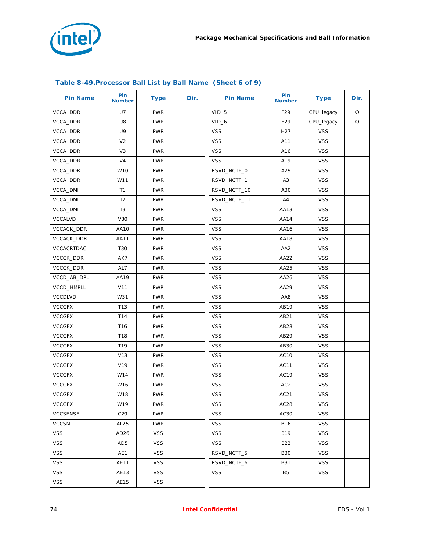

| <b>Pin Name</b>   | Pin<br><b>Number</b> | <b>Type</b> | Dir. | <b>Pin Name</b> | Pin<br><b>Number</b> | <b>Type</b> | Dir.    |
|-------------------|----------------------|-------------|------|-----------------|----------------------|-------------|---------|
| VCCA_DDR          | U7                   | <b>PWR</b>  |      | $VID_5$         | F29                  | CPU_legacy  | $\circ$ |
| VCCA_DDR          | U8                   | <b>PWR</b>  |      | $VID_6$         | E29                  | CPU_legacy  | O       |
| <b>VCCA DDR</b>   | U9                   | <b>PWR</b>  |      | <b>VSS</b>      | H <sub>2</sub> 7     | <b>VSS</b>  |         |
| VCCA_DDR          | V <sub>2</sub>       | <b>PWR</b>  |      | <b>VSS</b>      | A11                  | <b>VSS</b>  |         |
| VCCA_DDR          | V3                   | <b>PWR</b>  |      | <b>VSS</b>      | A16                  | <b>VSS</b>  |         |
| VCCA_DDR          | V <sub>4</sub>       | <b>PWR</b>  |      | <b>VSS</b>      | A19                  | <b>VSS</b>  |         |
| VCCA_DDR          | W10                  | <b>PWR</b>  |      | RSVD NCTF 0     | A29                  | <b>VSS</b>  |         |
| VCCA_DDR          | W11                  | <b>PWR</b>  |      | RSVD_NCTF_1     | A <sub>3</sub>       | <b>VSS</b>  |         |
| VCCA_DMI          | T1                   | <b>PWR</b>  |      | RSVD_NCTF_10    | A30                  | <b>VSS</b>  |         |
| VCCA_DMI          | T <sub>2</sub>       | <b>PWR</b>  |      | RSVD_NCTF_11    | A4                   | <b>VSS</b>  |         |
| VCCA_DMI          | T3                   | <b>PWR</b>  |      | <b>VSS</b>      | AA13                 | <b>VSS</b>  |         |
| <b>VCCALVD</b>    | V30                  | <b>PWR</b>  |      | <b>VSS</b>      | AA14                 | <b>VSS</b>  |         |
| <b>VCCACK DDR</b> | AA10                 | <b>PWR</b>  |      | <b>VSS</b>      | AA16                 | <b>VSS</b>  |         |
| VCCACK_DDR        | AA11                 | <b>PWR</b>  |      | <b>VSS</b>      | AA18                 | <b>VSS</b>  |         |
| VCCACRTDAC        | T30                  | <b>PWR</b>  |      | <b>VSS</b>      | AA <sub>2</sub>      | <b>VSS</b>  |         |
| VCCCK_DDR         | AK7                  | <b>PWR</b>  |      | <b>VSS</b>      | AA22                 | <b>VSS</b>  |         |
| VCCCK_DDR         | AL7                  | <b>PWR</b>  |      | <b>VSS</b>      | AA25                 | <b>VSS</b>  |         |
| VCCD_AB_DPL       | AA19                 | <b>PWR</b>  |      | <b>VSS</b>      | AA26                 | <b>VSS</b>  |         |
| VCCD_HMPLL        | V11                  | <b>PWR</b>  |      | <b>VSS</b>      | AA29                 | <b>VSS</b>  |         |
| <b>VCCDLVD</b>    | W31                  | <b>PWR</b>  |      | <b>VSS</b>      | AA8                  | <b>VSS</b>  |         |
| <b>VCCGFX</b>     | T <sub>13</sub>      | <b>PWR</b>  |      | <b>VSS</b>      | AB19                 | <b>VSS</b>  |         |
| <b>VCCGFX</b>     | T14                  | <b>PWR</b>  |      | <b>VSS</b>      | AB21                 | <b>VSS</b>  |         |
| <b>VCCGFX</b>     | T <sub>16</sub>      | <b>PWR</b>  |      | <b>VSS</b>      | AB28                 | <b>VSS</b>  |         |
| <b>VCCGFX</b>     | T18                  | <b>PWR</b>  |      | <b>VSS</b>      | AB29                 | <b>VSS</b>  |         |
| <b>VCCGFX</b>     | T19                  | <b>PWR</b>  |      | <b>VSS</b>      | AB30                 | <b>VSS</b>  |         |
| <b>VCCGFX</b>     | V13                  | <b>PWR</b>  |      | <b>VSS</b>      | AC10                 | <b>VSS</b>  |         |
| <b>VCCGFX</b>     | V19                  | <b>PWR</b>  |      | <b>VSS</b>      | AC11                 | <b>VSS</b>  |         |
| <b>VCCGFX</b>     | W14                  | <b>PWR</b>  |      | <b>VSS</b>      | AC19                 | <b>VSS</b>  |         |
| <b>VCCGFX</b>     | W16                  | <b>PWR</b>  |      | <b>VSS</b>      | AC <sub>2</sub>      | <b>VSS</b>  |         |
| <b>VCCGFX</b>     | W18                  | <b>PWR</b>  |      | <b>VSS</b>      | AC21                 | <b>VSS</b>  |         |
| <b>VCCGFX</b>     | W19                  | <b>PWR</b>  |      | <b>VSS</b>      | AC <sub>28</sub>     | <b>VSS</b>  |         |
| <b>VCCSENSE</b>   | C29                  | <b>PWR</b>  |      | <b>VSS</b>      | AC30                 | <b>VSS</b>  |         |
| <b>VCCSM</b>      | AL <sub>25</sub>     | <b>PWR</b>  |      | <b>VSS</b>      | B16                  | <b>VSS</b>  |         |
| <b>VSS</b>        | AD <sub>26</sub>     | <b>VSS</b>  |      | <b>VSS</b>      | <b>B19</b>           | <b>VSS</b>  |         |
| <b>VSS</b>        | AD5                  | <b>VSS</b>  |      | <b>VSS</b>      | B22                  | <b>VSS</b>  |         |
| <b>VSS</b>        | AE1                  | <b>VSS</b>  |      | RSVD NCTF 5     | <b>B30</b>           | <b>VSS</b>  |         |
| <b>VSS</b>        | AE11                 | <b>VSS</b>  |      | RSVD_NCTF_6     | B31                  | <b>VSS</b>  |         |
| <b>VSS</b>        | AE13                 | <b>VSS</b>  |      | <b>VSS</b>      | B5                   | <b>VSS</b>  |         |
| <b>VSS</b>        | AE15                 | <b>VSS</b>  |      |                 |                      |             |         |

### **Table 8-49.Processor Ball List by Ball Name (Sheet 6 of 9)**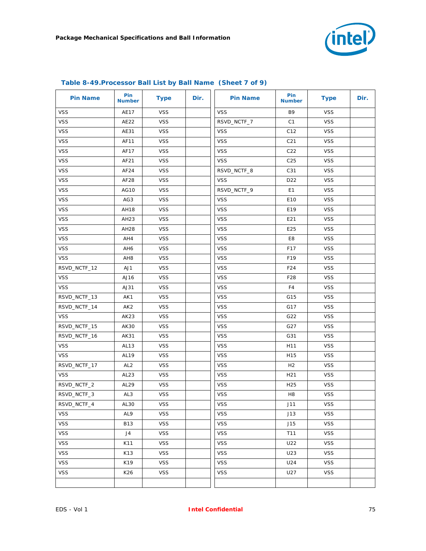

| <b>Pin Name</b> | Pin<br><b>Number</b> | <b>Type</b> | Dir. | <b>Pin Name</b> | Pin<br><b>Number</b> | <b>Type</b> | Dir. |
|-----------------|----------------------|-------------|------|-----------------|----------------------|-------------|------|
| <b>VSS</b>      | AE17                 | <b>VSS</b>  |      | <b>VSS</b>      | B <sub>9</sub>       | <b>VSS</b>  |      |
| <b>VSS</b>      | AE22                 | <b>VSS</b>  |      | RSVD_NCTF_7     | C1                   | <b>VSS</b>  |      |
| <b>VSS</b>      | AE31                 | <b>VSS</b>  |      | <b>VSS</b>      | C12                  | <b>VSS</b>  |      |
| <b>VSS</b>      | AF11                 | <b>VSS</b>  |      | <b>VSS</b>      | C <sub>21</sub>      | <b>VSS</b>  |      |
| <b>VSS</b>      | AF17                 | <b>VSS</b>  |      | <b>VSS</b>      | C <sub>22</sub>      | <b>VSS</b>  |      |
| <b>VSS</b>      | AF21                 | <b>VSS</b>  |      | <b>VSS</b>      | C <sub>25</sub>      | <b>VSS</b>  |      |
| <b>VSS</b>      | AF24                 | <b>VSS</b>  |      | RSVD_NCTF_8     | C31                  | <b>VSS</b>  |      |
| <b>VSS</b>      | AF28                 | <b>VSS</b>  |      | <b>VSS</b>      | D <sub>22</sub>      | <b>VSS</b>  |      |
| <b>VSS</b>      | AG10                 | <b>VSS</b>  |      | RSVD_NCTF_9     | E <sub>1</sub>       | <b>VSS</b>  |      |
| <b>VSS</b>      | AG3                  | <b>VSS</b>  |      | <b>VSS</b>      | E10                  | <b>VSS</b>  |      |
| <b>VSS</b>      | AH18                 | <b>VSS</b>  |      | <b>VSS</b>      | E19                  | <b>VSS</b>  |      |
| <b>VSS</b>      | AH23                 | <b>VSS</b>  |      | <b>VSS</b>      | E21                  | <b>VSS</b>  |      |
| <b>VSS</b>      | AH28                 | <b>VSS</b>  |      | <b>VSS</b>      | E25                  | <b>VSS</b>  |      |
| <b>VSS</b>      | AH4                  | <b>VSS</b>  |      | <b>VSS</b>      | E8                   | <b>VSS</b>  |      |
| <b>VSS</b>      | AH6                  | <b>VSS</b>  |      | <b>VSS</b>      | F17                  | <b>VSS</b>  |      |
| <b>VSS</b>      | AH <sub>8</sub>      | <b>VSS</b>  |      | <b>VSS</b>      | F19                  | <b>VSS</b>  |      |
| RSVD_NCTF_12    | AJ1                  | <b>VSS</b>  |      | <b>VSS</b>      | F24                  | <b>VSS</b>  |      |
| <b>VSS</b>      | AJ16                 | <b>VSS</b>  |      | <b>VSS</b>      | F28                  | <b>VSS</b>  |      |
| <b>VSS</b>      | AJ31                 | <b>VSS</b>  |      | <b>VSS</b>      | F4                   | <b>VSS</b>  |      |
| RSVD_NCTF_13    | AK1                  | <b>VSS</b>  |      | <b>VSS</b>      | G15                  | <b>VSS</b>  |      |
| RSVD_NCTF_14    | AK <sub>2</sub>      | <b>VSS</b>  |      | <b>VSS</b>      | G17                  | <b>VSS</b>  |      |
| <b>VSS</b>      | AK23                 | <b>VSS</b>  |      | <b>VSS</b>      | G22                  | <b>VSS</b>  |      |
| RSVD_NCTF_15    | AK30                 | <b>VSS</b>  |      | <b>VSS</b>      | G27                  | <b>VSS</b>  |      |
| RSVD_NCTF_16    | AK31                 | <b>VSS</b>  |      | <b>VSS</b>      | G31                  | <b>VSS</b>  |      |
| <b>VSS</b>      | AL13                 | <b>VSS</b>  |      | <b>VSS</b>      | H <sub>11</sub>      | <b>VSS</b>  |      |
| <b>VSS</b>      | AL19                 | <b>VSS</b>  |      | <b>VSS</b>      | H15                  | <b>VSS</b>  |      |
| RSVD_NCTF_17    | AL <sub>2</sub>      | <b>VSS</b>  |      | <b>VSS</b>      | H <sub>2</sub>       | <b>VSS</b>  |      |
| <b>VSS</b>      | AL <sub>23</sub>     | <b>VSS</b>  |      | <b>VSS</b>      | H <sub>21</sub>      | <b>VSS</b>  |      |
| RSVD_NCTF_2     | AL29                 | <b>VSS</b>  |      | <b>VSS</b>      | H <sub>25</sub>      | <b>VSS</b>  |      |
| RSVD_NCTF_3     | AL3                  | <b>VSS</b>  |      | <b>VSS</b>      | H <sub>8</sub>       | <b>VSS</b>  |      |
| RSVD_NCTF_4     | AL30                 | <b>VSS</b>  |      | <b>VSS</b>      | J11                  | <b>VSS</b>  |      |
| <b>VSS</b>      | AL9                  | <b>VSS</b>  |      | <b>VSS</b>      | J13                  | <b>VSS</b>  |      |
| <b>VSS</b>      | <b>B13</b>           | <b>VSS</b>  |      | <b>VSS</b>      | J15                  | <b>VSS</b>  |      |
| <b>VSS</b>      | J4                   | <b>VSS</b>  |      | <b>VSS</b>      | T11                  | <b>VSS</b>  |      |
| <b>VSS</b>      | K11                  | <b>VSS</b>  |      | <b>VSS</b>      | U22                  | <b>VSS</b>  |      |
| <b>VSS</b>      | K13                  | <b>VSS</b>  |      | <b>VSS</b>      | U23                  | <b>VSS</b>  |      |
| <b>VSS</b>      | K19                  | <b>VSS</b>  |      | <b>VSS</b>      | U24                  | <b>VSS</b>  |      |
| <b>VSS</b>      | K26                  | <b>VSS</b>  |      | <b>VSS</b>      | U27                  | <b>VSS</b>  |      |
|                 |                      |             |      |                 |                      |             |      |

### **Table 8-49.Processor Ball List by Ball Name (Sheet 7 of 9)**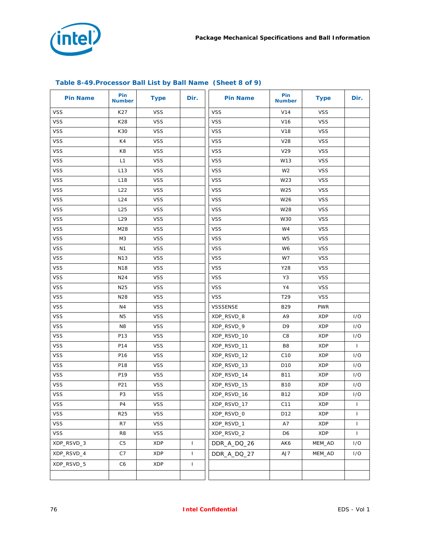

| <b>Pin Name</b> | Pin<br><b>Number</b> | <b>Type</b> | Dir.         | <b>Pin Name</b> | Pin<br><b>Number</b> | <b>Type</b> | Dir.         |
|-----------------|----------------------|-------------|--------------|-----------------|----------------------|-------------|--------------|
| <b>VSS</b>      | K27                  | <b>VSS</b>  |              | <b>VSS</b>      | V14                  | <b>VSS</b>  |              |
| <b>VSS</b>      | K28                  | <b>VSS</b>  |              | <b>VSS</b>      | V16                  | <b>VSS</b>  |              |
| <b>VSS</b>      | K30                  | <b>VSS</b>  |              | <b>VSS</b>      | V18                  | <b>VSS</b>  |              |
| <b>VSS</b>      | K4                   | <b>VSS</b>  |              | <b>VSS</b>      | V28                  | <b>VSS</b>  |              |
| <b>VSS</b>      | K8                   | <b>VSS</b>  |              | <b>VSS</b>      | V29                  | <b>VSS</b>  |              |
| <b>VSS</b>      | L1                   | <b>VSS</b>  |              | <b>VSS</b>      | W13                  | <b>VSS</b>  |              |
| <b>VSS</b>      | L <sub>13</sub>      | <b>VSS</b>  |              | <b>VSS</b>      | W <sub>2</sub>       | <b>VSS</b>  |              |
| <b>VSS</b>      | L18                  | <b>VSS</b>  |              | <b>VSS</b>      | W23                  | <b>VSS</b>  |              |
| <b>VSS</b>      | L22                  | <b>VSS</b>  |              | <b>VSS</b>      | W25                  | <b>VSS</b>  |              |
| <b>VSS</b>      | L24                  | <b>VSS</b>  |              | <b>VSS</b>      | W26                  | <b>VSS</b>  |              |
| <b>VSS</b>      | L25                  | <b>VSS</b>  |              | <b>VSS</b>      | W28                  | <b>VSS</b>  |              |
| <b>VSS</b>      | L <sub>29</sub>      | <b>VSS</b>  |              | <b>VSS</b>      | W30                  | <b>VSS</b>  |              |
| VSS             | M28                  | <b>VSS</b>  |              | <b>VSS</b>      | W4                   | <b>VSS</b>  |              |
| <b>VSS</b>      | M3                   | <b>VSS</b>  |              | <b>VSS</b>      | W <sub>5</sub>       | <b>VSS</b>  |              |
| <b>VSS</b>      | N <sub>1</sub>       | <b>VSS</b>  |              | <b>VSS</b>      | W6                   | <b>VSS</b>  |              |
| <b>VSS</b>      | N <sub>13</sub>      | <b>VSS</b>  |              | <b>VSS</b>      | W7                   | <b>VSS</b>  |              |
| <b>VSS</b>      | N18                  | <b>VSS</b>  |              | <b>VSS</b>      | Y28                  | <b>VSS</b>  |              |
| <b>VSS</b>      | N24                  | <b>VSS</b>  |              | <b>VSS</b>      | Y3                   | <b>VSS</b>  |              |
| VSS             | N <sub>25</sub>      | <b>VSS</b>  |              | <b>VSS</b>      | Y4                   | <b>VSS</b>  |              |
| <b>VSS</b>      | N28                  | <b>VSS</b>  |              | <b>VSS</b>      | T <sub>29</sub>      | <b>VSS</b>  |              |
| <b>VSS</b>      | N4                   | <b>VSS</b>  |              | VSSSENSE        | B29                  | <b>PWR</b>  |              |
| <b>VSS</b>      | N <sub>5</sub>       | <b>VSS</b>  |              | XDP_RSVD_8      | A9                   | <b>XDP</b>  | 1/O          |
| <b>VSS</b>      | N <sub>8</sub>       | <b>VSS</b>  |              | XDP_RSVD_9      | D <sub>9</sub>       | <b>XDP</b>  | I/O          |
| <b>VSS</b>      | P13                  | <b>VSS</b>  |              | XDP_RSVD_10     | C8                   | <b>XDP</b>  | 1/O          |
| VSS             | P14                  | <b>VSS</b>  |              | XDP_RSVD_11     | B8                   | <b>XDP</b>  | $\mathbf{I}$ |
| <b>VSS</b>      | P16                  | <b>VSS</b>  |              | XDP_RSVD_12     | C10                  | <b>XDP</b>  | 1/O          |
| <b>VSS</b>      | P18                  | <b>VSS</b>  |              | XDP_RSVD_13     | D <sub>10</sub>      | <b>XDP</b>  | 1/O          |
| <b>VSS</b>      | P19                  | <b>VSS</b>  |              | XDP_RSVD_14     | <b>B11</b>           | <b>XDP</b>  | 1/O          |
| <b>VSS</b>      | P21                  | <b>VSS</b>  |              | XDP_RSVD_15     | <b>B10</b>           | <b>XDP</b>  | 1/O          |
| <b>VSS</b>      | P3                   | <b>VSS</b>  |              | XDP_RSVD_16     | <b>B12</b>           | <b>XDP</b>  | I/O          |
| <b>VSS</b>      | P4                   | <b>VSS</b>  |              | XDP_RSVD_17     | C11                  | <b>XDP</b>  | $\mathbf{I}$ |
| <b>VSS</b>      | R <sub>25</sub>      | <b>VSS</b>  |              | XDP_RSVD_0      | D12                  | XDP         | $\mathbf{I}$ |
| <b>VSS</b>      | R7                   | <b>VSS</b>  |              | XDP_RSVD_1      | A7                   | XDP         | $\mathbf{I}$ |
| <b>VSS</b>      | R8                   | <b>VSS</b>  |              | XDP_RSVD_2      | D6                   | XDP         | $\mathbf{I}$ |
| XDP_RSVD_3      | C <sub>5</sub>       | XDP         | $\mathbf{I}$ | DDR A DQ 26     | AK6                  | MEM_AD      | 1/O          |
| XDP_RSVD_4      | C7                   | <b>XDP</b>  | $\mathbf{I}$ | DDR_A_DQ_27     | AJ7                  | MEM_AD      | I/O          |
| XDP_RSVD_5      | C6                   | XDP         | $\mathbf{I}$ |                 |                      |             |              |
|                 |                      |             |              |                 |                      |             |              |

## **Table 8-49.Processor Ball List by Ball Name (Sheet 8 of 9)**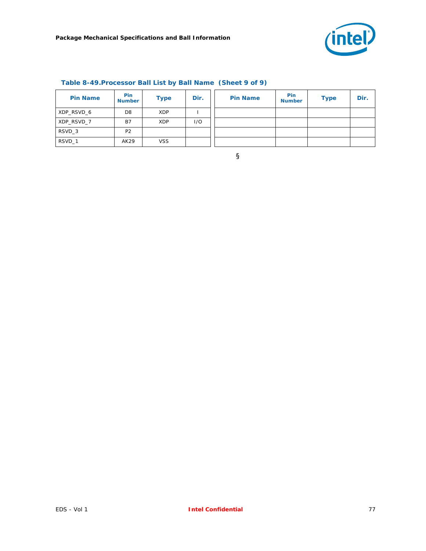

| <b>Pin Name</b> | <b>Pin</b><br><b>Number</b> | <b>Type</b> | Dir. | <b>Pin Name</b> | <b>Pin</b><br><b>Number</b> | <b>Type</b> | Dir. |
|-----------------|-----------------------------|-------------|------|-----------------|-----------------------------|-------------|------|
| XDP RSVD 6      | D <sub>8</sub>              | XDP         |      |                 |                             |             |      |
| XDP RSVD 7      | B7                          | XDP         | 1/O  |                 |                             |             |      |
| RSVD 3          | P <sub>2</sub>              |             |      |                 |                             |             |      |
| RSVD 1          | AK29                        | <b>VSS</b>  |      |                 |                             |             |      |

## **Table 8-49.Processor Ball List by Ball Name (Sheet 9 of 9)**

§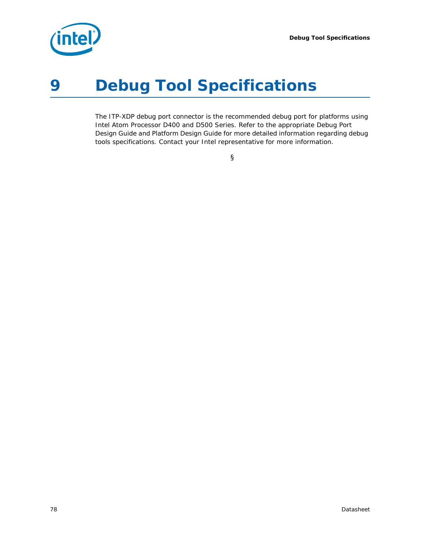*Debug Tool Specifications*



# *9 Debug Tool Specifications*

The ITP-XDP debug port connector is the recommended debug port for platforms using Intel Atom Processor D400 and D500 Series. Refer to the appropriate Debug Port Design Guide and Platform Design Guide for more detailed information regarding debug tools specifications. Contact your Intel representative for more information.

§